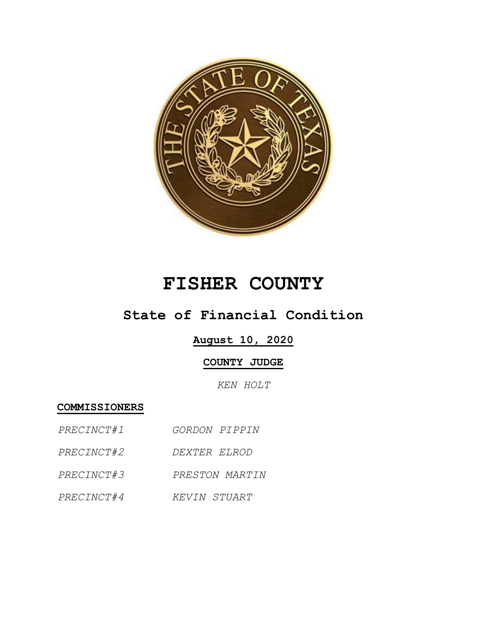

# **FISHER COUNTY**

## **State of Financial Condition**

### **August 10, 2020**

#### **COUNTY JUDGE**

*KEN HOLT*

**COMMISSIONERS**

- *PRECINCT#1 GORDON PIPPIN*
- *PRECINCT#2 DEXTER ELROD*
- *PRECINCT#3 PRESTON MARTIN*
- *PRECINCT#4 KEVIN STUART*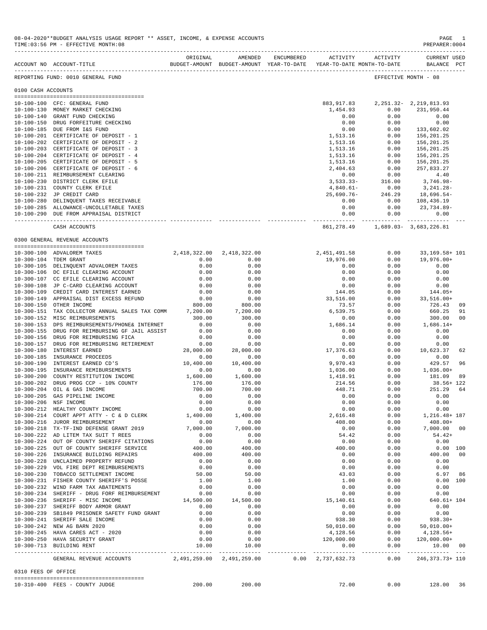|                     | ACCOUNT NO ACCOUNT-TITLE                                                       |                           | BUDGET-AMOUNT BUDGET-AMOUNT YEAR-TO-DATE | YEAR-TO-DATE MONTH-TO-DATE |                                          | BALANCE PCT           |                |
|---------------------|--------------------------------------------------------------------------------|---------------------------|------------------------------------------|----------------------------|------------------------------------------|-----------------------|----------------|
|                     | REPORTING FUND: 0010 GENERAL FUND                                              |                           |                                          |                            |                                          | EFFECTIVE MONTH - 08  |                |
| 0100 CASH ACCOUNTS  |                                                                                |                           |                                          |                            |                                          |                       |                |
|                     |                                                                                |                           |                                          |                            |                                          |                       |                |
|                     | 10-100-100 CFC: GENERAL FUND                                                   |                           |                                          |                            | 883, 917.83 2, 251.32 - 2, 219, 813.93   |                       |                |
|                     | 10-100-130 MONEY MARKET CHECKING                                               |                           |                                          | 1,454.93                   | 0.00                                     | 231,950.44            |                |
|                     | 10-100-140 GRANT FUND CHECKING                                                 |                           |                                          | 0.00                       | 0.00                                     | 0.00                  |                |
|                     | 10-100-150 DRUG FORFEITURE CHECKING                                            |                           |                                          | 0.00                       | 0.00                                     | 0.00                  |                |
|                     | 10-100-185 DUE FROM I&S FUND                                                   |                           |                                          | 0.00                       | 0.00                                     | 133,602.02            |                |
|                     | 10-100-201 CERTIFICATE OF DEPOSIT - 1                                          |                           |                                          | 1,513.16                   | 0.00                                     | 156,201.25            |                |
|                     | 10-100-202 CERTIFICATE OF DEPOSIT - 2                                          |                           |                                          | 1,513.16                   | 0.00                                     | 156,201.25            |                |
|                     | 10-100-203 CERTIFICATE OF DEPOSIT - 3                                          |                           |                                          | 1,513.16                   | 0.00                                     | 156,201.25            |                |
|                     | 10-100-204 CERTIFICATE OF DEPOSIT - 4<br>10-100-205 CERTIFICATE OF DEPOSIT - 5 |                           |                                          | 1,513.16                   | 0.00                                     | 156,201.25            |                |
|                     |                                                                                |                           |                                          | 1,513.16                   | 0.00<br>0.00                             | 156,201.25            |                |
|                     | 10-100-206 CERTIFICATE OF DEPOSIT - 6<br>10-100-211 REIMBURSEMENT CLEARING     |                           |                                          | 2,404.63<br>0.00           | 0.00                                     | 257,833.27<br>4.40    |                |
| $10 - 100 - 230$    | DISTRICT CLERK EFILE                                                           |                           |                                          | $3,533.33-$                | 316.00                                   | 3,746.98-             |                |
|                     | 10-100-231 COUNTY CLERK EFILE                                                  |                           |                                          | 4,840.61-                  | 0.00                                     | 3,241.28-             |                |
|                     | 10-100-232 JP CREDIT CARD                                                      |                           |                                          | 25,690.76-                 | 246.29                                   | 18,696.54-            |                |
|                     | 10-100-280 DELINQUENT TAXES RECEIVABLE                                         |                           |                                          | 0.00                       |                                          | 0.00 108,436.19       |                |
|                     | 10-100-285 ALLOWANCE-UNCOLLETABLE TAXES                                        |                           |                                          | 0.00                       |                                          | $0.00$ $23,734.89$ -  |                |
|                     | 10-100-290 DUE FROM APPRAISAL DISTRICT                                         |                           |                                          | 0.00                       | 0.00                                     | 0.00                  |                |
|                     |                                                                                |                           |                                          |                            |                                          |                       |                |
|                     | CASH ACCOUNTS                                                                  |                           |                                          |                            | 861, 278.49   1, 689.03 - 3, 683, 226.81 |                       |                |
|                     | 0300 GENERAL REVENUE ACCOUNTS                                                  |                           |                                          |                            |                                          |                       |                |
|                     | 10-300-100 ADVALOREM TAXES                                                     | 2,418,322.00 2,418,322.00 |                                          | 2,451,491.58               | 0.00                                     | 33, 169. 58+ 101      |                |
|                     | 10-300-104 TDEM GRANT                                                          | 0.00                      | 0.00                                     | 19,976.00                  | 0.00                                     | 19,976.00+            |                |
|                     | 10-300-105 DELINQUENT ADVALOREM TAXES                                          | 0.00                      | 0.00                                     | 0.00                       | 0.00                                     | 0.00                  |                |
|                     | 10-300-106 DC EFILE CLEARING ACCOUNT                                           | 0.00                      | 0.00                                     | 0.00                       | 0.00                                     | 0.00                  |                |
|                     | 10-300-107 CC EFILE CLEARING ACCOUNT                                           | 0.00                      | 0.00                                     | 0.00                       | 0.00                                     | 0.00                  |                |
|                     | 10-300-108 JP C-CARD CLEARING ACCOUNT                                          | 0.00                      | 0.00                                     | 0.00                       | 0.00                                     | 0.00                  |                |
|                     | 10-300-109 CREDIT CARD INTEREST EARNED                                         | 0.00                      | 0.00                                     | 144.05                     | 0.00                                     | 144.05+               |                |
|                     | 10-300-149 APPRAISAL DIST EXCESS REFUND                                        | 0.00                      | 0.00                                     | 33,516.00                  | 0.00                                     | 33,516.00+            |                |
|                     | 10-300-150 OTHER INCOME                                                        | 800.00                    | 800.00                                   | 73.57                      | 0.00                                     | 726.43                | 09             |
|                     | 10-300-151 TAX COLLECTOR ANNUAL SALES TAX COMM                                 | 7,200.00                  | 7,200.00                                 | 6,539.75                   | 0.00                                     | 660.25                | 91             |
|                     | 10-300-152 MISC REIMBURSEMENTS                                                 | 300.00                    | 300.00                                   | 0.00                       | 0.00                                     | 300.00                | 0 <sub>0</sub> |
|                     | 10-300-153 DPS REIMBURSEMENTS/PHONE& INTERNET                                  | 0.00                      | 0.00                                     | 1,686.14                   | 0.00                                     | $1,686.14+$           |                |
|                     | 10-300-155 DRUG FOR REIMBURSING GF JAIL ASSIST                                 | 0.00                      | 0.00                                     | 0.00                       | 0.00                                     | 0.00                  |                |
|                     | 10-300-156 DRUG FOR REIMBURSING FICA                                           | 0.00                      | 0.00                                     | 0.00                       | 0.00                                     | 0.00                  |                |
|                     | 10-300-157 DRUG FOR REIMBURSING RETIREMENT                                     | 0.00                      | 0.00                                     | 0.00                       | 0.00                                     | 0.00                  |                |
|                     | 10-300-180 INTEREST EARNED                                                     | 28,000.00                 | 28,000.00                                | 17,376.63                  | 0.00                                     | 10,623.37             | 62             |
|                     | 10-300-185 INSURANCE PROCEEDS                                                  | 0.00                      | 0.00                                     | 0.00                       | 0.00                                     | 0.00                  |                |
| $10 - 300 - 190$    | INTEREST EARNED CD'S                                                           | 10,400.00                 | 10,400.00                                | 9,970.43                   | 0.00                                     | 429.57                | 96             |
|                     | 10-300-195 INSURANCE REMIBURSEMENTS                                            | 0.00                      | 0.00                                     | 1,036.00                   | 0.00                                     | $1,036.00+$           |                |
| $10 - 300 - 200$    | COUNTY RESTITUTION INCOME                                                      | 1,600.00                  | 1,600.00                                 | 1,418.91                   | 0.00                                     | 181.09                | 89             |
| $10 - 300 - 202$    | DRUG PROG CCP - 10% COUNTY                                                     | 176.00                    | 176.00                                   | 214.56                     | 0.00                                     | 38.56+ 122            |                |
|                     | 10-300-204 OIL & GAS INCOME                                                    | 700.00                    | 700.00                                   | 448.71                     | 0.00                                     | 251.29                | 64             |
| $10 - 300 - 205$    | GAS PIPELINE INCOME                                                            | 0.00                      | 0.00                                     | 0.00                       | 0.00                                     | 0.00                  |                |
| $10 - 300 - 206$    | NSF INCOME                                                                     | 0.00                      | 0.00                                     | 0.00                       | 0.00                                     | 0.00                  |                |
|                     | 10-300-212 HEALTHY COUNTY INCOME<br>10-300-214 COURT APPT ATTY - C & D CLERK   | 0.00<br>1,400.00          | 0.00<br>1,400.00                         | 0.00<br>2,616.48           | 0.00<br>0.00                             | 0.00<br>1,216.48+ 187 |                |
|                     | 10-300-216 JUROR REIMBURSEMENT                                                 | 0.00                      | 0.00                                     | 408.00                     | 0.00                                     | $408.00+$             |                |
|                     | 10-300-218 TX-TF-IND DEFENSE GRANT 2019                                        | 7,000.00                  | 7,000.00                                 | 0.00                       | 0.00                                     | 7,000.00 00           |                |
|                     | 10-300-222 AD LITEM TAX SUIT T REES                                            | 0.00                      | 0.00                                     | 54.42                      | 0.00                                     | $54.42+$              |                |
|                     | 10-300-224 OUT OF COUNTY SHERIFF CITATIONS                                     | 0.00                      | 0.00                                     | 0.00                       | 0.00                                     | 0.00                  |                |
|                     | 10-300-225 OUT OF COUNTY SHERIFF SERVICE                                       | 400.00                    | 400.00                                   | 400.00                     | 0.00                                     | 0.00 100              |                |
|                     | 10-300-226 INSURANCE BUILDING REPAIRS                                          | 400.00                    | 400.00                                   | 0.00                       | 0.00                                     | 400.00                | 00             |
|                     | 10-300-228 UNCLAIMED PROPERTY REFUND                                           | 0.00                      | 0.00                                     | 0.00                       | 0.00                                     | 0.00                  |                |
|                     | 10-300-229 VOL FIRE DEPT REIMBURSEMENTS                                        | 0.00                      | 0.00                                     | 0.00                       | 0.00                                     | 0.00                  |                |
|                     | 10-300-230 TOBACCO SETTLEMENT INCOME                                           | 50.00                     | 50.00                                    | 43.03                      | 0.00                                     | 6.97                  | 86             |
|                     | 10-300-231 FISHER COUNTY SHERIFF'S POSSE                                       | 1.00                      | 1.00                                     | 1.00                       | 0.00                                     | 0.00 100              |                |
|                     | 10-300-232 WIND FARM TAX ABATEMENTS                                            | 0.00                      | 0.00                                     | 0.00                       | 0.00                                     | 0.00                  |                |
|                     | 10-300-234 SHERIFF - DRUG FORF REIMBURSEMENT                                   | 0.00                      | 0.00                                     | 0.00                       | 0.00                                     | 0.00                  |                |
|                     | 10-300-236 SHERIFF - MISC INCOME                                               | 14,500.00                 | 14,500.00                                | 15,140.61                  | 0.00                                     | $640.61 + 104$        |                |
|                     | 10-300-237 SHERIFF BODY ARMOR GRANT                                            | 0.00                      | 0.00                                     | 0.00                       | 0.00                                     | 0.00                  |                |
|                     | 10-300-239 SB1849 PRISONER SAFETY FUND GRANT                                   | 0.00                      | 0.00                                     | 0.00                       | 0.00                                     | 0.00                  |                |
|                     | 10-300-241 SHERIFF SALE INCOME                                                 | 0.00                      | 0.00                                     | 938.30                     | 0.00                                     | $938.30+$             |                |
|                     | 10-300-242 NEW AG BARN 2020                                                    | 0.00                      | 0.00                                     | 50,010.00                  | 0.00                                     | $50,010.00+$          |                |
|                     | 10-300-245 HAVA CARES ACT - 2020                                               | 0.00                      | 0.00                                     | 4,128.56                   | 0.00                                     | 4,128.56+             |                |
|                     | 10-300-250 HAVA SECURITY GRANT                                                 | 0.00                      | 0.00                                     | 120,000.00                 | 0.00                                     | $120,000.00+$         |                |
|                     | 10-300-713 BUILDING RENT                                                       | 10.00                     | 10.00<br>------------                    | 0.00<br>------------       | 0.00                                     | 10.00 00              |                |
|                     | GENERAL REVENUE ACCOUNTS                                                       | 2,491,259.00 2,491,259.00 |                                          | $0.00 \quad 2,737,632.73$  | $- - - - - -$<br>0.00                    | 246, 373. 73+ 110     |                |
| 0310 FEES OF OFFICE |                                                                                |                           |                                          |                            |                                          |                       |                |
|                     | 10-310-400 FEES - COUNTY JUDGE                                                 | 200.00                    | 200.00                                   | 72.00                      | 0.00                                     | 128.00                | 36             |
|                     |                                                                                |                           |                                          |                            |                                          |                       |                |

08-04-2020\*\*BUDGET ANALYSIS USAGE REPORT \*\* ASSET, INCOME, & EXPENSE ACCOUNTS PAGE 1<br>TIME:03:56 PM - EFFECTIVE MONTH:08 TIME:03:56 PM - EFFECTIVE MONTH:08

-------------------------------------------------------------------------------------------------------------------------------------------

ORIGINAL AMENDED ENCUMBERED ACTIVITY ACTIVITY CURRENT USED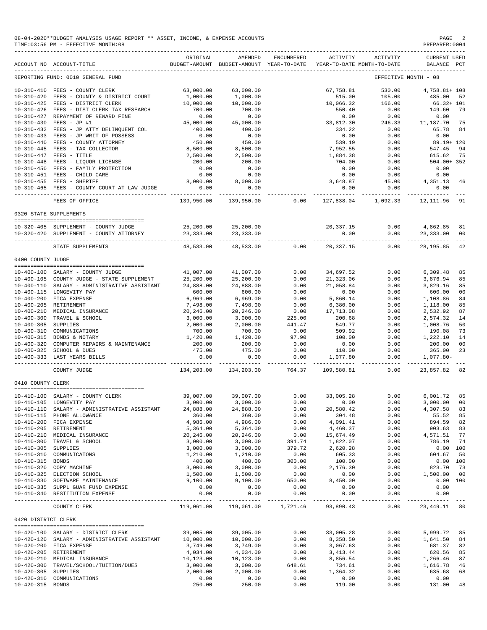| 08-04-2020**BUDGET ANALYSIS USAGE REPORT ** ASSET, INCOME, & EXPENSE ACCOUNTS | PAGE           |
|-------------------------------------------------------------------------------|----------------|
| TIME: 03:56 PM - EFFECTIVE MONTH: 08                                          | PREPARER: 0004 |

|                     | ACCOUNT NO ACCOUNT-TITLE                                                                                       | ORIGINAL           | AMENDED<br>BUDGET-AMOUNT BUDGET-AMOUNT YEAR-TO-DATE | ENCUMBERED              | ACTIVITY                | ACTIVITY<br>YEAR-TO-DATE MONTH-TO-DATE | <b>CURRENT USED</b><br>BALANCE PCT     |                |
|---------------------|----------------------------------------------------------------------------------------------------------------|--------------------|-----------------------------------------------------|-------------------------|-------------------------|----------------------------------------|----------------------------------------|----------------|
|                     | REPORTING FUND: 0010 GENERAL FUND                                                                              |                    |                                                     |                         |                         |                                        | EFFECTIVE MONTH - 08                   |                |
|                     |                                                                                                                |                    |                                                     |                         |                         |                                        |                                        |                |
|                     | 10-310-410 FEES - COUNTY CLERK                                                                                 | 63,000.00          | 63,000.00                                           |                         | 67,758.81               | 530.00                                 | 4,758.81+ 108                          |                |
| $10 - 310 - 420$    | FEES - COUNTY & DISTRICT COURT                                                                                 | 1,000.00           | 1,000.00                                            |                         | 515.00                  | 105.00                                 | 485.00                                 | 52             |
|                     | 10-310-425 FEES - DISTRICT CLERK                                                                               | 10,000.00          | 10,000.00                                           |                         | 10,066.32               | 166.00                                 | $66.32 + 101$                          |                |
|                     | 10-310-426 FEES - DIST CLERK TAX RESEARCH                                                                      | 700.00             | 700.00                                              |                         | 550.40                  | 0.00                                   | 149.60                                 | 79             |
| $10 - 310 - 427$    | REPAYMENT OF REWARD FINE                                                                                       | 0.00               | 0.00                                                |                         | 0.00                    | 0.00                                   | 0.00                                   |                |
|                     | 10-310-430 FEES - JP #1                                                                                        | 45,000.00          | 45,000.00                                           |                         | 33,812.30               | 246.33                                 | 11,187.70                              | 75             |
|                     | 10-310-432 FEES - JP ATTY DELINQUENT COL                                                                       | 400.00             | 400.00                                              |                         | 334.22                  | 0.00                                   | 65.78                                  | 84             |
|                     |                                                                                                                | 0.00               | 0.00                                                |                         | 0.00                    | 0.00                                   | 0.00                                   |                |
|                     | $10-310-433$ FEES - JP WRIT OF POSSESS<br>$10-310-440$ FEES - COUNTY ATTORNEY<br>FEES - COUNTY ATTORNEY        | 450.00             | 450.00                                              |                         | 539.19                  | 0.00                                   | 89.19+ 120                             |                |
|                     |                                                                                                                |                    |                                                     |                         |                         |                                        |                                        |                |
|                     | FEES - TAX COLLECTOR<br>$10-310-445$ FEES - TAX COLLECTOR<br>10-310-447<br>10-310-448<br>FEES - LIQUOR LICENSE | 8,500.00           | 8,500.00                                            |                         | 7,952.55                | 0.00                                   | 547.45                                 | 94             |
|                     |                                                                                                                | 2,500.00           | 2,500.00                                            |                         | 1,884.38                | 0.00                                   | 615.62                                 | 75             |
|                     |                                                                                                                | 200.00             | 200.00                                              |                         | 704.00                  | 0.00                                   | 504.00+352                             |                |
| $10 - 310 - 450$    | FEES - FAMILY PROTECTION                                                                                       | 0.00               | 0.00                                                |                         | 0.00                    | 0.00                                   | 0.00                                   |                |
|                     | 10-310-451 FEES - CHILD CARE                                                                                   | 0.00               | 0.00                                                |                         | 0.00                    | 0.00                                   | 0.00                                   |                |
|                     | 10-310-455 FEES - SHERIFF                                                                                      | 8,000.00           | 8,000.00                                            |                         | 3,648.87                | 45.00                                  | 4,351.13                               | 46             |
|                     | 10-310-465 FEES - COUNTY COURT AT LAW JUDGE                                                                    | 0.00               | 0.00                                                |                         | 0.00                    | 0.00                                   | 0.00                                   |                |
|                     |                                                                                                                | ------------       |                                                     |                         | -----------             | ------------                           | ------------                           |                |
|                     | FEES OF OFFICE                                                                                                 | 139,950.00         | 139,950.00                                          | 0.00                    | 127,838.04              | 1,092.33                               | 12,111.96                              | 91             |
|                     | 0320 STATE SUPPLEMENTS                                                                                         |                    |                                                     |                         |                         |                                        |                                        |                |
|                     |                                                                                                                |                    |                                                     |                         |                         |                                        |                                        |                |
|                     | 10-320-405 SUPPLEMENT - COUNTY JUDGE                                                                           | 25,200.00          | 25,200.00                                           |                         | 20,337.15               | 0.00                                   | 4,862.85                               | 81             |
|                     | 10-320-420 SUPPLEMENT - COUNTY ATTORNEY                                                                        | 23,333.00          | 23,333.00                                           |                         | 0.00                    | 0.00                                   | 23,333.00                              | 00             |
|                     |                                                                                                                |                    | ______________________________                      |                         | ------------            |                                        |                                        |                |
|                     | STATE SUPPLEMENTS                                                                                              | 48,533.00          | 48,533.00                                           | 0.00                    | 20,337.15               | 0.00                                   | 28,195.85                              | 42             |
| 0400 COUNTY JUDGE   |                                                                                                                |                    |                                                     |                         |                         |                                        |                                        |                |
|                     |                                                                                                                |                    |                                                     |                         |                         |                                        |                                        |                |
|                     | 10-400-100 SALARY - COUNTY JUDGE                                                                               | 41,007.00          | 41,007.00                                           | 0.00                    | 34,697.52               | 0.00                                   | 6,309.48                               | 85             |
|                     | 10-400-105 COUNTY JUDGE - STATE SUPPLEMENT                                                                     | 25,200.00          | 25,200.00                                           | 0.00                    | 21,323.06               | 0.00                                   | 3,876.94                               | 85             |
|                     |                                                                                                                |                    |                                                     |                         |                         |                                        |                                        |                |
|                     | 10-400-110 SALARY - ADMINISTRATIVE ASSISTANT                                                                   | 24,888.00          | 24,888.00                                           | 0.00                    | 21,058.84               | 0.00                                   | 3,829.16                               | 85             |
|                     | 10-400-115 LONGEVITY PAY                                                                                       | 600.00             | 600.00                                              | 0.00                    | 0.00                    | 0.00                                   | 600.00                                 | 00             |
|                     | 10-400-200 FICA EXPENSE                                                                                        | 6,969.00           | 6,969.00                                            | 0.00                    | 5,860.14                | 0.00                                   | 1,108.86                               | 84             |
|                     | 10-400-205 RETIREMENT                                                                                          | 7,498.00           | 7,498.00                                            | 0.00                    | 6,380.00                | 0.00                                   | 1,118.00                               | 85             |
|                     | 10-400-210 MEDICAL INSURANCE                                                                                   | 20,246.00          | 20,246.00                                           | 0.00                    | 17,713.08               | 0.00                                   | 2,532.92                               | 87             |
|                     | 10-400-300 TRAVEL & SCHOOL                                                                                     | 3,000.00           | 3,000.00                                            | 225.00                  | 200.68                  | 0.00                                   | 2,574.32                               | 14             |
| 10-400-305 SUPPLIES |                                                                                                                | 2,000.00           | 2,000.00                                            | 441.47                  | 549.77                  | 0.00                                   | 1,008.76                               | 50             |
| $10 - 400 - 310$    | COMMUNICATIONS                                                                                                 | 700.00             | 700.00                                              | 0.00                    | 509.92                  | 0.00                                   | 190.08                                 | 73             |
|                     | 10-400-315 BONDS & NOTARY                                                                                      | 1,420.00           | 1,420.00                                            | 97.90                   | 100.00                  | 0.00                                   | 1,222.10                               | 14             |
|                     |                                                                                                                |                    |                                                     |                         |                         |                                        |                                        |                |
|                     | 10-400-320 COMPUTER REPAIRS & MAINTENANCE                                                                      | 200.00             | 200.00                                              | 0.00                    | 0.00                    | 0.00                                   | 200.00                                 | 0 <sub>0</sub> |
|                     | 10-400-325 SCHOOL & DUES                                                                                       | 475.00             | 475.00                                              | 0.00                    | 110.00                  | 0.00                                   | 365.00                                 | 23             |
|                     | 10-400-333 LAST YEARS BILLS                                                                                    | 0.00               | 0.00<br>. _ _ _ _ _ _ _ _ _ _                       | 0.00<br>-------------   | 1,077.80<br>----------- | 0.00<br>------------                   | $1,077.80-$<br>. _ _ _ _ _ _ _ _ _ _ _ |                |
|                     | COUNTY JUDGE                                                                                                   | 134,203.00         | 134,203.00                                          | 764.37                  | 109,580.81              | 0.00                                   | 23,857.82                              | 82             |
| 0410 COUNTY CLERK   |                                                                                                                |                    |                                                     |                         |                         |                                        |                                        |                |
|                     |                                                                                                                |                    |                                                     |                         |                         |                                        |                                        |                |
|                     |                                                                                                                | 39,007.00          | 39,007.00                                           | 0.00                    | 33,005.28               | 0.00                                   | 6,001.72                               | 85             |
|                     | 10-410-100 SALARY - COUNTY CLERK<br>10-410-105 LONGEVITY PAY                                                   | 3,000.00           | 3,000.00                                            | 0.00                    | 0.00                    | 0.00                                   | 3,000.00                               | 0 <sub>0</sub> |
|                     | 10-410-110 SALARY - ADMINISTRATIVE ASSISTANT                                                                   | 24,888.00          | 24,888.00                                           | 0.00                    | 20,580.42               | 0.00                                   | 4,307.58                               | 83             |
|                     | 10-410-115 PHONE ALLOWANCE                                                                                     | 360.00             | 360.00                                              | 0.00                    | 304.48                  | 0.00                                   | 55.52                                  | 85             |
|                     | 10-410-200 FICA EXPENSE                                                                                        | 4,986.00           | 4,986.00                                            | 0.00                    | 4,091.41                | 0.00                                   | 894.59                                 | 82             |
|                     |                                                                                                                |                    |                                                     |                         |                         |                                        |                                        |                |
|                     | 10-410-205 RETIREMENT                                                                                          | 5,364.00           | 5,364.00                                            | 0.00                    | 4,460.37                | 0.00                                   | 903.63                                 | 83             |
|                     | 10-410-210 MEDICAL INSURANCE                                                                                   | 20,246.00          | 20,246.00                                           | 0.00                    | 15,674.49               | 0.00                                   | 4,571.51                               | 77             |
| $10 - 410 - 300$    | TRAVEL & SCHOOL                                                                                                | 3,000.00           | 3,000.00                                            | 391.74                  | 1,822.07                | 0.00                                   | 786.19                                 | 74             |
| 10-410-305 SUPPLIES |                                                                                                                | 3,000.00           | 3,000.00                                            | 379.72                  | 2,620.28                | 0.00                                   | 0.00 100                               |                |
| $10 - 410 - 310$    | COMMUNICATONS                                                                                                  | 1,210.00           | 1,210.00                                            | 0.00                    | 605.33                  | 0.00                                   | 604.67                                 | 50             |
| 10-410-315 BONDS    |                                                                                                                | 400.00             | 400.00                                              | 300.00                  | 100.00                  | 0.00                                   | 0.00 100                               |                |
|                     | 10-410-320 COPY MACHINE                                                                                        | 3,000.00           | 3,000.00                                            | 0.00                    | 2,176.30                | 0.00                                   | 823.70                                 | 73             |
|                     | 10-410-325 ELECTION SCHOOL                                                                                     | 1,500.00           | 1,500.00                                            | 0.00                    | 0.00                    | 0.00                                   | 1,500.00                               | 00             |
|                     |                                                                                                                | 9,100.00           | 9,100.00                                            |                         |                         |                                        | 0.00 100                               |                |
|                     | 10-410-330 SOFTWARE MAINTENANCE                                                                                |                    |                                                     | 650.00                  | 8,450.00                | 0.00                                   |                                        |                |
|                     | 10-410-335 SUPPL GUAR FUND EXPENSE                                                                             | 0.00               | 0.00                                                | 0.00                    | 0.00                    | 0.00                                   | 0.00                                   |                |
|                     | 10-410-340 RESTITUTION EXPENSE                                                                                 | 0.00<br>---------- | 0.00                                                | 0.00<br>$- - - - - - -$ | 0.00                    | 0.00<br>-----                          | 0.00                                   |                |
|                     | COUNTY CLERK                                                                                                   | 119,061.00         | 119,061.00                                          | 1,721.46                | 93,890.43               | 0.00                                   | 23, 449.11 80                          |                |
| 0420 DISTRICT CLERK |                                                                                                                |                    |                                                     |                         |                         |                                        |                                        |                |
|                     |                                                                                                                |                    |                                                     |                         |                         |                                        |                                        |                |
|                     | 10-420-100 SALARY - DISTRICT CLERK                                                                             | 39,005.00          | 39,005.00                                           | 0.00                    | 33,005.28               | 0.00                                   | 5,999.72                               | 85             |
|                     | 10-420-120 SALARY - ADMINISTRATIVE ASSISTANT                                                                   | 10,000.00          | 10,000.00                                           | 0.00                    | 8,358.50                | 0.00                                   | 1,641.50                               | 84             |
|                     | 10-420-200 FICA EXPENSE                                                                                        | 3,749.00           | 3,749.00                                            | 0.00                    | 3,067.63                | 0.00                                   | 681.37                                 | 82             |
|                     | 10-420-205 RETIREMENT                                                                                          | 4,034.00           | 4,034.00                                            | 0.00                    | 3, 413. 44              | 0.00                                   | 620.56                                 | 85             |
|                     | 10-420-210 MEDICAL INSURANCE                                                                                   | 10,123.00          | 10,123.00                                           | 0.00                    | 8,856.54                | 0.00                                   | 1,266.46                               | 87             |
| $10 - 420 - 300$    | TRAVEL/SCHOOL/TUITION/DUES                                                                                     | 3,000.00           | 3,000.00                                            | 648.61                  | 734.61                  | 0.00                                   | 1,616.78                               | 46             |
| 10-420-305 SUPPLIES |                                                                                                                | 2,000.00           | 2,000.00                                            | 0.00                    | 1,364.32                | 0.00                                   | 635.68                                 | 68             |
|                     |                                                                                                                |                    |                                                     |                         |                         |                                        |                                        |                |
| $10 - 420 - 310$    | COMMUNICATIONS                                                                                                 | 0.00               | 0.00                                                | 0.00                    | 0.00                    | 0.00                                   | 0.00                                   |                |
| 10-420-315 BONDS    |                                                                                                                | 250.00             | 250.00                                              | 0.00                    | 119.00                  | 0.00                                   | 131.00                                 | 48             |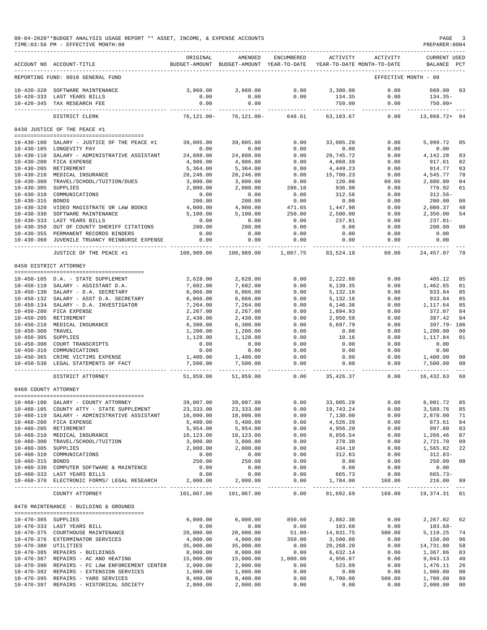#### 08-04-2020\*\*BUDGET ANALYSIS USAGE REPORT \*\* ASSET, INCOME, & EXPENSE ACCOUNTS PAGE 3<br>TIME:03:56 PM - EFFECTIVE MONTH:08  $TIME:03:56 PM - EFFECTIVE MOMTH:08$

|                                      | ACCOUNT NO ACCOUNT-TITLE                                                   | ORIGINAL                | AMENDED<br>BUDGET-AMOUNT BUDGET-AMOUNT YEAR-TO-DATE | ENCUMBERED        | ACTIVITY              | ACTIVITY<br>YEAR-TO-DATE MONTH-TO-DATE | CURRENT USED<br>BALANCE PCT  |                |
|--------------------------------------|----------------------------------------------------------------------------|-------------------------|-----------------------------------------------------|-------------------|-----------------------|----------------------------------------|------------------------------|----------------|
|                                      | REPORTING FUND: 0010 GENERAL FUND                                          |                         |                                                     |                   |                       | EFFECTIVE MONTH - 08                   |                              |                |
| $10 - 420 - 320$                     | SOFTWARE MAINTENANCE                                                       | 3,960.00                | 3,960.00                                            | 0.00              | 3,300.00              | 0.00                                   | 660.00                       | 83             |
|                                      | 10-420-333 LAST YEARS BILLS                                                | 0.00                    | 0.00                                                | 0.00              | 134.35                | 0.00                                   | $134.35-$                    |                |
|                                      | 10-420-345 TAX RESEARCH FEE                                                | 0.00                    | 0.00                                                |                   | 750.00                | 0.00                                   | $750.00+$                    |                |
|                                      | DISTRICT CLERK                                                             | $76, 121.00 -$          | $76, 121.00 -$                                      | 648.61            | 63,103.67             | -----<br>0.00                          | 13,868.72+ 84                |                |
|                                      | 0430 JUSTICE OF THE PEACE #1                                               |                         |                                                     |                   |                       |                                        |                              |                |
|                                      |                                                                            | 39,005.00               | 39,005.00                                           | 0.00              | 33,005.28             | 0.00                                   | 5,999.72                     | 85             |
| 10-430-100<br>$10 - 430 - 105$       | SALARY - JUSTICE OF THE PEACE #1<br>LONGEVITY PAY                          | 0.00                    | 0.00                                                | 0.00              | 0.00                  | 0.00                                   | 0.00                         |                |
| $10 - 430 - 110$                     | SALARY - ADMINISTRATIVE ASSISTANT                                          | 24,888.00               | 24,888.00                                           | 0.00              | 20,745.72             | 0.00                                   | 4,142.28                     | 83             |
| $10 - 430 - 200$                     | FICA EXPENSE                                                               | 4,986.00                | 4,986.00                                            | 0.00              | 4,068.39              | 0.00                                   | 917.61                       | 82             |
| $10 - 430 - 205$                     | RETIREMENT                                                                 | 5,364.00                | 5,364.00                                            | 0.00              | 4,449.23              | 0.00                                   | 914.77                       | 83             |
| $10 - 430 - 210$                     | MEDICAL INSURANCE                                                          | 20,246.00               | 20,246.00                                           | 0.00              | 15,700.23             | 0.00                                   | 4,545.77                     | 78             |
| $10 - 430 - 300$                     | TRAVEL/SCHOOL/TUITION/DUES                                                 | 3,000.00                | 3,000.00                                            | 0.00              | 120.00                | 60.00                                  | 2,880.00                     | 04             |
| $10 - 430 - 305$                     | SUPPLIES                                                                   | 2,000.00                | 2,000.00                                            | 286.10            | 936.98                | 0.00                                   | 776.92                       | 61             |
| $10 - 430 - 310$                     | COMMUNICATIONS                                                             | 0.00                    | 0.00                                                | 0.00              | 312.56                | 0.00                                   | $312.56-$                    |                |
| $10 - 430 - 315$                     | <b>BONDS</b>                                                               | 200.00                  | 200.00                                              | 0.00              | 0.00                  | 0.00                                   | 200.00                       | 0 <sup>0</sup> |
| $10 - 430 - 320$                     | VIDEO MAGISTRATE OR LAW BOOKS                                              | 4,000.00                | 4,000.00                                            | 471.65            | 1,447.98              | 0.00                                   | 2,080.37                     | 48             |
| $10 - 430 - 330$                     | SOFTWARE MAINTENANCE                                                       | 5,100.00                | 5,100.00                                            | 250.00            | 2,500.00              | 0.00                                   | 2,350.00                     | 54             |
| $10 - 430 - 333$<br>$10 - 430 - 350$ | LAST YEARS BILLS<br>OUT OF COUNTY SHERIFF CITATIONS                        | 0.00<br>200.00          | 0.00<br>200.00                                      | 0.00<br>0.00      | 237.81<br>0.00        | 0.00<br>0.00                           | $237.81-$<br>200.00          | 0 <sup>0</sup> |
| $10 - 430 - 355$                     | PERMANENT RECORDS BINDERS                                                  | 0.00                    | 0.00                                                | 0.00              | 0.00                  | 0.00                                   | 0.00                         |                |
| $10 - 430 - 360$                     | JUVENILE TRUANCY REINBURSE EXPENSE                                         | 0.00                    | 0.00                                                | 0.00              | 0.00                  | 0.00                                   | 0.00                         |                |
|                                      | -------------------                                                        | -----------             |                                                     |                   |                       |                                        |                              |                |
|                                      | JUSTICE OF THE PEACE #1                                                    | 108,989.00              | 108,989.00                                          | 1,007.75          | 83,524.18             | 60.00                                  | 24, 457.07                   | 78             |
|                                      | 0450 DISTRICT ATTORNEY                                                     |                         |                                                     |                   |                       |                                        |                              |                |
|                                      | 10-450-105 D.A. - STATE SUPPLEMENT                                         | 2,628.00                | 2,628.00                                            | 0.00              | 2,222.88              | 0.00                                   | 405.12                       | 85             |
|                                      | 10-450-110 SALARY - ASSISTANT D.A.                                         | 7,602.00                | 7,602.00                                            | 0.00              | 6,139.35              | 0.00                                   | 1,462.65                     | 81             |
| $10 - 450 - 130$                     | SALARY - D.A. SECRETARY                                                    | 6,066.00                | 6,066.00                                            | 0.00              | 5,132.16              | 0.00                                   | 933.84                       | 85             |
| 10-450-132                           | SALARY - ASST D.A. SECRETARY                                               | 6,066.00                | 6,066.00                                            | 0.00              | 5,132.16              | 0.00                                   | 933.84                       | 85             |
| $10 - 450 - 134$                     | SALARY - D.A. INVESTIGATOR                                                 | 7,264.00                | 7,264.00                                            | 0.00              | 6,146.36              | 0.00                                   | 1,117.64                     | 85             |
| $10 - 450 - 200$                     | FICA EXPENSE                                                               | 2,267.00                | 2,267.00                                            | 0.00              | 1,894.93              | 0.00                                   | 372.07                       | 84             |
| $10 - 450 - 205$<br>$10 - 450 - 210$ | RETIREMENT<br>MEDICAL INSURANCE                                            | 2,438.00<br>6,300.00    | 2,438.00                                            | 0.00<br>0.00      | 2,050.58<br>6,697.79  | 0.00<br>0.00                           | 387.42<br>397.79- 106        | 84             |
| $10 - 450 - 300$                     | TRAVEL                                                                     | 1,200.00                | 6,300.00<br>1,200.00                                | 0.00              | 0.00                  | 0.00                                   | 1,200.00                     | 0 <sub>0</sub> |
| $10 - 450 - 305$                     | SUPPLIES                                                                   | 1,128.00                | 1,128.00                                            | 0.00              | 10.16                 | 0.00                                   | 1,117.84                     | 01             |
| $10 - 450 - 308$                     | COURT TRANSCRIPTS                                                          | 0.00                    | 0.00                                                | 0.00              | 0.00                  | 0.00                                   | 0.00                         |                |
| 10-450-310                           | COMMUNICATIONS                                                             | 0.00                    | 0.00                                                | 0.00              | 0.00                  | 0.00                                   | 0.00                         |                |
| $10 - 450 - 365$                     | CRIME VICTIMS EXPENSE                                                      | 1,400.00                | 1,400.00                                            | 0.00              | 0.00                  | 0.00                                   | 1,400.00                     | 0 <sub>0</sub> |
| $10 - 450 - 538$                     | LEGAL STATEMENTS OF FACT                                                   | 7,500.00                | 7.500.00                                            | 0.00<br>$- - - -$ | 0.00                  | 0.00                                   | 7,500.00                     | 00             |
|                                      | DISTRICT ATTORNEY                                                          | 51,859.00               | 51,859.00                                           | 0.00              | 35,426.37             | 0.00                                   | 16,432.63                    | 68             |
| 0460 COUNTY ATTORNEY                 |                                                                            |                         |                                                     |                   |                       |                                        |                              |                |
|                                      |                                                                            |                         |                                                     |                   |                       |                                        |                              |                |
|                                      | 10-460-100 SALARY - COUNTY ATTORNEY                                        | 39,007.00               | 39,007.00                                           | 0.00              | 33,005.28             | 0.00                                   | 6,001.72                     | 85             |
|                                      | 10-460-105 COUNTY ATTY - STATE SUPPLEMENT                                  | 23, 333.00<br>10,000.00 | 23, 333.00<br>10,000.00                             | 0.00              | 19,743.24<br>7,130.00 | 0.00                                   | 3,589.76<br>2,870.00         | 85<br>71       |
|                                      | 10-460-110 SALARY - ADMINISTRATIVE ASSISTANT<br>10-460-200 FICA EXPENSE    | 5,400.00                | 5,400.00                                            | 0.00<br>0.00      | 4,526.39              | 0.00<br>0.00                           | 873.61                       | 84             |
|                                      | 10-460-205 RETIREMENT                                                      | 5,954.00                | 5,954.00                                            | 0.00              | 4,956.20              | 0.00                                   | 997.80                       | 83             |
|                                      | 10-460-210 MEDICAL INSURANCE                                               | 10,123.00               | 10,123.00                                           | 0.00              | 8,856.54              | 0.00                                   | 1,266.46                     | 87             |
|                                      | 10-460-300 TRAVEL/SCHOOL/TUITION                                           | 3,000.00                | 3,000.00                                            | 0.00              | 278.30                | 0.00                                   | 2,721.70                     | 09             |
| 10-460-305 SUPPLIES                  |                                                                            | 2,000.00                | 2,000.00                                            | 0.00              | 434.18                | 0.00                                   | 1,565.82                     | 22             |
|                                      | 10-460-310 COMMUNICATIONS                                                  | 0.00                    | 0.00                                                | 0.00              | 312.83                | 0.00                                   | $312.83-$                    |                |
| 10-460-315 BONDS                     |                                                                            | 250.00                  | 250.00                                              | 0.00              | 0.00                  | 0.00                                   | 250.00                       | 0 <sub>0</sub> |
|                                      | 10-460-330 COMPUTER SOFTWARE & MAINTENCE                                   | 0.00                    | 0.00                                                | 0.00              | 0.00                  | 0.00                                   | 0.00                         |                |
|                                      | 10-460-333 LAST YEARS BILLS<br>10-460-370 ELECTRONIC FORMS/ LEGAL RESEARCH | 0.00<br>2,000.00        | 0.00<br>2,000.00                                    | 0.00<br>0.00      | 665.73<br>1,784.00    | 0.00<br>168.00                         | 665.73-<br>216.00            | 89             |
|                                      | COUNTY ATTORNEY                                                            |                         |                                                     | -------           | ____________          | -------------                          | . <u>.</u><br>19, 374. 31 81 |                |
|                                      |                                                                            | 101,067.00              | 101,067.00                                          | 0.00              | 81,692.69             | 168.00                                 |                              |                |
|                                      | 0470 MAINTENANCE - BUILDING & GROUNDS                                      |                         |                                                     |                   |                       |                                        |                              |                |
| 10-470-305 SUPPLIES                  |                                                                            | 6,000.00                | 6,000.00                                            | 850.60            | 2,882.38              | 0.00                                   | 2,267.02                     | 62             |
|                                      | 10-470-333 LAST YEARS BILL                                                 | 0.00                    | 0.00                                                | 0.00              | 103.68                | 0.00                                   | $103.68-$                    |                |
|                                      | 10-470-375 COURTHOUSE MAINTENANCE                                          | 20,000.00               | 20,000.00                                           | $51.00 -$         | 14,931.75             | 500.00                                 | 5,119.25                     | 74             |
|                                      | 10-470-376 EXTERMINATOR SERVICES                                           | 4,000.00                | 4,000.00                                            | 350.00            | 3,500.00              | 0.00                                   | 150.00                       | 96             |
| 10-470-380 UTILITIES                 |                                                                            | 35,000.00               | 35,000.00                                           | 0.00              | 20,268.20             | 0.00                                   | 14,731.80                    | 58             |
|                                      | 10-470-385 REPAIRS - BUILDINGS<br>10-470-387 REPAIRS - AC AND HEATING      | 8,000.00<br>15,000.00   | 8,000.00<br>15,000.00                               | 0.00<br>1,000.00  | 6,632.14<br>4,956.87  | 0.00<br>0.00                           | 1,367.86<br>9,043.13         | 83<br>40       |
|                                      | 10-470-390 REPAIRS - FC LAW ENFORCEMENT CENTER                             | 2,000.00                | 2,000.00                                            | 0.00              | 523.89                | 0.00                                   | 1,476.11                     | 26             |
|                                      | 10-470-392 REPAIRS - EXTENSION SERVICES                                    | 1,000.00                | 1,000.00                                            | 0.00              | 0.00                  | 0.00                                   | 1,000.00                     | 0 <sub>0</sub> |
|                                      | 10-470-395 REPAIRS - YARD SERVICES                                         | 8,400.00                | 8,400.00                                            | 0.00              | 6,700.00              | 500.00                                 | 1,700.00                     | 80             |
|                                      | 10-470-397 REPAIRS - HISTORICAL SOCIETY                                    | 2,000.00                | 2,000.00                                            | 0.00              | 0.00                  | 0.00                                   | 2,000.00                     | 0 <sub>0</sub> |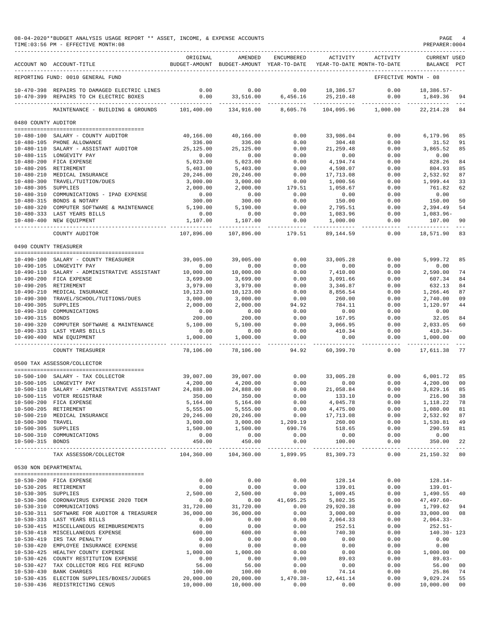|                       | 08-04-2020**BUDGET ANALYSIS USAGE REPORT ** ASSET, INCOME, & EXPENSE ACCOUNTS<br>TIME: 03:56 PM - EFFECTIVE MONTH: 08 |                        |                                                                                |                            |                            |                       | PREPARER: 0004                            | PAGE 4          |
|-----------------------|-----------------------------------------------------------------------------------------------------------------------|------------------------|--------------------------------------------------------------------------------|----------------------------|----------------------------|-----------------------|-------------------------------------------|-----------------|
|                       | ACCOUNT NO ACCOUNT-TITLE<br>-------------------------------                                                           | ORIGINAL               | AMENDED<br>BUDGET-AMOUNT BUDGET-AMOUNT YEAR-TO-DATE YEAR-TO-DATE MONTH-TO-DATE | ENCUMBERED                 |                            | ACTIVITY ACTIVITY     | <b>CURRENT USED</b><br>BALANCE PCT        |                 |
|                       | REPORTING FUND: 0010 GENERAL FUND                                                                                     |                        |                                                                                |                            |                            |                       | EFFECTIVE MONTH - 08                      |                 |
|                       | 10-470-398 REPAIRS TO DAMAGED ELECTRIC LINES<br>10-470-399 REPAIRS TO CH ELECTRIC BOXES                               | 0.00                   | 0.00<br>$0.00$ 33, 516.00 6, 456.16 25, 210.48                                 |                            | $0.00$ 18,386.57           | 0.00<br>0.00          | 18,386.57-<br>1,849.36 94                 |                 |
|                       | MAINTENANCE - BUILDING & GROUNDS 101,400.00 134,916.00 8,605.76                                                       |                        |                                                                                |                            |                            |                       | 104,095.96    1,000.00    22,214.28    84 | $- - -$         |
| 0480 COUNTY AUDITOR   |                                                                                                                       |                        |                                                                                |                            |                            |                       |                                           |                 |
|                       |                                                                                                                       |                        |                                                                                |                            |                            |                       |                                           |                 |
|                       | 10-480-100 SALARY - COUNTY AUDITOR                                                                                    | 40,166.00              | 40,166.00                                                                      | 0.00                       | 33,986.04                  | 0.00                  | 6,179.96                                  | 85              |
|                       | 10-480-105 PHONE ALLOWANCE                                                                                            | 336.00                 | 336.00                                                                         | 0.00                       | 304.48                     | 0.00                  | 31.52                                     | 91              |
|                       | 10-480-110 SALARY - ASSISTANT AUDITOR 25,125.00<br>10-480-115 LONGEVITY PAY                                           | 0.00                   | 25,125.00<br>0.00                                                              | 0.00<br>0.00               | 21, 259.48<br>0.00         | 0.00<br>0.00          | 3,865.52<br>0.00                          | 85              |
|                       | 10-480-200 FICA EXPENSE                                                                                               | 5,023.00               | 5,023.00                                                                       | 0.00                       | 4,194.74                   | 0.00                  | 828.26                                    | 84              |
|                       | 10-480-205 RETIREMENT                                                                                                 | 5,403.00               | 5,403.00                                                                       | 0.00                       | 4,598.07                   | 0.00                  | 804.93                                    | 85              |
|                       | 10-480-210 MEDICAL INSURANCE                                                                                          | 20,246.00              | 20,246.00                                                                      | 0.00                       | 17,713.08                  | 0.00                  | 2,532.92                                  | 87              |
|                       | 10-480-300 TRAVEL/TUITION/DUES                                                                                        | 3,000.00               | 3,000.00                                                                       | 0.00                       | 1,000.56                   | 0.00                  | 1,999.44                                  | 33              |
| 10-480-305 SUPPLIES   |                                                                                                                       | 2,000.00               | 2,000.00                                                                       | 179.51                     | 1,058.67                   | 0.00                  | 761.82                                    | 62              |
|                       | 10-480-310 COMMUNICATIONS - IPAD EXPENSE                                                                              | 0.00                   | 0.00                                                                           | 0.00                       | 0.00                       | 0.00                  | 0.00                                      |                 |
|                       | 10-480-315 BONDS & NOTARY                                                                                             | 300.00                 | 300.00                                                                         | 0.00                       | 150.00                     | 0.00                  | 150.00                                    | 50              |
|                       | 10-480-320 COMPUTER SOFTWARE & MAINTENANCE 5,190.00                                                                   |                        | 5,190.00                                                                       | 0.00                       | 2,795.51                   | 0.00                  | 2,394.49                                  | 54              |
|                       | 10-480-333 LAST YEARS BILLS                                                                                           | 0.00                   | 0.00                                                                           | 0.00                       | 1,083.96                   | 0.00                  | 1,083.96-                                 |                 |
|                       | 10-480-400 NEW EQUIPMENT                                                                                              | 1,107.00               | 1,107.00                                                                       | 0.00<br>__________         | 1,000.00                   | 0.00<br>--------      | 107.00<br>-----------                     | 90<br>$- - -$   |
|                       | COUNTY AUDITOR                                                                                                        | 107,896.00             | 107,896.00                                                                     | 179.51                     | 89,144.59                  | 0.00                  | 18,571.90                                 | 83              |
| 0490 COUNTY TREASURER |                                                                                                                       |                        |                                                                                |                            |                            |                       |                                           |                 |
|                       | 10-490-100 SALARY - COUNTY TREASURER                                                                                  |                        |                                                                                |                            |                            |                       |                                           | 85              |
|                       | 10-490-105 LONGEVITY PAY                                                                                              | 39,005.00<br>0.00      | 39,005.00<br>0.00                                                              | 0.00<br>0.00               | 33,005.28<br>0.00          | 0.00<br>0.00          | 5,999.72<br>0.00                          |                 |
|                       | 10-490-110 SALARY - ADMINISTRATIVE ASSISTANT                                                                          | 10,000.00              | 10,000.00                                                                      | 0.00                       | 7,410.00                   | 0.00                  | 2,590.00                                  | 74              |
|                       | 10-490-200 FICA EXPENSE                                                                                               | 3,699.00               | 3,699.00                                                                       | 0.00                       | 3,091.66                   | 0.00                  | 607.34                                    | 84              |
|                       | 10-490-205 RETIREMENT                                                                                                 | 3,979.00               | 3,979.00                                                                       | 0.00                       | 3,346.87                   | 0.00                  | 632.13                                    | 84              |
|                       | 10-490-210 MEDICAL INSURANCE                                                                                          | 10,123.00              | 10,123.00                                                                      | 0.00                       | 8,856.54                   | 0.00                  | 1,266.46                                  | 87              |
|                       | 10-490-300 TRAVEL/SCHOOL/TUITIONS/DUES                                                                                | 3,000.00               | 3,000.00                                                                       | 0.00                       | 260.00                     | 0.00                  | 2,740.00                                  | 09              |
| 10-490-305 SUPPLIES   |                                                                                                                       | 2,000.00               | 2,000.00                                                                       | 94.92                      | 784.11                     | 0.00                  | 1,120.97                                  | 44              |
|                       | 10-490-310 COMMUNICATIONS                                                                                             | 0.00                   | 0.00                                                                           | 0.00                       | 0.00                       | 0.00                  | 0.00                                      |                 |
| 10-490-315 BONDS      |                                                                                                                       | 200.00                 | 200.00                                                                         | 0.00                       | 167.95                     | 0.00                  | 32.05                                     | 84              |
|                       | 10-490-320 COMPUTER SOFTWARE & MAINTENANCE                                                                            | 5,100.00               | 5,100.00                                                                       | 0.00                       | 3,066.95                   | 0.00                  | 2,033.05                                  | 60              |
|                       | 10-490-333 LAST YEARS BILLS<br>10-490-400 NEW EQUIPMENT                                                               | 0.00<br>1,000.00       | 0.00<br>1,000.00                                                               | 0.00<br>0.00               | 410.34<br>0.00             | 0.00<br>0.00          | $410.34-$<br>1,000.00                     | - 00            |
|                       | COUNTY TREASURER                                                                                                      | .<br>78,106.00         | -----------<br>78,106.00                                                       | _______________<br>94.92   | -------------<br>60,399.70 | ----------- -<br>0.00 | . _ _ _ _ _ _ _ _ _ _<br>17,611.38        | $- - - -$<br>77 |
|                       |                                                                                                                       |                        |                                                                                |                            |                            |                       |                                           |                 |
|                       | 0500 TAX ASSESSOR/COLLECTOR                                                                                           |                        |                                                                                |                            |                            |                       |                                           |                 |
|                       | 10-500-100 SALARY - TAX COLLECTOR                                                                                     | 39,007.00              | 39,007.00                                                                      | 0.00                       | 33,005.28                  | 0.00                  | 6,001.72 85                               |                 |
|                       | 10-500-105 LONGEVITY PAY                                                                                              | 4,200.00               | 4,200.00                                                                       | 0.00                       | 0.00                       | 0.00                  | 4,200.00 00                               |                 |
|                       | 10-500-110 SALARY - ADMINISTRATIVE ASSISTANT                                                                          | 24,888.00              | 24,888.00                                                                      | 0.00                       | 21,058.84                  | 0.00                  | 3,829.16 85                               |                 |
|                       | 10-500-115 VOTER REGISTRAR                                                                                            | 350.00                 | 350.00                                                                         | 0.00                       | 133.10                     | 0.00                  | 216.90 38                                 |                 |
|                       | 10-500-200 FICA EXPENSE                                                                                               | 5,164.00               | 5,164.00                                                                       | 0.00                       | 4,045.78                   | 0.00                  | 1, 118.22 78                              |                 |
|                       | 10-500-205 RETIREMENT<br>10-500-210 MEDICAL INSURANCE                                                                 | 5,555.00<br>20,246.00  | 5,555.00<br>20,246.00                                                          | 0.00<br>0.00               | 4,475.00<br>17,713.08      | 0.00<br>0.00          | 1,080.00 81<br>2,532.92 87                |                 |
| 10-500-300 TRAVEL     |                                                                                                                       | 3,000.00               |                                                                                | 3,000.00 1,209.19          | 260.00                     | 0.00                  | 1,530.81 49                               |                 |
| 10-500-305 SUPPLIES   |                                                                                                                       | 1,500.00               | 1,500.00                                                                       | 690.76                     | 518.65                     | 0.00                  | 290.59 81                                 |                 |
|                       | 10-500-310 COMMUNICATIONS                                                                                             | 0.00                   | 0.00                                                                           | 0.00                       | 0.00                       | 0.00                  | 0.00                                      |                 |
| 10-500-315 BONDS      |                                                                                                                       | 450.00                 | 450.00                                                                         | 0.00                       | 100.00                     | 0.00                  | 350.00 22                                 |                 |
|                       | TAX ASSESSOR/COLLECTOR                                                                                                | 104,360.00             | 104,360.00                                                                     | 1,899.95                   | 81,309.73                  | 0.00                  | 21, 150. 32 80                            |                 |
| 0530 NON DEPARTMENTAL |                                                                                                                       |                        |                                                                                |                            |                            |                       |                                           |                 |
|                       |                                                                                                                       |                        |                                                                                |                            |                            |                       |                                           |                 |
|                       | 10-530-200 FICA EXPENSE                                                                                               | 0.00                   | 0.00                                                                           | 0.00                       | 128.14                     | 0.00                  | $128.14-$                                 |                 |
|                       | 10-530-205 RETIREMENT                                                                                                 | 0.00                   | 0.00                                                                           | 0.00                       | 139.01                     | 0.00                  | 139.01-                                   |                 |
| 10-530-305 SUPPLIES   | 10-530-306 CORONAVIRUS EXPENSE 2020 TDEM                                                                              | 2,500.00<br>0.00       | 2,500.00                                                                       | 0.00<br>$0.00$ $41,695.25$ | 1,009.45<br>5,802.35       | 0.00<br>0.00          | 1,490.55 40<br>47,497.60-                 |                 |
|                       | 10-530-310 COMMUNICATIONS                                                                                             | 31,720.00              | 31,720.00                                                                      | 0.00                       | 29,920.38                  | 0.00                  | 1,799.62 94                               |                 |
|                       | 10-530-311 SOFTWARE FOR AUDITOR & TREASURER                                                                           | 36,000.00              | 36,000.00                                                                      | 0.00                       | 3,000.00                   | 0.00                  | 33,000.00 08                              |                 |
|                       | 10-530-333 LAST YEARS BILLS                                                                                           | 0.00                   | 0.00                                                                           | 0.00                       | 2,064.33                   | 0.00                  | 2,064.33-                                 |                 |
|                       | 10-530-415 MISCELLANEOUS REIMBURSEMENTS                                                                               | 0.00                   | 0.00                                                                           | 0.00                       | 252.51                     | 0.00                  | $252.51-$                                 |                 |
|                       | 10-530-418 MISCELLANEOUS EXPENSE                                                                                      | 600.00                 | 600.00                                                                         | 0.00                       | 740.30                     | 0.00                  | 140.30-123                                |                 |
|                       | 10-530-419 IRS TAX PENALTY                                                                                            | 0.00                   | 0.00                                                                           | 0.00                       | 0.00                       | 0.00                  | 0.00                                      |                 |
|                       | 10-530-420 EMPLOYEE INSURANCE EXPENSE                                                                                 | 0.00                   | 0.00                                                                           | 0.00                       | 0.00                       | 0.00                  | 0.00                                      |                 |
|                       | 10-530-425 HEALTHY COUNTY EXPENSE                                                                                     | 1,000.00               | 1,000.00                                                                       | 0.00                       | 0.00                       | 0.00                  | 1,000.00 00                               |                 |
|                       | 10-530-426 COUNTY RESTITUTION EXPENSE                                                                                 | 0.00                   | 0.00                                                                           | 0.00                       | 89.03                      | 0.00                  | $89.03 -$                                 |                 |
|                       | 10-530-427 TAX COLLECTOR REG FEE REFUND                                                                               | 56.00                  | 56.00                                                                          | 0.00                       | 0.00                       | 0.00                  | 56.00 00                                  |                 |
|                       | 10-530-430 BANK CHARGES                                                                                               | 100.00                 | 100.00                                                                         | 0.00                       | 74.14                      | 0.00                  | 25.86 74                                  |                 |
|                       | 10-530-435 ELECTION SUPPLIES/BOXES/JUDGES                                                                             | 20,000.00<br>10,000.00 | 20,000.00<br>10,000.00                                                         | $1,470.38-$<br>0.00        | 12,441.14<br>0.00          | 0.00                  | 9,029.24 55                               |                 |
|                       | 10-530-436 REDISTRICTING CENUS                                                                                        |                        |                                                                                |                            |                            | 0.00                  | 10,000.00 00                              |                 |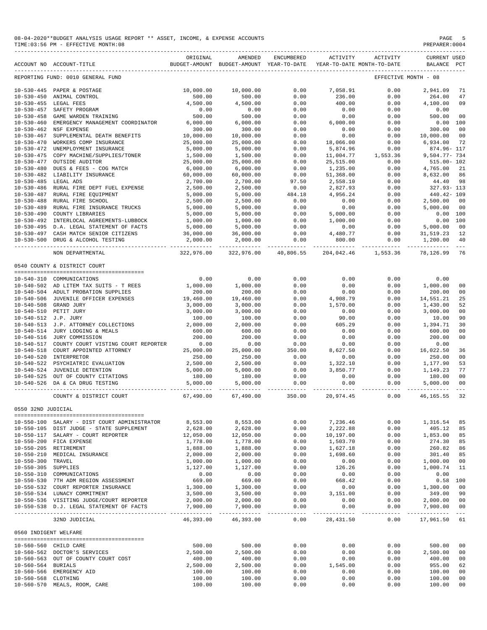|                                      | 08-04-2020**BUDGET ANALYSIS USAGE REPORT ** ASSET, INCOME, & EXPENSE ACCOUNTS<br>TIME: 03:56 PM - EFFECTIVE MONTH: 08 |                         |                                                                                |                     |                                             |                                                                                                                                                                           | PAGE<br>PREPARER: 0004             | -5                  |
|--------------------------------------|-----------------------------------------------------------------------------------------------------------------------|-------------------------|--------------------------------------------------------------------------------|---------------------|---------------------------------------------|---------------------------------------------------------------------------------------------------------------------------------------------------------------------------|------------------------------------|---------------------|
|                                      | ACCOUNT NO ACCOUNT-TITLE                                                                                              | ORIGINAL                | AMENDED<br>BUDGET-AMOUNT BUDGET-AMOUNT YEAR-TO-DATE YEAR-TO-DATE MONTH-TO-DATE | ENCUMBERED          | ACTIVITY                                    | ACTIVITY                                                                                                                                                                  | <b>CURRENT USED</b><br>BALANCE PCT |                     |
|                                      | REPORTING FUND: 0010 GENERAL FUND                                                                                     |                         |                                                                                |                     |                                             |                                                                                                                                                                           | EFFECTIVE MONTH - 08               |                     |
|                                      | 10-530-445 PAPER & POSTAGE                                                                                            | 10,000.00               | 10,000.00                                                                      | 0.00                | 7,058.91                                    | 0.00                                                                                                                                                                      | 2,941.09                           | 71                  |
|                                      | 10-530-450 ANIMAL CONTROL                                                                                             | 500.00                  | 500.00                                                                         | 0.00                | 236.00                                      | 0.00                                                                                                                                                                      | 264.00                             | 47                  |
|                                      | 10-530-455 LEGAL FEES                                                                                                 | 4,500.00                | 4,500.00                                                                       | 0.00                | 400.00                                      | 0.00                                                                                                                                                                      | 4,100.00                           | 09                  |
|                                      | 10-530-457 SAFETY PROGRAM                                                                                             | 0.00                    | 0.00                                                                           | 0.00                | 0.00                                        | 0.00                                                                                                                                                                      | 0.00                               |                     |
|                                      | 10-530-458 GAME WARDEN TRAINING                                                                                       | 500.00                  | 500.00                                                                         | 0.00                | 0.00                                        | 0.00                                                                                                                                                                      | 500.00                             | 00                  |
|                                      | 10-530-460 EMERGENCY MANAGEMENT COORDINATOR                                                                           | 6,000.00                | 6,000.00                                                                       | 0.00                | 6,000.00                                    | 0.00                                                                                                                                                                      | $0.00$ 100                         |                     |
| $10 - 530 - 467$                     | 10-530-462 NSF EXPENSE<br>SUPPLEMENTAL DEATH BENEFITS                                                                 | 300.00<br>10,000.00     | 300.00<br>10,000.00                                                            | 0.00<br>0.00        | 0.00                                        | 0.00                                                                                                                                                                      | 300.00<br>10,000.00                | 00<br>00            |
| $10 - 530 - 470$                     | WORKERS COMP INSURANCE                                                                                                | 25,000.00               | 25,000.00                                                                      | 0.00                |                                             |                                                                                                                                                                           | 6,934.00                           | 72                  |
| 10-530-472                           | UNEMPLOYMENT INSURANCE                                                                                                | 5,000.00                | 5,000.00                                                                       | 0.00                | 5,874.96                                    | $\begin{array}{cccc} & 0. \cup \cup \\ 18,066.00 & & & \cup \\ 5,874.96 & & & 0.00 \\ 11,004.77 & & 1,553.36 \\ -& 515.00 & & & 0.00 \\ 0.00 & & & & 0.00 \\ \end{array}$ | 874.96- 117                        |                     |
| $10 - 530 - 475$                     | COPY MACHINE/SUPPLIES/TONER                                                                                           | 1,500.00                | 1,500.00                                                                       | 0.00                |                                             |                                                                                                                                                                           | 9,504.77- 734                      |                     |
| 10-530-477                           | OUTSIDE AUDITOR                                                                                                       | 25,000.00               | 25,000.00                                                                      | 0.00                |                                             |                                                                                                                                                                           | 515.00- 102                        |                     |
| $10 - 530 - 480$                     | DUES & FEES - COG MATCH                                                                                               | 6,000.00                | 6,000.00                                                                       | 0.00                | 1,235.00                                    |                                                                                                                                                                           |                                    | 21                  |
|                                      | 10-530-482 LIABILITY INSURANCE                                                                                        | 60,000.00               | 60,000.00                                                                      | 0.00                | 51,368.00                                   | 0.00                                                                                                                                                                      | 4,765.00<br>8,632.00               | 86                  |
| 10-530-485 LEGAL ADS                 |                                                                                                                       | 2,700.00                | 2,700.00                                                                       |                     | 2,558.10                                    | 0.00                                                                                                                                                                      | 44.40                              | 98                  |
|                                      | 10-530-486 RURAL FIRE DEPT FUEL EXPENSE                                                                               | 2,500.00                | 2,500.00                                                                       | $97.50$<br>$0.00$   | 2,558.10<br>2,827.93                        | 0.00                                                                                                                                                                      | 327.93-113                         |                     |
| $10 - 530 - 487$                     | RURAL FIRE EQUIPMENT                                                                                                  | 5,000.00                | 5,000.00                                                                       | 484.18              | 4,956.24                                    | 0.00                                                                                                                                                                      | 440.42- 109                        |                     |
| $10 - 530 - 488$                     | RURAL FIRE SCHOOL                                                                                                     | 2,500.00                | 2,500.00                                                                       | 0.00                |                                             | 0.00                                                                                                                                                                      | 2,500.00                           | 00                  |
|                                      | 10-530-489 RURAL FIRE INSURANCE TRUCKS                                                                                | 5,000.00                | 5,000.00                                                                       | 0.00                | $\begin{array}{c} 0.00 \\ 0.00 \end{array}$ | 0.00                                                                                                                                                                      | 5,000.00                           | 00                  |
| $10 - 530 - 490$                     | COUNTY LIBRARIES                                                                                                      | 5,000.00                | 5,000.00                                                                       | 0.00                | 5,000.00                                    | 0.00                                                                                                                                                                      | 0.00 100                           |                     |
|                                      | 10-530-492 INTERLOCAL AGREEMENTS-LUBBOCK                                                                              | 1,000.00                | 1,000.00                                                                       | $0.00$<br>0.00      |                                             | 0.00                                                                                                                                                                      | 0.00 100                           |                     |
|                                      | 10-530-495 D.A. LEGAL STATEMENT OF FACTS                                                                              | 5,000.00                | 5,000.00                                                                       |                     |                                             | 0.00                                                                                                                                                                      | 5,000.00                           | 00                  |
|                                      | 10-530-497 CASH MATCH SENIOR CITIZENS                                                                                 | 36,000.00               | 36,000.00                                                                      |                     |                                             | 0.00                                                                                                                                                                      | 31,519.23                          | 12                  |
|                                      | 10-530-500 DRUG & ALCOHOL TESTING                                                                                     | 2,000.00                | 2,000.00                                                                       | $0.00$<br>0.00      | $1,000.00$<br>0.00<br>4,480.77<br>800.00    | 0.00                                                                                                                                                                      | 1,200.00                           | 40                  |
|                                      | NON DEPARTMENTAL                                                                                                      | 322,976.00              | 322,976.00 40,806.55                                                           |                     |                                             |                                                                                                                                                                           | 204,042.46 1,553.36 78,126.99      | 76                  |
|                                      | 0540 COUNTY & DISTRICT COURT                                                                                          |                         |                                                                                |                     |                                             |                                                                                                                                                                           |                                    |                     |
|                                      |                                                                                                                       |                         |                                                                                |                     |                                             |                                                                                                                                                                           |                                    |                     |
|                                      | 10-540-310 COMMUNICATIONS                                                                                             | 0.00                    | 0.00                                                                           | 0.00<br>0.00        | 0.00<br>0.00                                | 0.00<br>0.00                                                                                                                                                              | 0.00                               |                     |
|                                      | 10-540-502 AD LITEM TAX SUITS - T REES<br>10-540-504 ADULT PROBATION SUPPLIES                                         | 1,000.00<br>200.00      | 1,000.00<br>200.00                                                             | 0.00                | 0.00                                        | 0.00                                                                                                                                                                      | 1,000.00<br>200.00                 | 00<br>00            |
|                                      | 10-540-506 JUVENILE OFFICER EXPENSES                                                                                  | 19,460.00               | 19,460.00                                                                      | 0.00                | 4,908.79                                    | 0.00                                                                                                                                                                      | 14,551.21                          | 25                  |
|                                      | 10-540-508 GRAND JURY                                                                                                 | 3,000.00                | 3,000.00                                                                       | 0.00                | 1,570.00                                    | 0.00                                                                                                                                                                      | 1,430.00                           | 52                  |
|                                      | 10-540-510 PETIT JURY                                                                                                 | 3,000.00                | 3,000.00                                                                       | 0.00                | 0.00                                        | 0.00                                                                                                                                                                      | 3,000.00                           | 0 <sub>0</sub>      |
| 10-540-512 J.P. JURY                 |                                                                                                                       | 100.00                  | 100.00                                                                         | 0.00                | 90.00                                       | 0.00                                                                                                                                                                      | 10.00                              | 90                  |
|                                      | 10-540-513 J.P. ATTORNEY COLLECTIONS                                                                                  | 2,000.00                | 2,000.00                                                                       | 0.00                | 605.29                                      | 0.00                                                                                                                                                                      | 1,394.71                           | 30                  |
|                                      | 10-540-514 JURY LODGING & MEALS                                                                                       | 600.00                  | 600.00                                                                         | 0.00                | 0.00                                        | 0.00                                                                                                                                                                      | 600.00                             | 00                  |
|                                      | 10-540-516 JURY COMMISSION                                                                                            | 200.00                  | 200.00                                                                         | 0.00                | 0.00                                        | 0.00                                                                                                                                                                      | 200.00                             | 0 <sub>0</sub>      |
| 10-540-517                           | COUNTY COURT VISTING COURT REPORTER                                                                                   | 0.00                    | 0.00                                                                           | 0.00                | 0.00                                        | 0.00                                                                                                                                                                      | 0.00                               |                     |
|                                      | 10-540-518 COURT APPOINTED ATTORNEY                                                                                   | 25,000.00               | 25,000.00                                                                      | 350.00              | 8,627.50                                    | 0.00                                                                                                                                                                      | 16,022.50                          | 36                  |
|                                      | 10-540-520 INTERPRETOR                                                                                                | 250.00                  | 250.00                                                                         | 0.00                | 0.00                                        | 0.00                                                                                                                                                                      | 250.00                             | 00                  |
|                                      | 10-540-522 PSYCHIATRIC EVALUATION                                                                                     | 2,500.00                | 2,500.00                                                                       | 0.00                |                                             | 0.00                                                                                                                                                                      | 1,177.90                           | 53                  |
|                                      | 10-540-524 JUVENILE DETENTION                                                                                         | 5,000.00                | 5,000.00                                                                       | 0.00                | 1,322.10<br>3,850.77                        | 0.00                                                                                                                                                                      | 1,149.23                           | 77                  |
|                                      | 10-540-525 OUT OF COUNTY CITATIONS                                                                                    | 180.00                  | 180.00                                                                         | 0.00                | 0.00                                        | 0.00                                                                                                                                                                      | 180.00                             | 0 <sup>0</sup>      |
|                                      | 10-540-526 DA & CA DRUG TESTING                                                                                       | 5,000.00                | 5,000.00                                                                       | 0.00                | 0.00                                        | 0.00                                                                                                                                                                      | 5,000.00                           | 00                  |
|                                      | COUNTY & DISTRICT COURT                                                                                               | 67,490.00               | 67,490.00                                                                      | 350.00              | 20,974.45                                   | 0.00                                                                                                                                                                      | 46,165.55                          | 32                  |
| 0550 32ND JUDICIAL                   |                                                                                                                       |                         |                                                                                |                     |                                             |                                                                                                                                                                           |                                    |                     |
|                                      |                                                                                                                       |                         |                                                                                |                     |                                             |                                                                                                                                                                           |                                    |                     |
|                                      | 10-550-100 SALARY - DIST COURT ADMINISTRATOR                                                                          | 8,553.00                | 8,553.00                                                                       | 0.00                | 7,236.46                                    | 0.00                                                                                                                                                                      | 1,316.54                           | 85                  |
|                                      | 10-550-105 DIST JUDGE - STATE SUPPLEMENT                                                                              | 2,628.00                | 2,628.00                                                                       | 0.00                | 2,222.88                                    | 0.00                                                                                                                                                                      | 405.12                             | 85                  |
|                                      | 10-550-117 SALARY - COURT REPORTER                                                                                    | 12,050.00               | 12,050.00                                                                      | 0.00                | 10,197.00                                   | 0.00                                                                                                                                                                      | 1,853.00                           | 85                  |
|                                      | 10-550-200 FICA EXPENSE                                                                                               | 1,778.00                | 1,778.00                                                                       | 0.00                | 1,503.70                                    | 0.00                                                                                                                                                                      | 274.30                             | 85                  |
| $10 - 550 - 205$                     | RETIREMENT                                                                                                            | 1,888.00                | 1,888.00                                                                       | 0.00                | 1,627.18                                    | 0.00                                                                                                                                                                      | 260.82                             | 86                  |
| $10 - 550 - 210$                     | MEDICAL INSURANCE                                                                                                     | 2,000.00                | 2,000.00                                                                       | 0.00                | 1,698.60                                    | 0.00                                                                                                                                                                      | 301.40                             | 85                  |
| $10 - 550 - 300$<br>$10 - 550 - 305$ | TRAVEL<br>SUPPLIES                                                                                                    | 1,000.00                | 1,000.00<br>1,127.00                                                           | 0.00<br>0.00        | 0.00<br>126.26                              | 0.00                                                                                                                                                                      | 1,000.00<br>1,000.74               | 00<br>11            |
|                                      | 10-550-310 COMMUNICATIONS                                                                                             | 1,127.00<br>0.00        | 0.00                                                                           | 0.00                | 0.00                                        | 0.00<br>0.00                                                                                                                                                              | 0.00                               |                     |
|                                      | 10-550-530 7TH ADM REGION ASSESSMENT                                                                                  | 669.00                  | 669.00                                                                         | 0.00                | 668.42                                      | 0.00                                                                                                                                                                      | 0.58                               | 100                 |
|                                      | 10-550-532 COURT REPORTER INSURANCE                                                                                   | 1,300.00                | 1,300.00                                                                       | 0.00                | 0.00                                        | 0.00                                                                                                                                                                      | 1,300.00                           | 00                  |
|                                      | 10-550-534 LUNACY COMMITMENT                                                                                          | 3,500.00                | 3,500.00                                                                       | 0.00                | 3,151.00                                    | 0.00                                                                                                                                                                      | 349.00                             | 90                  |
|                                      | 10-550-536 VISITING JUDGE/COURT REPORTER                                                                              | 2,000.00                | 2,000.00                                                                       | 0.00                | 0.00                                        | 0.00                                                                                                                                                                      | 2,000.00                           | 00                  |
|                                      | 10-550-538 D.J. LEGAL STATEMENT OF FACTS                                                                              | 7,900.00<br>----------- | 7,900.00<br>--------------                                                     | 0.00                | 0.00                                        | 0.00                                                                                                                                                                      | 7,900.00<br>------------           | 00                  |
|                                      | 32ND JUDICIAL                                                                                                         | 46,393.00               | 46,393.00                                                                      | $- - - - -$<br>0.00 | ---------<br>28,431.50                      | -----------<br>0.00                                                                                                                                                       | 17,961.50                          | $\frac{1}{2}$<br>61 |
| 0560 INDIGENT WELFARE                |                                                                                                                       |                         |                                                                                |                     |                                             |                                                                                                                                                                           |                                    |                     |
|                                      | 10-560-560 CHILD CARE                                                                                                 | 500.00                  | 500.00                                                                         | 0.00                | 0.00                                        | 0.00                                                                                                                                                                      | 500.00                             | 00                  |
|                                      | 10-560-562 DOCTOR'S SERVICES                                                                                          | 2,500.00                | 2,500.00                                                                       | 0.00                | 0.00                                        | 0.00                                                                                                                                                                      | 2,500.00                           | 0 <sub>0</sub>      |
|                                      | 10-560-563 OUT OF COUNTY COURT COST                                                                                   | 400.00                  | 400.00                                                                         | 0.00                | 0.00                                        | 0.00                                                                                                                                                                      | 400.00                             | 0 <sub>0</sub>      |
| 10-560-564 BURIALS                   |                                                                                                                       | 2,500.00                | 2,500.00                                                                       | 0.00                | 1,545.00                                    | 0.00                                                                                                                                                                      | 955.00                             | 62                  |
|                                      | 10-560-566 EMERGENCY AID                                                                                              | 100.00                  | 100.00                                                                         | 0.00                | 0.00                                        | 0.00                                                                                                                                                                      | 100.00                             | 00                  |
| 10-560-568 CLOTHING                  |                                                                                                                       | 100.00                  | 100.00                                                                         | 0.00                | 0.00                                        | 0.00                                                                                                                                                                      | 100.00                             | 00                  |
|                                      | 10-560-570 MEALS, ROOM, CARE                                                                                          | 100.00                  | 100.00                                                                         | 0.00                | 0.00                                        | 0.00                                                                                                                                                                      | 100.00                             | 00                  |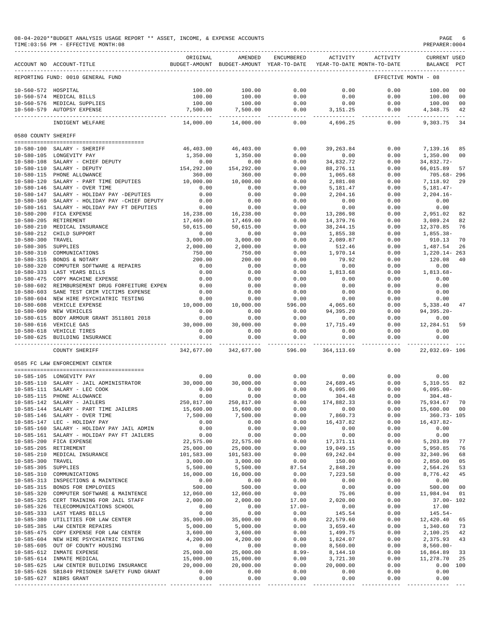08-04-2020\*\*BUDGET ANALYSIS USAGE REPORT \*\* ASSET, INCOME, & EXPENSE ACCOUNTS PAGE 6 PREPARER:0004<br>PIME:03:56 PM - EFFECTIVE MONTH:08

 $TIME:03:56 PM - EFFECTIVE MOMTH:08$ 

|                                      |                                                           | ORIGINAL                 | AMENDED                                  | ENCUMBERED       | ACTIVITY                | ACTIVITY                   | <b>CURRENT USED</b>        |                      |
|--------------------------------------|-----------------------------------------------------------|--------------------------|------------------------------------------|------------------|-------------------------|----------------------------|----------------------------|----------------------|
|                                      | ACCOUNT NO ACCOUNT-TITLE                                  |                          | BUDGET-AMOUNT BUDGET-AMOUNT YEAR-TO-DATE |                  |                         | YEAR-TO-DATE MONTH-TO-DATE | BALANCE PCT                |                      |
|                                      | REPORTING FUND: 0010 GENERAL FUND                         |                          |                                          |                  |                         |                            | EFFECTIVE MONTH - 08       |                      |
| 10-560-572 HOSPITAL                  |                                                           | 100.00                   | 100.00                                   | 0.00             | 0.00                    | 0.00                       | 100.00                     | 0 <sub>0</sub>       |
|                                      | 10-560-574 MEDICAL BILLS                                  | 100.00                   | 100.00                                   | 0.00             | 0.00                    | 0.00                       | 100.00                     | 0 <sub>0</sub>       |
|                                      | 10-560-576 MEDICAL SUPPLIES<br>10-560-579 AUTOPSY EXPENSE | 100.00<br>7,500.00       | 100.00<br>7,500.00                       | 0.00<br>0.00     | 0.00<br>3,151.25        | 0.00<br>0.00               | 100.00<br>4,348.75         | 0 <sub>0</sub><br>42 |
|                                      |                                                           | .                        | _____________                            | --------------   | --------------          | $- - - - -$                | --------------             |                      |
|                                      | INDIGENT WELFARE                                          | 14,000.00                | 14,000.00                                | 0.00             | 4,696.25                | 0.00                       | 9,303.75                   | 34                   |
| 0580 COUNTY SHERIFF                  |                                                           |                          |                                          |                  |                         |                            |                            |                      |
| 10-580-100                           | SALARY - SHERIFF                                          | 46,403.00                | 46,403.00                                | 0.00             | 39,263.84               | 0.00                       | 7,139.16                   | 85                   |
|                                      | 10-580-105 LONGEVITY PAY                                  | 1,350.00                 | 1,350.00                                 | 0.00             | 0.00                    | 0.00                       | 1,350.00                   | 0 <sup>0</sup>       |
| $10 - 580 - 108$                     | SALARY - CHIEF DEPUTY                                     | 0.00                     | 0.00                                     | 0.00             | 34,832.72               | 0.00                       | 34,832.72-                 |                      |
| $10 - 580 - 110$                     | SALARY - DEPUTY                                           | 154,292.00               | 154,292.00                               | 0.00             | 88,276.11               | 0.00                       | 66,015.89                  | 57                   |
| $10 - 580 - 115$                     | PHONE ALLOWANCE                                           | 360.00                   | 360.00                                   | 0.00             | 1,065.68                | 0.00                       | $705.68 - 296$             |                      |
| $10 - 580 - 120$                     | SALARY - PART TIME DEPUTIES                               | 10,000.00                | 10,000.00                                | 0.00             | 2,881.08                | 0.00                       | 7,118.92                   | 29                   |
| $10 - 580 - 146$                     | SALARY - OVER TIME                                        | 0.00                     | 0.00                                     | 0.00             | 5,181.47                | 0.00                       | $5,181.47-$                |                      |
| $10 - 580 - 147$                     | SALARY - HOLIDAY PAY -DEPUTIES                            | 0.00                     | 0.00                                     | 0.00             | 2,204.16                | 0.00                       | $2, 204.16 -$              |                      |
| $10 - 580 - 160$                     | SALARY - HOLIDAY PAY -CHIEF DEPUTY                        | 0.00                     | 0.00                                     | 0.00             | 0.00                    | 0.00                       | 0.00                       |                      |
| $10 - 580 - 161$                     | SALARY - HOLIDAY PAY FT DEPUTIES                          | 0.00                     | 0.00                                     | 0.00             | 0.00                    | 0.00                       | 0.00                       |                      |
| $10 - 580 - 200$                     | FICA EXPENSE                                              | 16,238.00                | 16,238.00                                | 0.00             | 13,286.98               | 0.00                       | 2,951.02                   | 82                   |
| $10 - 580 - 205$                     | RETIREMENT                                                | 17,469.00                | 17,469.00                                | 0.00             | 14,379.76               | 0.00                       | 3,089.24                   | 82                   |
| $10 - 580 - 210$<br>$10 - 580 - 212$ | MEDICAL INSURANCE<br>CHILD SUPPORT                        | 50,615.00<br>0.00        | 50,615.00<br>0.00                        | 0.00<br>0.00     | 38, 244. 15<br>1,855.38 | 0.00<br>0.00               | 12,370.85<br>1,855.38-     | 76                   |
| $10 - 580 - 300$                     | TRAVEL                                                    | 3,000.00                 | 3,000.00                                 | 0.00             | 2,089.87                | 0.00                       | 910.13                     | 70                   |
| $10 - 580 - 305$                     | SUPPLIES                                                  | 2,000.00                 | 2,000.00                                 | 0.00             | 512.46                  | 0.00                       | 1,487.54                   | 26                   |
| $10 - 580 - 310$                     | COMMUNICATIONS                                            | 750.00                   | 750.00                                   | 0.00             | 1,970.14                | 0.00                       | $1,220.14 - 263$           |                      |
| $10 - 580 - 315$                     | BONDS & NOTARY                                            | 200.00                   | 200.00                                   | 0.00             | 79.92                   | 0.00                       | 120.08                     | 40                   |
| $10 - 580 - 320$                     | COMPUTER SOFTWARE & REPAIRS                               | 0.00                     | 0.00                                     | 0.00             | 0.00                    | 0.00                       | 0.00                       |                      |
| $10 - 580 - 333$                     | LAST YEARS BILLS                                          | 0.00                     | 0.00                                     | 0.00             | 1,813.68                | 0.00                       | $1,813.68-$                |                      |
| $10 - 580 - 475$                     | COPY MACHINE EXPENSE                                      | 0.00                     | 0.00                                     | 0.00             | 0.00                    | 0.00                       | 0.00                       |                      |
| $10 - 580 - 602$                     | REIMBURSEMENT DRUG FORFEITURE EXPEN                       | 0.00                     | 0.00                                     | 0.00             | 0.00                    | 0.00                       | 0.00                       |                      |
| $10 - 580 - 603$                     | SANE TEST CRIM VICTIMS EXPENSE                            | 0.00                     | 0.00                                     | 0.00             | 0.00                    | 0.00                       | 0.00                       |                      |
| $10 - 580 - 604$                     | NEW HIRE PSYCHIATRIC TESTING                              | 0.00                     | 0.00                                     | 0.00             | 0.00                    | 0.00                       | 0.00                       |                      |
| $10 - 580 - 608$                     | VEHICLE EXPENSE                                           | 10,000.00                | 10,000.00                                | 596.00           | 4,065.60                | 0.00                       | 5,338.40                   | 47                   |
| $10 - 580 - 609$                     | NEW VEHICLES                                              | 0.00                     | 0.00                                     | 0.00             | 94,395.20               | 0.00                       | $94, 395.20 -$             |                      |
| $10 - 580 - 615$                     | BODY ARMOUR GRANT 3511801 2018                            | 0.00                     | 0.00                                     | 0.00             | 0.00                    | 0.00                       | 0.00                       |                      |
| $10 - 580 - 616$                     | VEHICLE GAS                                               | 30,000.00                | 30,000.00                                | 0.00             | 17,715.49               | 0.00                       | 12,284.51                  | 59                   |
| $10 - 580 - 618$<br>$10 - 580 - 625$ | VEHICLE TIRES<br>BUILDING INSURANCE                       | 0.00<br>0.00             | 0.00<br>0.00                             | 0.00<br>0.00     | 0.00<br>0.00            | 0.00<br>0.00               | 0.00<br>0.00               |                      |
|                                      | COUNTY SHERIFF                                            | ----------<br>342,677.00 | 342,677.00                               | 596.00           | 364, 113.69             | $- - - - -$<br>0.00        | ---------<br>22,032.69-106 |                      |
|                                      | 0585 FC LAW ENFORCEMENT CENTER                            |                          |                                          |                  |                         |                            |                            |                      |
|                                      |                                                           | 0.00                     |                                          |                  |                         |                            | 0.00                       |                      |
| $10 - 585 - 110$                     | 10-585-105 LONGEVITY PAY<br>SALARY - JAIL ADMINISTRATOR   | 30,000.00                | 0.00<br>30,000.00                        | 0.00<br>0.00     | 0.00<br>24,689.45       | 0.00<br>0.00               | 5,310.55                   | 82                   |
| $10 - 585 - 111$                     | SALARY - LEC COOK                                         | 0.00                     | 0.00                                     | 0.00             | 6,095.00                | 0.00                       | $6,095.00 -$               |                      |
| $10 - 585 - 115$                     | PHONE ALLOWANCE                                           | 0.00                     | 0.00                                     | 0.00             | 304.48                  | 0.00                       | $304.48-$                  |                      |
| $10 - 585 - 142$                     | SALARY - JAILERS                                          | 250,817.00               | 250,817.00                               | 0.00             | 174,882.33              | 0.00                       | 75,934.67                  | 70                   |
| $10 - 585 - 144$                     | SALARY - PART TIME JAILERS                                | 15,600.00                | 15,600.00                                | 0.00             | 0.00                    | 0.00                       | 15,600.00                  | 00                   |
|                                      | 10-585-146 SALARY - OVER TIME                             | 7,500.00                 | 7,500.00                                 | 0.00             | 7,860.73                | 0.00                       | $360.73 - 105$             |                      |
|                                      | 10-585-147 LEC - HOLIDAY PAY                              | 0.00                     | 0.00                                     | 0.00             | 16,437.82               | 0.00                       | 16, 437.82-                |                      |
| $10 - 585 - 160$                     | SALARY - HOLIDAY PAY JAIL ADMIN                           | 0.00                     | 0.00                                     | 0.00             | 0.00                    | 0.00                       | 0.00                       |                      |
| $10 - 585 - 161$                     | SALARY - HOLIDAY PAY FT JAILERS                           | 0.00                     | 0.00                                     | 0.00             | 0.00                    | 0.00                       | 0.00                       |                      |
|                                      | 10-585-200 FICA EXPENSE                                   | 22,575.00                | 22,575.00                                | 0.00             | 17, 371.11              | 0.00                       | 5,203.89                   | 77                   |
|                                      | 10-585-205 RETIREMENT                                     | 25,000.00                | 25,000.00                                | 0.00             | 19,049.15               | 0.00                       | 5,950.85                   | 76                   |
| 10-585-210                           | MEDICAL INSURANCE                                         | 101,583.00               | 101,583.00                               | 0.00             | 69, 242.04              | 0.00                       | 32,340.96                  | 68                   |
| $10 - 585 - 300$<br>$10 - 585 - 305$ | TRAVEL                                                    | 3,000.00<br>5,500.00     | 3,000.00                                 | 0.00             | 150.00                  | 0.00                       | 2,850.00                   | 05                   |
| $10 - 585 - 310$                     | SUPPLIES<br>COMMUNICATIONS                                | 16,000.00                | 5,500.00<br>16,000.00                    | 87.54<br>0.00    | 2,848.20<br>7,223.58    | 0.00<br>0.00               | 2,564.26<br>8,776.42       | 53<br>45             |
|                                      | 10-585-313 INSPECTIONS & MAINTENCE                        | 0.00                     | 0.00                                     | 0.00             | 0.00                    | 0.00                       | 0.00                       |                      |
|                                      | 10-585-315 BONDS FOR EMPLOYEES                            | 500.00                   | 500.00                                   | 0.00             | 0.00                    | 0.00                       | 500.00                     | 00                   |
| $10 - 585 - 320$                     | COMPUTER SOFTWARE & MAINTENCE                             | 12,060.00                | 12,060.00                                | 0.00             | 75.06                   | 0.00                       | 11,984.94                  | 01                   |
|                                      | 10-585-325 CERT TRAINING FOR JAIL STAFF                   | 2,000.00                 | 2,000.00                                 | 17.00            | 2,020.00                | 0.00                       | $37.00 - 102$              |                      |
|                                      | 10-585-326 TELECOMMUNICATIONS SCHOOL                      | 0.00                     | 0.00                                     | $17.00 -$        | 0.00                    | 0.00                       | 17.00                      |                      |
|                                      | 10-585-333 LAST YEARS BILLS                               | 0.00                     | 0.00                                     | 0.00             | 145.54                  | 0.00                       | $145.54-$                  |                      |
|                                      | 10-585-380 UTILITIES FOR LAW CENTER                       | 35,000.00                | 35,000.00                                | 0.00             | 22,579.60               | 0.00                       | 12,420.40                  | 65                   |
|                                      | 10-585-385 LAW CENTER REPAIRS                             | 5,000.00                 | 5,000.00                                 | 0.00             | 3,659.40                | 0.00                       | 1,340.60                   | 73                   |
| $10 - 585 - 475$                     | COPY EXPENSE FOR LAW CENTER                               | 3,600.00                 | 3,600.00                                 | 0.00             | 1,499.75                | 0.00                       | 2,100.25                   | 42                   |
|                                      | 10-585-604 NEW HIRE PSYCHIATRIC TESTING                   | 4,200.00                 | 4,200.00                                 | 0.00             | 1,824.07                | 0.00                       | 2,375.93                   | 43                   |
| $10 - 585 - 605$                     | OUT OF COUNTY HOUSING<br>10-585-612 INMATE EXPENSE        | 0.00<br>25,000.00        | 0.00                                     | 0.00<br>$8.99 -$ | 8,560.00                | 0.00                       | $8,560.00 -$               | 33                   |
|                                      | 10-585-614 INMATE MEDICAL                                 | 15,000.00                | 25,000.00<br>15,000.00                   | 0.00             | 8,144.10<br>3,721.30    | 0.00<br>0.00               | 16,864.89<br>11,278.70     | 25                   |
|                                      | 10-585-625 LAW CENTER BUILDING INSURANCE                  | 20,000.00                | 20,000.00                                | 0.00             | 20,000.00               | 0.00                       | 0.00 100                   |                      |
| 10-585-626                           | SB1849 PRISONER SAFETY FUND GRANT                         | 0.00                     | 0.00                                     | 0.00             | 0.00                    | 0.00                       | 0.00                       |                      |
|                                      | 10-585-627 NIBRS GRANT                                    | 0.00                     | 0.00                                     | 0.00             | 0.00                    | 0.00                       | 0.00                       |                      |

----------------------------------------------- ------------- ------------- ------------ ------------- ------------ ------------- ---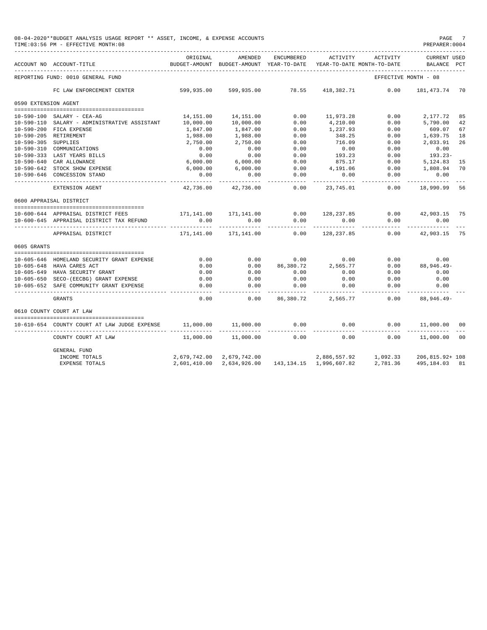|                      | 08-04-2020**BUDGET ANALYSIS USAGE REPORT ** ASSET, INCOME, & EXPENSE ACCOUNTS<br>TIME: 03:56 PM - EFFECTIVE MONTH: 08 |                                        |                                                  |                              |                               |                                        | PAGE 7<br>PREPARER: 0004       |     |
|----------------------|-----------------------------------------------------------------------------------------------------------------------|----------------------------------------|--------------------------------------------------|------------------------------|-------------------------------|----------------------------------------|--------------------------------|-----|
|                      | ACCOUNT NO ACCOUNT-TITLE                                                                                              | ORIGINAL<br>BUDGET-AMOUNT              | AMENDED<br>BUDGET-AMOUNT YEAR-TO-DATE            | <b>ENCUMBERED</b>            | ACTIVITY                      | ACTIVITY<br>YEAR-TO-DATE MONTH-TO-DATE | <b>CURRENT USED</b><br>BALANCE | PCT |
|                      | REPORTING FUND: 0010 GENERAL FUND                                                                                     |                                        |                                                  |                              |                               |                                        | EFFECTIVE MONTH - 08           |     |
|                      | FC LAW ENFORCEMENT CENTER                                                                                             | 599,935.00 599,935.00 78.55 418,382.71 |                                                  |                              |                               | 0.00                                   | 181,473.74 70                  |     |
| 0590 EXTENSION AGENT |                                                                                                                       |                                        |                                                  |                              |                               |                                        |                                |     |
|                      |                                                                                                                       |                                        |                                                  |                              |                               |                                        |                                |     |
|                      | 10-590-100 SALARY - CEA-AG                                                                                            |                                        | 14, 151.00    14, 151.00                         | 0.00                         | 11,973.28                     | 0.00                                   | 2,177.72                       | 85  |
|                      | 10-590-110 SALARY - ADMINISTRATIVE ASSISTANT                                                                          | 10,000.00                              | 10,000.00                                        | 0.00                         | 4,210.00                      | 0.00                                   | 5,790.00                       | 42  |
|                      | 10-590-200 FICA EXPENSE                                                                                               | 1,847.00                               | 1,847.00                                         | 0.00                         | 1,237.93                      | 0.00                                   | 609.07                         | 67  |
|                      | 10-590-205 RETIREMENT                                                                                                 | 1,988.00                               | 1,988.00                                         | 0.00                         | 348.25                        | 0.00                                   | 1,639.75 18                    |     |
| 10-590-305 SUPPLIES  |                                                                                                                       | 2,750.00                               | 2,750.00                                         | 0.00                         | 716.09                        | 0.00                                   | 2,033.91                       | 26  |
|                      | 10-590-310 COMMUNICATIONS                                                                                             | 0.00                                   | 0.00                                             | 0.00                         | 0.00                          | 0.00                                   | 0.00                           |     |
|                      | 10-590-333 LAST YEARS BILLS                                                                                           | 0.00                                   | $0.00$<br>6,000.00                               | 0.00                         | 193.23                        | 0.00                                   | $193.23-$                      |     |
|                      | 10-590-640 CAR ALLOWANCE                                                                                              | 6,000.00                               |                                                  | 0.00                         | 875.17                        | 0.00                                   | 5,124.83                       | 15  |
|                      | 10-590-642 STOCK SHOW EXPENSE                                                                                         | 6,000.00                               | 6,000.00                                         | 0.00                         | 4,191.06                      | 0.00                                   | 1,808.94                       | 70  |
|                      | 10-590-646 CONCESSION STAND                                                                                           | 0.00                                   | 0.00                                             | 0.00<br>$- - - - -$          | 0.00                          | 0.00<br>. _ _ _ _ _ _ _ _ _ _          | 0.00                           |     |
|                      | EXTENSION AGENT                                                                                                       | 42,736.00                              | 42,736.00                                        | 0.00                         | 23,745.01                     | 0.00                                   | 18,990.99                      | 56  |
|                      | 0600 APPRAISAL DISTRICT                                                                                               |                                        |                                                  |                              |                               |                                        |                                |     |
|                      |                                                                                                                       |                                        |                                                  |                              |                               |                                        |                                |     |
|                      | 10-600-644 APPRAISAL DISTRICT FEES                                                                                    |                                        | $171, 141.00$ $171, 141.00$ $0.00$ $128, 237.85$ |                              |                               |                                        | $0.00$ $42,903.15$ 75          |     |
|                      | 10-600-645 APPRAISAL DISTRICT TAX REFUND                                                                              | 0.00<br>---------                      | 0.00<br>------------                             | 0.00<br>------------         | -----------                   | 0.00<br>0.00<br>----------             | 0.00<br>-----------            |     |
|                      | APPRAISAL DISTRICT                                                                                                    | 171,141.00                             | 171,141.00                                       | 0.00                         | 128,237.85                    | 0.00                                   | 42,903.15 75                   |     |
| 0605 GRANTS          |                                                                                                                       |                                        |                                                  |                              |                               |                                        |                                |     |
|                      |                                                                                                                       |                                        |                                                  | $0.00$ 0.00                  |                               |                                        |                                |     |
|                      | 10-605-646 HOMELAND SECURITY GRANT EXPENSE                                                                            | 0.00                                   |                                                  |                              | 0.00                          | 0.00                                   | 0.00                           |     |
|                      | 10-605-648 HAVA CARES ACT                                                                                             | 0.00                                   | 0.00                                             | 86, 380. 72 2, 565. 77       |                               | 0.00                                   | 88,946.49-                     |     |
|                      | 10-605-649 HAVA SECURITY GRANT                                                                                        | 0.00                                   | 0.00                                             | 0.00                         | 0.00                          | 0.00                                   | 0.00                           |     |
|                      | 10-605-650 SECO-(EECBG) GRANT EXPENSE                                                                                 | 0.00<br>0.00                           | 0.00                                             | 0.00                         | 0.00                          | 0.00                                   | 0.00                           |     |
|                      | 10-605-652 SAFE COMMUNITY GRANT EXPENSE                                                                               |                                        | 0.00<br>----------                               | 0.00<br>-----------          | 0.00<br>. _ _ _ _ _ _ _ _ _ _ | 0.00<br>-------                        | 0.00<br>.                      |     |
|                      | <b>GRANTS</b>                                                                                                         | 0.00                                   | 0.00                                             |                              | 86,380.72 2,565.77            | 0.00                                   | 88,946.49-                     |     |
|                      | 0610 COUNTY COURT AT LAW                                                                                              |                                        |                                                  |                              |                               |                                        |                                |     |
|                      | 10-610-654 COUNTY COURT AT LAW JUDGE EXPENSE                                                                          | 11,000.00                              | 11,000.00                                        | 0.00                         | 0.00                          | 0.00                                   | 11,000.00 00                   |     |
|                      | COUNTY COURT AT LAW                                                                                                   | 11,000.00                              | 11,000.00                                        | 0.00                         | 0.00                          | 0.00                                   | -----------<br>11,000.00       | 00  |
|                      | <b>GENERAL FUND</b>                                                                                                   |                                        |                                                  |                              |                               |                                        |                                |     |
|                      | INCOME TOTALS                                                                                                         | 2,679,742.00                           | 2,679,742.00                                     |                              |                               | 2,886,557.92 1,092.33                  | 206,815.92+ 108                |     |
|                      | <b>EXPENSE TOTALS</b>                                                                                                 | 2,601,410.00                           | 2,634,926.00                                     | 143, 134. 15 1, 996, 607. 82 |                               | 2,781.36                               | 495,184.03 81                  |     |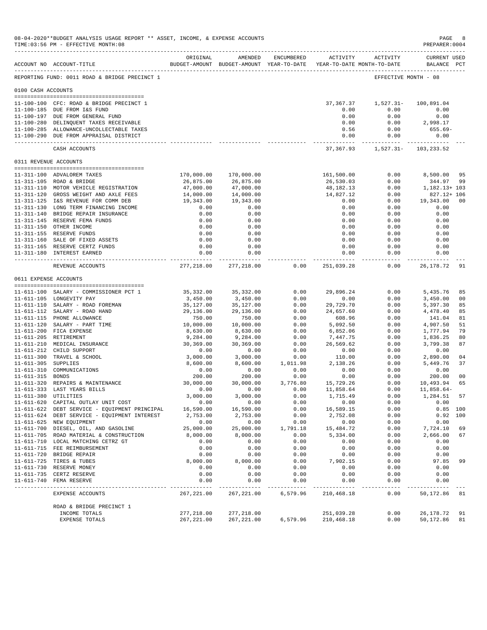|                     | 08-04-2020**BUDGET ANALYSIS USAGE REPORT ** ASSET, INCOME, & EXPENSE ACCOUNTS<br>TIME: 03:56 PM - EFFECTIVE MONTH: 08 |                        |                                                                                |                  |                        |                                        | PAGE<br>PREPARER: 0004             | -8                   |
|---------------------|-----------------------------------------------------------------------------------------------------------------------|------------------------|--------------------------------------------------------------------------------|------------------|------------------------|----------------------------------------|------------------------------------|----------------------|
|                     | ACCOUNT NO ACCOUNT-TITLE                                                                                              | ORIGINAL               | AMENDED<br>BUDGET-AMOUNT BUDGET-AMOUNT YEAR-TO-DATE YEAR-TO-DATE MONTH-TO-DATE | ENCUMBERED       |                        | ACTIVITY ACTIVITY                      | <b>CURRENT USED</b><br>BALANCE PCT |                      |
|                     | REPORTING FUND: 0011 ROAD & BRIDGE PRECINCT 1                                                                         |                        |                                                                                |                  |                        |                                        | EFFECTIVE MONTH - 08               |                      |
| 0100 CASH ACCOUNTS  |                                                                                                                       |                        |                                                                                |                  |                        |                                        |                                    |                      |
|                     |                                                                                                                       |                        |                                                                                |                  |                        |                                        |                                    |                      |
|                     | 11-100-100 CFC: ROAD & BRIDGE PRECINCT 1                                                                              |                        |                                                                                |                  | 37,367.37              | 1,527.31-                              | 100,891.04                         |                      |
|                     | 11-100-185 DUE FROM I&S FUND                                                                                          |                        |                                                                                |                  | 0.00                   | 0.00                                   | 0.00                               |                      |
|                     | 11-100-197 DUE FROM GENERAL FUND                                                                                      |                        |                                                                                |                  | 0.00                   | 0.00                                   | 0.00                               |                      |
|                     | 11-100-280 DELINQUENT TAXES RECEIVABLE                                                                                |                        |                                                                                |                  | 0.00                   | 0.00                                   | 2,998.17                           |                      |
|                     | 11-100-285 ALLOWANCE-UNCOLLECTABLE TAXES<br>11-100-290 DUE FROM APPRAISAL DISTRICT                                    |                        |                                                                                |                  | 0.56<br>0.00           | 0.00<br>0.00                           | 655.69-<br>0.00                    |                      |
|                     | CASH ACCOUNTS                                                                                                         |                        |                                                                                |                  | -------------          | 37, 367.93    1, 527.31    103, 233.52 | ----------- -------------          |                      |
|                     | 0311 REVENUE ACCOUNTS                                                                                                 |                        |                                                                                |                  |                        |                                        |                                    |                      |
|                     |                                                                                                                       |                        |                                                                                |                  |                        |                                        |                                    |                      |
|                     | 11-311-100 ADVALOREM TAXES                                                                                            | 170,000.00             | 170,000.00                                                                     |                  | 161,500.00             | 0.00                                   | 8,500.00                           | 95                   |
|                     | 11-311-105 ROAD & BRIDGE                                                                                              | 26,875.00              | 26,875.00                                                                      |                  | 26,530.03              | 0.00                                   | 344.97                             | -99                  |
|                     | 11-311-110 MOTOR VEHICLE REGISTRATION                                                                                 | 47,000.00              | 47,000.00                                                                      |                  | 48,182.13              | 0.00                                   | 1,182.13+ 103                      |                      |
|                     | 11-311-120 GROSS WEIGHT AND AXLE FEES<br>11-311-125 I&S REVENUE FOR COMM DEB                                          | 14,000.00<br>19,343.00 | 14,000.00<br>19,343.00                                                         |                  | 14,827.12<br>0.00      | 0.00<br>0.00                           | 827.12+ 106<br>19,343.00           | -00                  |
|                     | 11-311-130 LONG TERM FINANCING INCOME                                                                                 | 0.00                   | 0.00                                                                           |                  | 0.00                   | 0.00                                   | 0.00                               |                      |
|                     | 11-311-140 BRIDGE REPAIR INSURANCE                                                                                    | 0.00                   | 0.00                                                                           |                  | 0.00                   | 0.00                                   | 0.00                               |                      |
|                     | 11-311-145 RESERVE FEMA FUNDS                                                                                         | 0.00                   | 0.00                                                                           |                  | 0.00                   | 0.00                                   | 0.00                               |                      |
|                     | 11-311-150 OTHER INCOME                                                                                               | 0.00                   | 0.00                                                                           |                  | 0.00                   | 0.00                                   | 0.00                               |                      |
|                     | 11-311-155 RESERVE FUNDS                                                                                              | 0.00                   | 0.00                                                                           |                  | 0.00                   | 0.00                                   | 0.00                               |                      |
|                     | 11-311-160 SALE OF FIXED ASSETS                                                                                       | 0.00                   | 0.00                                                                           |                  | 0.00                   | 0.00                                   | 0.00                               |                      |
|                     | 11-311-165 RESERVE CERTZ FUNDS                                                                                        | 0.00                   | 0.00                                                                           |                  | 0.00                   | 0.00                                   | 0.00                               |                      |
|                     | 11-311-180 INTEREST EARNED<br>-----------------------------                                                           | 0.00<br>------------   | 0.00<br>-----------                                                            |                  | 0.00<br>.              | 0.00<br>-------                        | 0.00<br>----------                 |                      |
|                     | REVENUE ACCOUNTS                                                                                                      | 277,218.00             | 277,218.00                                                                     | 0.00             | 251,039.28             | 0.00                                   | 26,178.72                          | 91                   |
|                     | 0611 EXPENSE ACCOUNTS                                                                                                 |                        |                                                                                |                  |                        |                                        |                                    |                      |
|                     |                                                                                                                       |                        |                                                                                |                  |                        |                                        |                                    |                      |
|                     | 11-611-100 SALARY - COMMISSIONER PCT 1<br>11-611-105 LONGEVITY PAY                                                    | 35,332.00<br>3,450.00  | 35,332.00<br>3,450.00                                                          | 0.00<br>0.00     | 29,896.24<br>0.00      | 0.00<br>0.00                           | 5,435.76<br>3,450.00               | 85<br>0 <sub>0</sub> |
|                     | 11-611-110 SALARY - ROAD FOREMAN                                                                                      | 35,127.00              | 35,127.00                                                                      | 0.00             | 29,729.70              | 0.00                                   | 5,397.30                           | 85                   |
|                     | 11-611-112 SALARY - ROAD HAND                                                                                         | 29,136.00              | 29,136.00                                                                      | 0.00             | 24,657.60              | 0.00                                   | 4,478.40                           | 85                   |
|                     | 11-611-115 PHONE ALLOWANCE                                                                                            | 750.00                 | 750.00                                                                         | 0.00             | 608.96                 | 0.00                                   | 141.04                             | 81                   |
|                     | 11-611-120 SALARY - PART TIME                                                                                         | 10,000.00              | 10,000.00                                                                      | 0.00             | 5,092.50               | 0.00                                   | 4,907.50                           | 51                   |
|                     | 11-611-200 FICA EXPENSE                                                                                               | 8,630.00               | 8,630.00                                                                       | 0.00             | 6,852.06               | 0.00                                   | 1,777.94                           | 79                   |
|                     | 11-611-205 RETIREMENT                                                                                                 | 9,284.00               | 9,284.00                                                                       | 0.00             | 7,447.75               | 0.00                                   | 1,836.25                           | 80                   |
|                     | 11-611-210 MEDICAL INSURANCE                                                                                          | 30,369.00              | 30,369.00                                                                      | 0.00             | 26,569.62              | 0.00                                   | 3,799.38                           | 87                   |
|                     | 11-611-212 CHILD SUPPORT                                                                                              | 0.00                   | 0.00                                                                           | 0.00             | 0.00                   | 0.00                                   | 0.00                               |                      |
|                     | 11-611-300 TRAVEL & SCHOOL                                                                                            | 3,000.00               | 3,000.00                                                                       | 0.00             | 110.00                 | 0.00                                   | 2,890.00                           | 04                   |
| 11-611-305 SUPPLIES |                                                                                                                       | 8,600.00               | 8,600.00                                                                       | 1,011.98         | 2,138.26               | 0.00                                   | 5,449.76                           | 37                   |
|                     | 11-611-310 COMMUNICATIONS                                                                                             | 0.00                   | 0.00                                                                           | 0.00             | 0.00                   | 0.00                                   | 0.00                               |                      |
| 11-611-315 BONDS    |                                                                                                                       | 200.00                 | 200.00                                                                         | 0.00             | 0.00                   | 0.00                                   | 200.00                             | 0 <sub>0</sub>       |
|                     | 11-611-320 REPAIRS & MAINTENANCE<br>11-611-333 LAST YEARS BILLS                                                       | 30,000.00<br>0.00      | 30,000.00<br>0.00                                                              | 3,776.80<br>0.00 | 15,729.26<br>11,858.64 | 0.00<br>0.00                           | 10,493.94<br>11,858.64-            | 65                   |
|                     | 11-611-380 UTILITIES                                                                                                  | 3,000.00               | 3,000.00                                                                       | 0.00             | 1,715.49               | 0.00                                   | 1,284.51                           | 57                   |
|                     | 11-611-620 CAPITAL OUTLAY UNIT COST                                                                                   | 0.00                   | 0.00                                                                           | 0.00             | 0.00                   | 0.00                                   | 0.00                               |                      |
|                     | 11-611-622 DEBT SERVICE - EQUIPMENT PRINCIPAL                                                                         | 16,590.00              | 16,590.00                                                                      | 0.00             | 16,589.15              | 0.00                                   |                                    | $0.85$ 100           |
|                     | 11-611-624 DEBT SERVICE - EQUIPMENT INTEREST                                                                          | 2,753.00               | 2,753.00                                                                       | 0.00             | 2,752.08               | 0.00                                   | 0.92                               | 100                  |
|                     | 11-611-625 NEW EQUIPMENT                                                                                              | 0.00                   | 0.00                                                                           | 0.00             | 0.00                   | 0.00                                   | 0.00                               |                      |
|                     | 11-611-700 DIESEL, OIL, AND GASOLINE                                                                                  | 25,000.00              | 25,000.00                                                                      | 1,791.18         | 15,484.72              | 0.00                                   | 7,724.10                           | 69                   |
|                     | 11-611-705 ROAD MATERIAL & CONSTRUCTION                                                                               | 8,000.00               | 8,000.00                                                                       | 0.00             | 5,334.00               | 0.00                                   | 2,666.00                           | 67                   |
|                     | 11-611-710 LOCAL MATCHING CETRZ GT                                                                                    | 0.00                   | 0.00                                                                           | 0.00             | 0.00                   | 0.00                                   | 0.00                               |                      |
|                     | 11-611-715 FEE REIMBURSEMENT                                                                                          | 0.00                   | 0.00                                                                           | 0.00             | 0.00                   | 0.00                                   | 0.00                               |                      |
|                     | 11-611-720 BRIDGE REPAIR                                                                                              | 0.00                   | 0.00                                                                           | 0.00             | 0.00                   | 0.00                                   | 0.00                               |                      |
|                     | 11-611-725 TIRES & TUBES                                                                                              | 8,000.00               | 8,000.00                                                                       | 0.00             | 7,902.15               | 0.00                                   | 97.85                              | 99                   |
|                     | 11-611-730 RESERVE MONEY                                                                                              | 0.00                   | 0.00                                                                           | 0.00             | 0.00                   | 0.00                                   | 0.00                               |                      |
|                     | 11-611-735 CERTZ RESERVE                                                                                              | 0.00                   | 0.00                                                                           | 0.00             | 0.00                   | 0.00                                   | 0.00                               |                      |
| $11 - 611 - 740$    | FEMA RESERVE<br>-------------                                                                                         | 0.00                   | 0.00                                                                           | 0.00             | 0.00                   | 0.00                                   | 0.00                               |                      |
|                     | EXPENSE ACCOUNTS                                                                                                      | 267,221.00             | 267,221.00                                                                     | 6,579.96         | 210,468.18             | 0.00                                   | 50,172.86                          | 81                   |
|                     | ROAD & BRIDGE PRECINCT 1                                                                                              |                        |                                                                                |                  |                        |                                        |                                    |                      |
|                     | INCOME TOTALS                                                                                                         | 277,218.00             | 277,218.00                                                                     |                  | 251,039.28             | 0.00                                   | 26, 178.72                         | 91                   |
|                     | EXPENSE TOTALS                                                                                                        | 267, 221.00            | 267, 221.00                                                                    | 6,579.96         | 210,468.18             | 0.00                                   | 50,172.86                          | 81                   |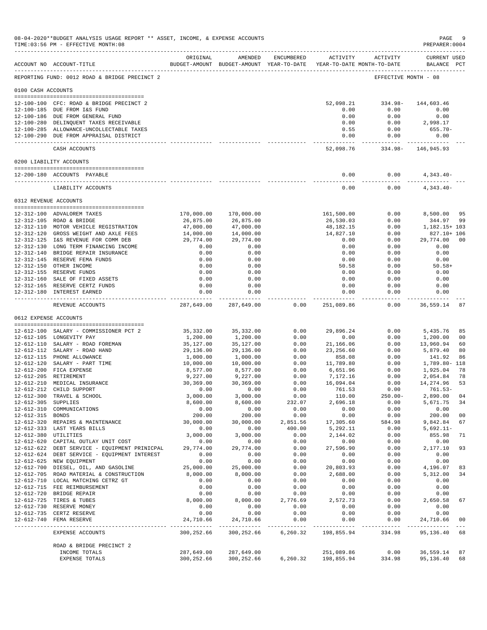|                       | 08-04-2020**BUDGET ANALYSIS USAGE REPORT ** ASSET, INCOME, & EXPENSE ACCOUNTS<br>TIME: 03:56 PM - EFFECTIVE MONTH: 08 |                         |                                                                                             |                    |                         |                                              | PAGE<br>PREPARER:0004         | - 9            |
|-----------------------|-----------------------------------------------------------------------------------------------------------------------|-------------------------|---------------------------------------------------------------------------------------------|--------------------|-------------------------|----------------------------------------------|-------------------------------|----------------|
|                       | ACCOUNT NO ACCOUNT-TITLE                                                                                              | ORIGINAL                | AMENDED<br>BUDGET-AMOUNT BUDGET-AMOUNT YEAR-TO-DATE YEAR-TO-DATE MONTH-TO-DATE              | ENCUMBERED         |                         | ACTIVITY ACTIVITY                            | CURRENT USED<br>BALANCE PCT   |                |
|                       | REPORTING FUND: 0012 ROAD & BRIDGE PRECINCT 2                                                                         |                         |                                                                                             |                    |                         |                                              | EFFECTIVE MONTH - 08          |                |
| 0100 CASH ACCOUNTS    |                                                                                                                       |                         |                                                                                             |                    |                         |                                              |                               |                |
|                       | 12-100-100 CFC: ROAD & BRIDGE PRECINCT 2                                                                              |                         |                                                                                             |                    |                         | 52,098.21 334.98- 144,603.46                 |                               |                |
|                       | 12-100-185 DUE FROM I&S FUND                                                                                          |                         |                                                                                             |                    | 0.00                    | 0.00                                         | 0.00                          |                |
|                       | 12-100-186 DUE FROM GENERAL FUND                                                                                      |                         |                                                                                             |                    | 0.00                    | 0.00                                         | 0.00                          |                |
|                       | 12-100-280 DELINQUENT TAXES RECEIVABLE<br>12-100-285 ALLOWANCE-UNCOLLECTABLE TAXES                                    |                         |                                                                                             |                    | 0.00<br>0.55            | 0.00<br>0.00                                 | 2,998.17<br>655.70-           |                |
|                       | 12-100-290 DUE FROM APPRAISAL DISTRICT                                                                                |                         |                                                                                             |                    | 0.00                    | 0.00                                         | 0.00                          |                |
|                       | CASH ACCOUNTS                                                                                                         |                         |                                                                                             |                    | . <u>.</u>              | ------------<br>52,098.76 334.98- 146,945.93 |                               |                |
|                       | 0200 LIABILITY ACCOUNTS                                                                                               |                         |                                                                                             |                    |                         |                                              |                               |                |
|                       | 12-200-180 ACCOUNTS PAYABLE                                                                                           |                         |                                                                                             |                    | 0.00                    | 0.00                                         | $4,343.40-$                   |                |
|                       | LIABILITY ACCOUNTS                                                                                                    |                         |                                                                                             |                    | --------------<br>0.00  | -----------<br>0.00                          | --------------<br>$4,343.40-$ |                |
| 0312 REVENUE ACCOUNTS |                                                                                                                       |                         |                                                                                             |                    |                         |                                              |                               |                |
|                       |                                                                                                                       |                         |                                                                                             |                    |                         |                                              |                               |                |
|                       | 12-312-100 ADVALOREM TAXES<br>12-312-105 ROAD & BRIDGE                                                                | 170,000.00<br>26,875.00 | 170,000.00<br>26,875.00                                                                     |                    | 161,500.00<br>26,530.03 | 0.00<br>0.00                                 | 8,500.00 95<br>344.97         | -99            |
|                       | 12-312-110 MOTOR VEHICLE REGISTRATION                                                                                 | 47,000.00               | 47,000.00                                                                                   |                    | 48,182.15               | 0.00                                         | 1,182.15+ 103                 |                |
|                       | 12-312-120 GROSS WEIGHT AND AXLE FEES                                                                                 | 14,000.00               | 14,000.00                                                                                   |                    | 14,827.10               | 0.00                                         | 827.10+ 106                   |                |
|                       | 12-312-125 I&S REVENUE FOR COMM DEB                                                                                   | 29,774.00               | 29,774.00                                                                                   |                    | 0.00                    | 0.00                                         | 29,774.00                     | 00             |
|                       | 12-312-130 LONG TERM FINANCING INCOME                                                                                 | 0.00                    | 0.00                                                                                        |                    | 0.00                    | 0.00                                         | 0.00                          |                |
|                       | 12-312-140 BRIDGE REPAIR INSURANCE<br>12-312-145 RESERVE FEMA FUNDS                                                   | 0.00<br>0.00            | 0.00<br>0.00                                                                                |                    | 0.00<br>0.00            | 0.00<br>0.00                                 | 0.00<br>0.00                  |                |
|                       | 12-312-150 OTHER INCOME                                                                                               | 0.00                    | 0.00                                                                                        |                    | 50.58                   | 0.00                                         | $50.58+$                      |                |
|                       | 12-312-155 RESERVE FUNDS                                                                                              | 0.00                    | 0.00                                                                                        |                    | 0.00                    | 0.00                                         | 0.00                          |                |
|                       | 12-312-160 SALE OF FIXED ASSETS                                                                                       | 0.00                    | 0.00                                                                                        |                    | 0.00                    | 0.00                                         | 0.00                          |                |
|                       | 12-312-165 RESERVE CERTZ FUNDS                                                                                        | 0.00<br>0.00            | 0.00                                                                                        |                    | 0.00<br>0.00            | 0.00<br>0.00                                 | 0.00<br>0.00                  |                |
|                       | 12-312-180 INTEREST EARNED<br>---------------------------------                                                       | ------------- -         | 0.00<br>-------------                                                                       |                    | ------------            | .                                            | ------------                  |                |
|                       | REVENUE ACCOUNTS                                                                                                      |                         | 287,649.00 287,649.00                                                                       | 0.00               | 251,089.86              | 0.00                                         | 36,559.14 87                  |                |
| 0612 EXPENSE ACCOUNTS |                                                                                                                       |                         |                                                                                             |                    |                         |                                              |                               |                |
|                       | 12-612-100 SALARY - COMMISSIONER PCT 2                                                                                | 35,332.00               | 35,332.00                                                                                   | 0.00               | 29,896.24               | 0.00                                         | 5,435.76                      | 85             |
|                       | 12-612-105 LONGEVITY PAY                                                                                              | 1,200.00                | 1,200.00                                                                                    | 0.00               | 0.00                    | 0.00                                         | 1,200.00                      | 0 <sub>0</sub> |
|                       | 12-612-110 SALARY - ROAD FOREMAN                                                                                      | 35,127.00               | 35,127.00                                                                                   | 0.00               | 21,166.06               | 0.00                                         | 13,960.94                     | 60             |
|                       | 12-612-112 SALARY - ROAD HAND                                                                                         | 29,136.00               | 29,136.00                                                                                   | 0.00               | 23,256.60               | 0.00                                         | 5,879.40                      | 80             |
|                       | 12-612-115 PHONE ALLOWANCE<br>12-612-120 SALARY - PART TIME                                                           | 1,000.00<br>10,000.00   | 1,000.00                                                                                    | 0.00<br>0.00       | 858.08<br>11,789.80     | 0.00<br>0.00                                 | 141.92<br>1,789.80- 118       | 86             |
|                       | 12-612-200 FICA EXPENSE                                                                                               | 8,577.00                | 10,000.00<br>8,577.00                                                                       | 0.00               | 6,651.96                | 0.00                                         | 1,925.04                      | 78             |
|                       | 12-612-205 RETIREMENT                                                                                                 | 9,227.00                | 9,227.00                                                                                    | 0.00               | 7,172.16                | 0.00                                         | 2,054.84                      | -78            |
|                       | 12-612-210 MEDICAL INSURANCE                                                                                          | 30,369.00               | 30,369.00                                                                                   | 0.00               | 16,094.04               | 0.00                                         | 14,274.96                     | 53             |
|                       | 12-612-212 CHILD SUPPORT                                                                                              | 0.00                    | 0.00                                                                                        | 0.00               | 761.53                  | 0.00                                         | $761.53-$                     |                |
| 12-612-305 SUPPLIES   | 12-612-300 TRAVEL & SCHOOL                                                                                            | 3,000.00<br>8,600.00    | 3,000.00<br>8,600.00                                                                        | 0.00<br>232.07     | 110.00<br>2,696.18      | $250.00 -$<br>0.00                           | 2,890.00 04<br>5,671.75       | 34             |
|                       | 12-612-310 COMMUNICATIONS                                                                                             | 0.00                    | 0.00                                                                                        | 0.00               | 0.00                    | 0.00                                         | 0.00                          |                |
| 12-612-315 BONDS      |                                                                                                                       | 200.00                  | 200.00                                                                                      | 0.00               | 0.00                    | 0.00                                         | 200.00                        | 0 <sub>0</sub> |
|                       | 12-612-320 REPAIRS & MAINTENANCE                                                                                      | 30,000.00               |                                                                                             | 30,000.00 2,851.56 | 17,305.60               | 584.98                                       | 9,842.84                      | 67             |
| 12-612-380 UTILITIES  | 12-612-333 LAST YEARS BILLS                                                                                           | 0.00<br>3,000.00        | 0.00                                                                                        | 400.00<br>0.00     | 5,292.11<br>2,144.02    | 0.00<br>0.00                                 | $5,692.11-$<br>855.98         | 71             |
|                       | 12-612-620 CAPITAL OUTLAY UNIT COST                                                                                   | 0.00                    | 3,000.00<br>0.00                                                                            | 0.00               | 0.00                    | 0.00                                         | 0.00                          |                |
|                       | 12-612-622 DEBT SERVICE - EQUIPMENT PRINICPAL                                                                         | 29,774.00               | 29,774.00                                                                                   | 0.00               | 27,596.90               | 0.00                                         | 2,177.10                      | 93             |
|                       | 12-612-624 DEBT SERVICE - EQUIPMENT INTEREST                                                                          | 0.00                    | 0.00                                                                                        | 0.00               | 0.00                    | 0.00                                         | 0.00                          |                |
|                       | 12-612-625 NEW EQUIPMENT                                                                                              | 0.00                    | 0.00                                                                                        | 0.00               | 0.00                    | 0.00                                         | 0.00                          |                |
|                       | 12-612-700 DIESEL, OIL, AND GASOLINE<br>12-612-705 ROAD MATERIAL & CONSTRUCTION                                       | 25,000.00<br>8,000.00   | 25,000.00<br>8,000.00                                                                       | 0.00<br>0.00       | 20,803.93<br>2,688.00   | 0.00<br>0.00                                 | 4,196.07<br>5,312.00          | 83<br>34       |
|                       | 12-612-710 LOCAL MATCHING CETRZ GT                                                                                    | 0.00                    | 0.00                                                                                        | 0.00               | 0.00                    | 0.00                                         | 0.00                          |                |
|                       | 12-612-715 FEE REIMBURSEMENT                                                                                          | 0.00                    | 0.00                                                                                        | 0.00               | 0.00                    | 0.00                                         | 0.00                          |                |
|                       | 12-612-720 BRIDGE REPAIR                                                                                              | 0.00                    | 0.00                                                                                        | 0.00               | 0.00                    | 0.00                                         | 0.00                          |                |
|                       | 12-612-725 TIRES & TUBES                                                                                              | 8,000.00                | 8,000.00 2,776.69                                                                           |                    | 2,572.73                | 0.00                                         | 2,650.58                      | 67             |
|                       | 12-612-730 RESERVE MONEY<br>12-612-735 CERTZ RESERVE                                                                  | 0.00<br>0.00            | 0.00<br>0.00                                                                                | 0.00<br>0.00       | 0.00<br>0.00            | 0.00<br>0.00                                 | 0.00<br>0.00                  |                |
|                       | 12-612-740 FEMA RESERVE                                                                                               | 24,710.66               | 24,710.66                                                                                   | 0.00               | 0.00                    | 0.00                                         | 24,710.66                     | 0 <sub>0</sub> |
|                       | EXPENSE ACCOUNTS                                                                                                      | 300,252.66              | 300,252.66                                                                                  |                    | 6,260.32 198,855.94     | 334.98                                       | 95,136.40 68                  |                |
|                       | ROAD & BRIDGE PRECINCT 2                                                                                              |                         |                                                                                             |                    |                         |                                              |                               |                |
|                       | INCOME TOTALS<br>EXPENSE TOTALS                                                                                       |                         | 287,649.00 287,649.00<br>300, 252.66 300, 252.66 6, 260.32 198, 855.94 334.98 95, 136.40 68 |                    | 251,089.86              |                                              | $0.00$ 36,559.14 87           |                |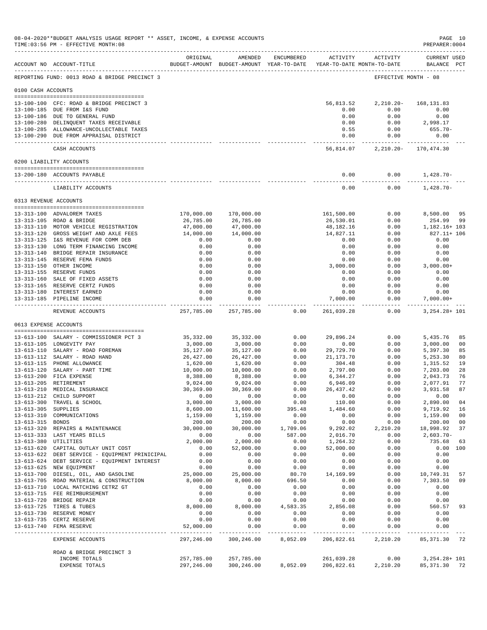|                       | 08-04-2020**BUDGET ANALYSIS USAGE REPORT ** ASSET, INCOME, & EXPENSE ACCOUNTS<br>TIME: 03:56 PM - EFFECTIVE MONTH: 08 |                         |                            |               |                             |                                                                                                     | PREPARER: 0004                | PAGE 10                          |
|-----------------------|-----------------------------------------------------------------------------------------------------------------------|-------------------------|----------------------------|---------------|-----------------------------|-----------------------------------------------------------------------------------------------------|-------------------------------|----------------------------------|
|                       | ACCOUNT NO ACCOUNT-TITLE                                                                                              | ORIGINAL                | AMENDED                    |               |                             | ENCUMBERED ACTIVITY ACTIVITY<br>BUDGET-AMOUNT BUDGET-AMOUNT YEAR-TO-DATE YEAR-TO-DATE MONTH-TO-DATE | CURRENT USED<br>BALANCE PCT   |                                  |
|                       | REPORTING FUND: 0013 ROAD & BRIDGE PRECINCT 3                                                                         |                         |                            |               |                             |                                                                                                     | EFFECTIVE MONTH - 08          |                                  |
| 0100 CASH ACCOUNTS    |                                                                                                                       |                         |                            |               |                             |                                                                                                     |                               |                                  |
|                       |                                                                                                                       |                         |                            |               |                             | 56,813.52 2,210.20- 168,131.83                                                                      |                               |                                  |
|                       | 13-100-100 CFC: ROAD & BRIDGE PRECINCT 3<br>13-100-185 DUE FROM I&S FUND                                              |                         |                            |               | 0.00                        | 0.00                                                                                                | 0.00                          |                                  |
|                       | 13-100-186 DUE TO GENERAL FUND                                                                                        |                         |                            |               | 0.00                        | 0.00                                                                                                | 0.00                          |                                  |
|                       | 13-100-280 DELINQUENT TAXES RECEIVABLE                                                                                |                         |                            |               | 0.00                        |                                                                                                     | $0.00$ 2,998.17               |                                  |
|                       | 13-100-285 ALLOWANCE-UNCOLLECTABLE TAXES<br>13-100-290 DUE FROM APPRAISAL DISTRICT                                    |                         |                            |               | 0.55                        | 0.00<br>0.00<br>0.00                                                                                | 655.70-<br>0.00               |                                  |
|                       | CASH ACCOUNTS                                                                                                         |                         |                            |               | . _ _ _ _ _ _ _ _ _ _ _     | -----------<br>56,814.07 2,210.20 - 170,474.30                                                      |                               |                                  |
|                       | 0200 LIABILITY ACCOUNTS                                                                                               |                         |                            |               |                             |                                                                                                     |                               |                                  |
|                       | 13-200-180 ACCOUNTS PAYABLE                                                                                           |                         |                            |               | 0.00                        | 0.00                                                                                                | $1,428.70-$                   |                                  |
|                       | LIABILITY ACCOUNTS                                                                                                    |                         |                            |               | --------------<br>0.00      | -----------<br>0.00                                                                                 | --------------<br>$1,428.70-$ |                                  |
| 0313 REVENUE ACCOUNTS |                                                                                                                       |                         |                            |               |                             |                                                                                                     |                               |                                  |
|                       |                                                                                                                       |                         |                            |               |                             |                                                                                                     |                               |                                  |
|                       | 13-313-100 ADVALOREM TAXES<br>13-313-105 ROAD & BRIDGE                                                                | 170,000.00<br>26,785.00 | 170,000.00<br>26,785.00    |               | 161,500.00<br>26,530.01     | 0.00<br>0.00                                                                                        | 8,500.00 95<br>254.99         | 99                               |
|                       | 13-313-110 MOTOR VEHICLE REGISTRATION                                                                                 | 47,000.00               | 47,000.00                  |               | 48,182.16                   | 0.00                                                                                                | 1,182.16+ 103                 |                                  |
|                       | 13-313-120 GROSS WEIGHT AND AXLE FEES                                                                                 | 14,000.00               | 14,000.00                  |               | 14,827.11                   | 0.00                                                                                                | 827.11+ 106                   |                                  |
|                       | 13-313-125 I&S REVENUE FOR COMM DEB                                                                                   | 0.00                    | 0.00                       |               | 0.00                        | 0.00                                                                                                | 0.00                          |                                  |
|                       | 13-313-130 LONG TERM FINANCING INCOME                                                                                 | 0.00                    | 0.00                       |               | 0.00                        | 0.00                                                                                                | 0.00                          |                                  |
|                       | 13-313-140 BRIDGE REPAIR INSURANCE                                                                                    | 0.00                    | 0.00                       |               | 0.00                        | 0.00                                                                                                | 0.00                          |                                  |
|                       | 13-313-145 RESERVE FEMA FUNDS<br>13-313-150 OTHER INCOME                                                              | 0.00<br>0.00            | 0.00<br>0.00               |               | 0.00<br>3,000.00            | 0.00<br>0.00                                                                                        | 0.00<br>3,000.00+             |                                  |
|                       | 13-313-155 RESERVE FUNDS                                                                                              | 0.00                    | 0.00                       |               | 0.00                        | 0.00                                                                                                | 0.00                          |                                  |
|                       | 13-313-160 SALE OF FIXED ASSETS                                                                                       | 0.00                    | 0.00                       |               | 0.00                        | 0.00                                                                                                | 0.00                          |                                  |
|                       | 13-313-165 RESERVE CERTZ FUNDS                                                                                        | 0.00                    | 0.00                       |               | 0.00                        | 0.00                                                                                                | 0.00                          |                                  |
|                       | 13-313-180 INTEREST EARNED                                                                                            | 0.00                    | 0.00                       |               | 0.00                        | 0.00                                                                                                | 0.00                          |                                  |
|                       | 13-313-185 PIPELINE INCOME                                                                                            | 0.00                    | 0.00                       |               | 7,000.00                    | 0.00                                                                                                | $7,000.00+$                   |                                  |
|                       | REVENUE ACCOUNTS                                                                                                      |                         | 257,785.00 257,785.00 0.00 |               |                             | 261,039.28 0.00                                                                                     | 3,254.28+ 101                 |                                  |
| 0613 EXPENSE ACCOUNTS |                                                                                                                       |                         |                            |               |                             |                                                                                                     |                               |                                  |
|                       | 13-613-100 SALARY - COMMISSIONER PCT 3                                                                                | 35,332.00               | 35,332.00                  | 0.00          | 29,896.24                   | 0.00                                                                                                | 5,435.76                      | 85                               |
|                       | 13-613-105 LONGEVITY PAY                                                                                              | 3,000.00                | 3,000.00                   | 0.00          | 0.00                        | 0.00                                                                                                | 3,000.00                      | 00                               |
|                       | 13-613-110 SALARY - ROAD FOREMAN                                                                                      | 35,127.00               | 35,127.00                  | 0.00          | 29,729.70                   | 0.00                                                                                                | 5,397.30                      | 85                               |
|                       | 13-613-112 SALARY - ROAD HAND                                                                                         | 26,427.00               | 26,427.00                  | 0.00          | 21,173.70                   | 0.00                                                                                                | 5,253.30                      | 80                               |
|                       | 13-613-115 PHONE ALLOWANCE                                                                                            | 1,620.00                | 1,620.00                   | 0.00          | 304.48                      | 0.00                                                                                                | 1,315.52                      | 19                               |
|                       | 13-613-120 SALARY - PART TIME<br>13-613-200 FICA EXPENSE                                                              | 10,000.00<br>8,388.00   | 10,000.00<br>8,388.00      | 0.00<br>0.00  | 2,797.00<br>6,344.27        | 0.00<br>0.00                                                                                        | 7,203.00<br>2,043.73          | 28<br>76                         |
|                       | 13-613-205 RETIREMENT                                                                                                 | 9,024.00                | 9,024.00                   | 0.00          | 6,946.09                    | 0.00                                                                                                | 2,077.91                      | 77                               |
|                       | 13-613-210 MEDICAL INSURANCE                                                                                          | 30,369.00               | 30,369.00                  | 0.00          | 26,437.42                   | 0.00                                                                                                | 3,931.58                      | 87                               |
|                       | 13-613-212 CHILD SUPPORT                                                                                              | 0.00                    | 0.00                       | 0.00          | 0.00                        | 0.00                                                                                                | 0.00                          |                                  |
|                       | 13-613-300 TRAVEL & SCHOOL                                                                                            | 3,000.00                | 3,000.00                   | 0.00          | 110.00                      | 0.00                                                                                                | 2,890.00                      | 04                               |
| 13-613-305 SUPPLIES   |                                                                                                                       | 8,600.00                | 11,600.00                  | 395.48        | 1,484.60                    | 0.00                                                                                                | 9,719.92                      | 16                               |
| 13-613-315 BONDS      | 13-613-310 COMMUNICATIONS                                                                                             | 1,159.00<br>200.00      | 1,159.00<br>200.00         | 0.00<br>0.00  | 0.00<br>0.00                | 0.00<br>0.00                                                                                        | 1,159.00<br>200.00            | 0 <sub>0</sub><br>0 <sub>0</sub> |
|                       | 13-613-320 REPAIRS & MAINTENANCE                                                                                      | 30,000.00               | 30,000.00                  | 1,709.06      | 9,292.02                    | 2,210.20                                                                                            | 18,998.92                     | 37                               |
|                       | 13-613-333 LAST YEARS BILLS                                                                                           | 0.00                    | 0.00                       | 587.00        | 2,016.70                    | 0.00                                                                                                | $2,603.70-$                   |                                  |
| 13-613-380 UTILITIES  |                                                                                                                       | 2,000.00                | 2,000.00                   | 0.00          | 1,264.32                    | 0.00                                                                                                | 735.68                        | 63                               |
|                       | 13-613-620 CAPITAL OUTLAY UNIT COST                                                                                   | 0.00                    | 52,000.00                  | 0.00          | 52,000.00                   | 0.00                                                                                                | 0.00 100                      |                                  |
|                       | 13-613-622 DEBT SERVICE - EQUIPMENT PRINICIPAL                                                                        | 0.00                    | 0.00                       | 0.00          | 0.00                        | 0.00                                                                                                | 0.00                          |                                  |
|                       | 13-613-624 DEBT SERVICE - EQUIPMENT INTEREST                                                                          | 0.00                    | 0.00                       | 0.00          | 0.00                        | 0.00                                                                                                | 0.00                          |                                  |
|                       | 13-613-625 NEW EQUIPMENT<br>13-613-700 DIESEL, OIL, AND GASOLINE                                                      | 0.00<br>25,000.00       | 0.00<br>25,000.00          | 0.00<br>80.70 | 0.00<br>14,169.99           | 0.00<br>0.00                                                                                        | 0.00<br>10,749.31             | 57                               |
|                       | 13-613-705 ROAD MATERIAL & CONSTRUCTION                                                                               | 8,000.00                | 8,000.00                   | 696.50        | 0.00                        | 0.00                                                                                                | 7,303.50                      | 09                               |
|                       | 13-613-710 LOCAL MATCHING CETRZ GT                                                                                    | 0.00                    | 0.00                       | 0.00          | 0.00                        | 0.00                                                                                                | 0.00                          |                                  |
|                       | 13-613-715 FEE REIMBURSEMENT                                                                                          | 0.00                    | 0.00                       | 0.00          | 0.00                        | 0.00                                                                                                | 0.00                          |                                  |
|                       | 13-613-720 BRIDGE REPAIR                                                                                              | 0.00                    | 0.00                       | 0.00          | 0.00                        | 0.00                                                                                                | 0.00                          |                                  |
|                       | 13-613-725 TIRES & TUBES                                                                                              | 8,000.00                | 8,000.00                   | 4,583.35      | 2,856.08                    | 0.00                                                                                                | 560.57                        | 93                               |
|                       | 13-613-730 RESERVE MONEY                                                                                              | 0.00<br>0.00            | 0.00<br>0.00               | 0.00<br>0.00  | 0.00<br>0.00                | 0.00                                                                                                | 0.00<br>0.00                  |                                  |
|                       | 13-613-735 CERTZ RESERVE<br>13-613-740 FEMA RESERVE                                                                   | 52,000.00               | 0.00                       | 0.00          | 0.00                        | 0.00<br>0.00                                                                                        | 0.00                          |                                  |
|                       | EXPENSE ACCOUNTS                                                                                                      | 297,246.00              | 300,246.00                 | 8,052.09      | ----------- -<br>206,822.61 | 2,210.20                                                                                            | 85, 371.30 72                 |                                  |
|                       | ROAD & BRIDGE PRECINCT 3                                                                                              |                         |                            |               |                             |                                                                                                     |                               |                                  |
|                       | INCOME TOTALS                                                                                                         | 257,785.00              | 257,785.00                 |               | 261,039.28                  | 0.00                                                                                                | 3,254.28+ 101                 |                                  |
|                       | EXPENSE TOTALS                                                                                                        | 297,246.00              | 300,246.00                 | 8,052.09      | 206,822.61                  | 2,210.20                                                                                            | 85, 371.30 72                 |                                  |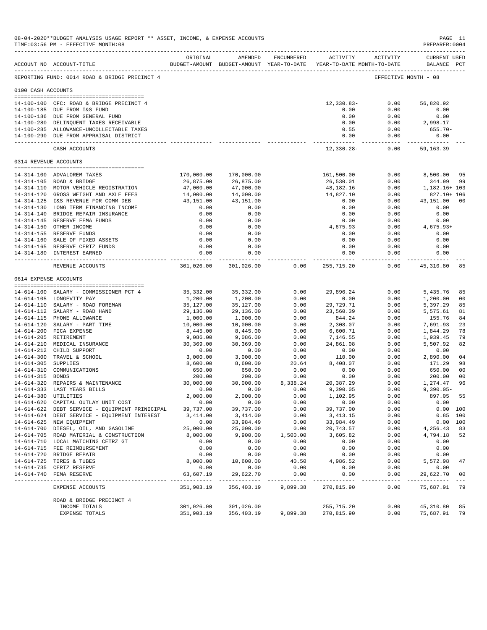|                       | 08-04-2020**BUDGET ANALYSIS USAGE REPORT ** ASSET, INCOME, & EXPENSE ACCOUNTS<br>TIME: 03:56 PM - EFFECTIVE MONTH: 08<br>---------------------------------- |                             |                             |                         |                                                                     |                      | PAGE 11<br>PREPARER: 0004          |                                                                                                                                                                                                                                                                                                                                                                                                    |
|-----------------------|-------------------------------------------------------------------------------------------------------------------------------------------------------------|-----------------------------|-----------------------------|-------------------------|---------------------------------------------------------------------|----------------------|------------------------------------|----------------------------------------------------------------------------------------------------------------------------------------------------------------------------------------------------------------------------------------------------------------------------------------------------------------------------------------------------------------------------------------------------|
|                       | ACCOUNT NO ACCOUNT-TITLE                                                                                                                                    | ORIGINAL                    | AMENDED                     | ENCUMBERED              | BUDGET-AMOUNT BUDGET-AMOUNT YEAR-TO-DATE YEAR-TO-DATE MONTH-TO-DATE | ACTIVITY ACTIVITY    | <b>CURRENT USED</b><br>BALANCE PCT |                                                                                                                                                                                                                                                                                                                                                                                                    |
|                       | -------------------------------------<br>REPORTING FUND: 0014 ROAD & BRIDGE PRECINCT 4                                                                      |                             |                             |                         |                                                                     | EFFECTIVE MONTH - 08 |                                    |                                                                                                                                                                                                                                                                                                                                                                                                    |
| 0100 CASH ACCOUNTS    |                                                                                                                                                             |                             |                             |                         |                                                                     |                      |                                    |                                                                                                                                                                                                                                                                                                                                                                                                    |
|                       |                                                                                                                                                             |                             |                             |                         |                                                                     | 0.00                 | 56,820.92                          |                                                                                                                                                                                                                                                                                                                                                                                                    |
|                       | 14-100-100 CFC: ROAD & BRIDGE PRECINCT 4<br>14-100-185 DUE FROM I&S FUND                                                                                    |                             |                             |                         | $12,330.83-$<br>0.00                                                | 0.00                 | 0.00                               |                                                                                                                                                                                                                                                                                                                                                                                                    |
|                       | 14-100-186 DUE FROM GENERAL FUND                                                                                                                            |                             |                             |                         | 0.00                                                                | 0.00                 | 0.00                               |                                                                                                                                                                                                                                                                                                                                                                                                    |
|                       | 14-100-280 DELINQUENT TAXES RECEIVABLE                                                                                                                      |                             |                             |                         | 0.00                                                                | 0.00                 | 2,998.17                           |                                                                                                                                                                                                                                                                                                                                                                                                    |
|                       | 14-100-285 ALLOWANCE-UNCOLLECTABLE TAXES                                                                                                                    |                             |                             |                         | 0.55                                                                | 0.00                 | 655.70-                            |                                                                                                                                                                                                                                                                                                                                                                                                    |
|                       | 14-100-290 DUE FROM APPRAISAL DISTRICT                                                                                                                      |                             |                             |                         | 0.00<br>-----------                                                 | 0.00<br>----------   | 0.00                               |                                                                                                                                                                                                                                                                                                                                                                                                    |
|                       | CASH ACCOUNTS                                                                                                                                               |                             |                             |                         | 12,330.28-                                                          | 0.00                 | 59,163.39                          |                                                                                                                                                                                                                                                                                                                                                                                                    |
| 0314 REVENUE ACCOUNTS |                                                                                                                                                             |                             |                             |                         |                                                                     |                      |                                    |                                                                                                                                                                                                                                                                                                                                                                                                    |
|                       | 14-314-100 ADVALOREM TAXES                                                                                                                                  | 170,000.00                  | 170,000.00                  |                         | 161,500.00                                                          | 0.00                 | 8,500.00                           | 95                                                                                                                                                                                                                                                                                                                                                                                                 |
|                       | 14-314-105 ROAD & BRIDGE                                                                                                                                    | 26,875.00                   | 26,875.00                   |                         | 26,530.01                                                           | 0.00                 | 344.99                             | 99                                                                                                                                                                                                                                                                                                                                                                                                 |
|                       | 14-314-110 MOTOR VEHICLE REGISTRATION                                                                                                                       | 47,000.00                   | 47,000.00                   |                         | 48,182.16                                                           | 0.00                 | 1,182.16+ 103                      |                                                                                                                                                                                                                                                                                                                                                                                                    |
|                       | 14-314-120 GROSS WEIGHT AND AXLE FEES                                                                                                                       | 14,000.00                   | 14,000.00                   |                         | 14,827.10                                                           | 0.00                 | 827.10+ 106                        |                                                                                                                                                                                                                                                                                                                                                                                                    |
|                       | 14-314-125 I&S REVENUE FOR COMM DEB                                                                                                                         | 43,151.00                   | 43,151.00                   |                         | 0.00                                                                | 0.00                 | 43,151.00                          | 00                                                                                                                                                                                                                                                                                                                                                                                                 |
|                       | 14-314-130 LONG TERM FINANCING INCOME                                                                                                                       | 0.00                        | 0.00                        |                         | 0.00                                                                | 0.00                 | 0.00                               |                                                                                                                                                                                                                                                                                                                                                                                                    |
|                       | 14-314-140 BRIDGE REPAIR INSURANCE<br>14-314-145 RESERVE FEMA FUNDS                                                                                         | 0.00<br>0.00                | 0.00<br>0.00                |                         | 0.00<br>0.00                                                        | 0.00<br>0.00         | 0.00<br>0.00                       |                                                                                                                                                                                                                                                                                                                                                                                                    |
|                       | 14-314-150 OTHER INCOME                                                                                                                                     | 0.00                        | 0.00                        |                         | 4,675.93                                                            | 0.00                 | $4,675.93+$                        |                                                                                                                                                                                                                                                                                                                                                                                                    |
|                       | 14-314-155 RESERVE FUNDS                                                                                                                                    | 0.00                        | 0.00                        |                         | 0.00                                                                | 0.00                 | 0.00                               |                                                                                                                                                                                                                                                                                                                                                                                                    |
|                       | 14-314-160 SALE OF FIXED ASSETS                                                                                                                             | 0.00                        | 0.00                        |                         | 0.00                                                                | 0.00                 | 0.00                               |                                                                                                                                                                                                                                                                                                                                                                                                    |
|                       | 14-314-165 RESERVE CERTZ FUNDS                                                                                                                              | 0.00                        | 0.00                        |                         | 0.00                                                                | 0.00                 | 0.00                               |                                                                                                                                                                                                                                                                                                                                                                                                    |
|                       | 14-314-180 INTEREST EARNED                                                                                                                                  | 0.00<br>------------        | 0.00<br>------------        |                         | 0.00                                                                | 0.00<br>-----------  | 0.00                               |                                                                                                                                                                                                                                                                                                                                                                                                    |
|                       | REVENUE ACCOUNTS                                                                                                                                            | 301,026.00                  | 301,026.00                  | 0.00                    | 255,715.20                                                          | 0.00                 | 45,310.80                          | 85                                                                                                                                                                                                                                                                                                                                                                                                 |
| 0614 EXPENSE ACCOUNTS |                                                                                                                                                             |                             |                             |                         |                                                                     |                      |                                    |                                                                                                                                                                                                                                                                                                                                                                                                    |
|                       | 14-614-100 SALARY - COMMISSIONER PCT 4                                                                                                                      | 35, 332.00                  | 35, 332.00                  | 0.00                    | 29,896.24                                                           | 0.00                 | 5,435.76                           | 85                                                                                                                                                                                                                                                                                                                                                                                                 |
|                       | 14-614-105 LONGEVITY PAY                                                                                                                                    | 1,200.00                    | 1,200.00                    | 0.00                    | 0.00                                                                | 0.00                 | 1,200.00                           | 00                                                                                                                                                                                                                                                                                                                                                                                                 |
|                       | 14-614-110 SALARY - ROAD FOREMAN                                                                                                                            | 35,127.00                   | 35,127.00                   | 0.00                    | 29,729.71                                                           | 0.00                 | 5,397.29                           | 85                                                                                                                                                                                                                                                                                                                                                                                                 |
|                       | 14-614-112 SALARY - ROAD HAND                                                                                                                               | 29,136.00                   | 29,136.00                   | 0.00                    | 23,560.39                                                           | 0.00                 | 5,575.61                           | 81                                                                                                                                                                                                                                                                                                                                                                                                 |
|                       | 14-614-115 PHONE ALLOWANCE                                                                                                                                  | 1,000.00                    | 1,000.00                    | 0.00                    | 844.24                                                              | 0.00                 | 155.76                             | 84                                                                                                                                                                                                                                                                                                                                                                                                 |
|                       | 14-614-120 SALARY - PART TIME                                                                                                                               | 10,000.00                   | 10,000.00                   | 0.00                    | 2,308.07                                                            | 0.00                 | 7,691.93                           | 23                                                                                                                                                                                                                                                                                                                                                                                                 |
|                       | 14-614-200 FICA EXPENSE<br>14-614-205 RETIREMENT                                                                                                            | 8,445.00<br>9,086.00        | 8,445.00<br>9,086.00        | 0.00<br>0.00            | 6,600.71<br>7,146.55                                                | 0.00<br>0.00         | 1,844.29<br>1,939.45               | 78<br>79                                                                                                                                                                                                                                                                                                                                                                                           |
|                       | 14-614-210 MEDICAL INSURANCE                                                                                                                                | 30,369.00                   | 30,369.00                   | 0.00                    | 24,861.08                                                           | 0.00                 | 5,507.92                           | 82                                                                                                                                                                                                                                                                                                                                                                                                 |
|                       | 14-614-212 CHILD SUPPORT                                                                                                                                    | 0.00                        | 0.00                        | 0.00                    | 0.00                                                                | 0.00                 | 0.00                               |                                                                                                                                                                                                                                                                                                                                                                                                    |
|                       | 14-614-300 TRAVEL & SCHOOL                                                                                                                                  | 3,000.00                    | 3,000.00                    | 0.00                    | 110.00                                                              | 0.00                 | 2,890.00                           | 04                                                                                                                                                                                                                                                                                                                                                                                                 |
| 14-614-305 SUPPLIES   |                                                                                                                                                             | 8,600.00                    | 8,600.00                    | 20.64                   | 8,408.07                                                            | 0.00                 | 171.29                             | 98                                                                                                                                                                                                                                                                                                                                                                                                 |
|                       | 14-614-310 COMMUNICATIONS                                                                                                                                   | 650.00                      | 650.00                      | 0.00                    | 0.00                                                                | 0.00                 | 650.00                             | 00                                                                                                                                                                                                                                                                                                                                                                                                 |
| 14-614-315 BONDS      |                                                                                                                                                             | 200.00                      | 200.00                      | 0.00                    | 0.00                                                                | 0.00                 | 200.00                             | 00                                                                                                                                                                                                                                                                                                                                                                                                 |
|                       | 14-614-320 REPAIRS & MAINTENANCE                                                                                                                            | 30,000.00                   | 30,000.00<br>0.00           | 8,338.24<br>0.00        | 20,387.29                                                           | 0.00<br>0.00         | 1,274.47                           | 96                                                                                                                                                                                                                                                                                                                                                                                                 |
| 14-614-380 UTILITIES  | 14-614-333 LAST YEARS BILLS                                                                                                                                 | 0.00<br>2,000.00            | 2,000.00                    | 0.00                    | 9,390.05<br>1,102.95                                                | 0.00                 | $9,390.05 -$<br>897.05 55          |                                                                                                                                                                                                                                                                                                                                                                                                    |
|                       | 14-614-620 CAPITAL OUTLAY UNIT COST                                                                                                                         | 0.00                        | 0.00                        | 0.00                    | 0.00                                                                | 0.00                 | 0.00                               |                                                                                                                                                                                                                                                                                                                                                                                                    |
|                       | 14-614-622 DEBT SERVICE - EQUIPMENT PRINICIPAL                                                                                                              | 39,737.00                   | 39,737.00                   | 0.00                    | 39,737.00                                                           | 0.00                 | 0.00 100                           |                                                                                                                                                                                                                                                                                                                                                                                                    |
|                       | 14-614-624 DEBT SERVICE - EQUIPMENT INTEREST                                                                                                                | 3,414.00                    | 3,414.00                    | 0.00                    | 3,413.15                                                            | 0.00                 | $0.85$ 100                         |                                                                                                                                                                                                                                                                                                                                                                                                    |
|                       | 14-614-625 NEW EQUIPMENT                                                                                                                                    | 0.00                        | 33,984.49                   | 0.00                    | 33,984.49                                                           | 0.00                 | 0.00 100                           |                                                                                                                                                                                                                                                                                                                                                                                                    |
|                       | 14-614-700 DIESEL, OIL, AND GASOLINE                                                                                                                        | 25,000.00                   | 25,000.00                   | 0.00                    | 20,743.57                                                           | 0.00                 | 4,256.43                           | 83                                                                                                                                                                                                                                                                                                                                                                                                 |
|                       | 14-614-705 ROAD MATERIAL & CONSTRUCTION                                                                                                                     | 8,000.00                    | 9,900.00                    | 1,500.00                | 3,605.82                                                            | 0.00                 | 4,794.18                           | 52                                                                                                                                                                                                                                                                                                                                                                                                 |
|                       | 14-614-710 LOCAL MATCHING CETRZ GT                                                                                                                          | 0.00                        | 0.00                        | 0.00                    | 0.00                                                                | 0.00                 | 0.00                               |                                                                                                                                                                                                                                                                                                                                                                                                    |
|                       | 14-614-715 FEE REIMBURSEMENT<br>14-614-720 BRIDGE REPAIR                                                                                                    | 0.00<br>0.00                | 0.00<br>0.00                | 0.00<br>0.00            | 0.00<br>0.00                                                        | 0.00<br>0.00         | 0.00<br>0.00                       |                                                                                                                                                                                                                                                                                                                                                                                                    |
|                       | 14-614-725 TIRES & TUBES                                                                                                                                    | 8,000.00                    | 10,600.00                   | 40.50                   | 4,986.52                                                            | 0.00                 | 5,572.98                           | 47                                                                                                                                                                                                                                                                                                                                                                                                 |
|                       | 14-614-735 CERTZ RESERVE                                                                                                                                    | 0.00                        | 0.00                        | 0.00                    | 0.00                                                                | 0.00                 | 0.00                               |                                                                                                                                                                                                                                                                                                                                                                                                    |
|                       | 14-614-740 FEMA RESERVE                                                                                                                                     | 63,607.19                   | 29,622.70                   | 0.00                    | 0.00                                                                | 0.00                 | 29,622.70                          | 00                                                                                                                                                                                                                                                                                                                                                                                                 |
|                       | EXPENSE ACCOUNTS                                                                                                                                            | -------------<br>351,903.19 | -------------<br>356,403.19 | -----------<br>9,899.38 | -----------<br>270,815.90                                           | $- - - - -$<br>0.00  | ------------<br>75,687.91          | $\frac{1}{2} \frac{1}{2} \frac{1}{2} \frac{1}{2} \frac{1}{2} \frac{1}{2} \frac{1}{2} \frac{1}{2} \frac{1}{2} \frac{1}{2} \frac{1}{2} \frac{1}{2} \frac{1}{2} \frac{1}{2} \frac{1}{2} \frac{1}{2} \frac{1}{2} \frac{1}{2} \frac{1}{2} \frac{1}{2} \frac{1}{2} \frac{1}{2} \frac{1}{2} \frac{1}{2} \frac{1}{2} \frac{1}{2} \frac{1}{2} \frac{1}{2} \frac{1}{2} \frac{1}{2} \frac{1}{2} \frac{$<br>79 |
|                       | ROAD & BRIDGE PRECINCT 4                                                                                                                                    |                             |                             |                         |                                                                     |                      |                                    |                                                                                                                                                                                                                                                                                                                                                                                                    |
|                       | INCOME TOTALS                                                                                                                                               | 301,026.00                  | 301,026.00                  |                         | 255,715.20                                                          | 0.00                 | 45,310.80                          | 85                                                                                                                                                                                                                                                                                                                                                                                                 |
|                       | EXPENSE TOTALS                                                                                                                                              | 351,903.19                  | 356,403.19                  | 9,899.38                | 270,815.90                                                          | 0.00                 | 75,687.91                          | 79                                                                                                                                                                                                                                                                                                                                                                                                 |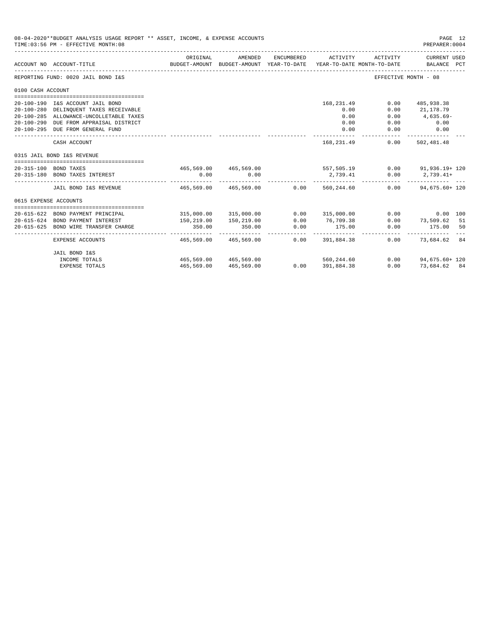|                       | 08-04-2020**BUDGET ANALYSIS USAGE REPORT ** ASSET, INCOME, & EXPENSE ACCOUNTS<br>TIME: 03:56 PM - EFFECTIVE MONTH: 08 |                                          |                                                     |                      |                                                               |          | PAGE 12<br>PREPARER: 0004          |    |
|-----------------------|-----------------------------------------------------------------------------------------------------------------------|------------------------------------------|-----------------------------------------------------|----------------------|---------------------------------------------------------------|----------|------------------------------------|----|
|                       | ACCOUNT NO ACCOUNT-TITLE                                                                                              | ORIGINAL                                 | AMENDED<br>BUDGET-AMOUNT BUDGET-AMOUNT YEAR-TO-DATE | ENCUMBERED           | ACTIVITY<br>YEAR-TO-DATE MONTH-TO-DATE                        | ACTIVITY | <b>CURRENT USED</b><br>BALANCE PCT |    |
|                       | REPORTING FUND: 0020 JAIL BOND I&S                                                                                    |                                          |                                                     |                      |                                                               |          | EFFECTIVE MONTH - 08               |    |
| 0100 CASH ACCOUNT     |                                                                                                                       |                                          |                                                     |                      |                                                               |          |                                    |    |
|                       |                                                                                                                       |                                          |                                                     |                      |                                                               |          |                                    |    |
|                       | 20-100-190 I&S ACCOUNT JAIL BOND                                                                                      |                                          |                                                     |                      | 168,231.49                                                    | 0.00     | 485,938.38                         |    |
|                       | 20-100-280 DELINQUENT TAXES RECEIVABLE                                                                                |                                          |                                                     |                      | 0.00                                                          | 0.00     | 21,178.79                          |    |
|                       | 20-100-285 ALLOWANCE-UNCOLLETABLE TAXES                                                                               |                                          |                                                     |                      | 0.00                                                          | 0.00     | 4,635.69-                          |    |
|                       | 20-100-290 DUE FROM APPRAISAL DISTRICT                                                                                |                                          |                                                     |                      | 0.00                                                          | 0.00     | 0.00                               |    |
|                       | 20-100-295 DUE FROM GENERAL FUND                                                                                      |                                          |                                                     |                      | 0.00                                                          | 0.00     | 0.00                               |    |
|                       | CASH ACCOUNT                                                                                                          |                                          |                                                     |                      | 168,231.49                                                    | 0.00     | 502,481.48                         |    |
|                       | 0315 JAIL BOND I&S REVENUE                                                                                            |                                          |                                                     |                      |                                                               |          |                                    |    |
|                       |                                                                                                                       |                                          |                                                     |                      |                                                               |          |                                    |    |
|                       | 20-315-100 BOND TAXES                                                                                                 |                                          |                                                     |                      | $465,569.00$ $465,569.00$ $557,505.19$ $0.00$ $91,936.19+120$ |          |                                    |    |
|                       | 20-315-180 BOND TAXES INTEREST                                                                                        | 0.00<br>---------------- --------------- | 0.00                                                |                      | 2,739.41                                                      | 0.00     | $2,739.41+$<br>-------------       |    |
|                       | JAIL BOND I&S REVENUE                                                                                                 | 465,569.00 465,569.00                    |                                                     | 0.00                 | 560,244.60                                                    |          | $0.00$ 94,675.60+ 120              |    |
| 0615 EXPENSE ACCOUNTS |                                                                                                                       |                                          |                                                     |                      |                                                               |          |                                    |    |
|                       |                                                                                                                       |                                          |                                                     |                      |                                                               |          |                                    |    |
|                       | 20-615-622 BOND PAYMENT PRINCIPAL                                                                                     |                                          | 315,000.00 315,000.00                               | 0.00                 | 315,000.00                                                    |          | 0.00<br>0.00 100                   |    |
|                       | 20-615-624 BOND PAYMENT INTEREST                                                                                      | 150,219.00                               | 150,219.00                                          | 0.00                 | 76,709.38                                                     | 0.00     | 73,509.62 51                       |    |
| $20 - 615 - 625$      | BOND WIRE TRANSFER CHARGE                                                                                             | 350.00<br>------------                   | 350.00<br>------------ <i>-</i>                     | 0.00<br>------------ | 175.00<br>-------------                                       | 0.00     | 175.00<br>-----------              | 50 |
|                       | EXPENSE ACCOUNTS                                                                                                      | 465,569.00                               | 465,569.00                                          | 0.00                 | 391,884.38                                                    | 0.00     | 73.684.62 84                       |    |
|                       | JAIL BOND I&S                                                                                                         |                                          |                                                     |                      |                                                               |          |                                    |    |
|                       | INCOME TOTALS                                                                                                         |                                          | 465,569,00 465,569,00                               |                      | 560, 244, 60                                                  |          | $0.00$ 94.675.60+ 120              |    |
|                       | <b>EXPENSE TOTALS</b>                                                                                                 | 465,569.00                               | 465,569.00                                          |                      | $0.00$ 391,884.38                                             | 0.00     | 73.684.62 84                       |    |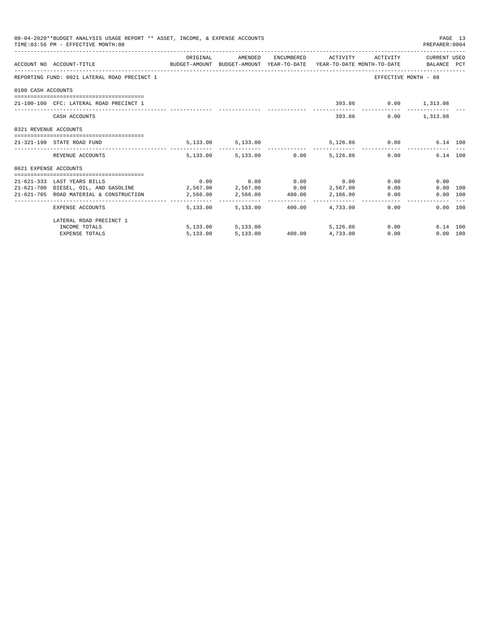|                                              | TIME: 03:56 PM - EFFECTIVE MONTH: 08                                                                        | 08-04-2020**BUDGET ANALYSIS USAGE REPORT ** ASSET, INCOME, & EXPENSE ACCOUNTS |                                      | PREPARER: 0004 | PAGE 13                                   |               |                      |  |
|----------------------------------------------|-------------------------------------------------------------------------------------------------------------|-------------------------------------------------------------------------------|--------------------------------------|----------------|-------------------------------------------|---------------|----------------------|--|
|                                              | ACCOUNT NO ACCOUNT-TITLE TO BUDGET-AMOUNT BUDGET-AMOUNT YEAR-TO-DATE YEAR-TO-DATE MONTH-TO-DATE BALANCE PCT | ORIGINAL                                                                      | AMENDED                              |                | ENCUMBERED ACTIVITY ACTIVITY CURRENT USED |               |                      |  |
| REPORTING FUND: 0021 LATERAL ROAD PRECINCT 1 |                                                                                                             |                                                                               |                                      |                |                                           |               | EFFECTIVE MONTH - 08 |  |
| 0100 CASH ACCOUNTS                           |                                                                                                             |                                                                               |                                      |                |                                           |               |                      |  |
|                                              | 21-100-100 CFC: LATERAL ROAD PRECINCT 1                                                                     |                                                                               |                                      |                |                                           |               | 393.86 0.00 1,313.08 |  |
|                                              | CASH ACCOUNTS                                                                                               |                                                                               |                                      |                |                                           | 393.86        | $0.00$ 1,313.08      |  |
| 0321 REVENUE ACCOUNTS                        |                                                                                                             |                                                                               |                                      |                |                                           |               |                      |  |
|                                              | 21-321-190 STATE ROAD FUND                                                                                  |                                                                               | 5, 133.00 5, 133.00                  |                |                                           | 5,126.86 0.00 | 6.14 100             |  |
|                                              | REVENUE ACCOUNTS                                                                                            |                                                                               | 5,133.00 5,133.00 0.00 5,126.86 0.00 |                |                                           |               | 6.14 100             |  |
| 0621 EXPENSE ACCOUNTS                        |                                                                                                             |                                                                               |                                      |                |                                           |               |                      |  |
|                                              | 21-621-333 LAST YEARS BILLS                                                                                 |                                                                               | $0.00$ $0.00$ $0.00$ $0.00$ $0.00$   |                |                                           |               | 0.00<br>0.00         |  |
|                                              | $21-621-700$ DIESEL, OIL, AND GASOLINE $2,567.00$ $2,567.00$ $0.00$ $2,567.00$                              |                                                                               |                                      |                |                                           |               | 0.00<br>0.00 100     |  |
|                                              | 21-621-705 ROAD MATERIAL & CONSTRUCTION 2,566.00                                                            |                                                                               | 2,566.00 400.00 2,166.00             |                |                                           |               | 0.00<br>0.00 100     |  |
|                                              | EXPENSE ACCOUNTS                                                                                            |                                                                               | 5,133.00 5,133.00                    | 400.00         | 4,733.00                                  | 0.00          | 0.00 100             |  |
|                                              | LATERAL ROAD PRECINCT 1                                                                                     |                                                                               |                                      |                |                                           |               |                      |  |
|                                              | INCOME TOTALS                                                                                               |                                                                               | 5,133.00 5,133.00                    |                | 5,126,86                                  |               | 0.00<br>6.14 100     |  |
|                                              | <b>EXPENSE TOTALS</b>                                                                                       | 5,133.00                                                                      |                                      |                | 5,133.00 400.00 4,733.00                  | 0.00          | 0.00 100             |  |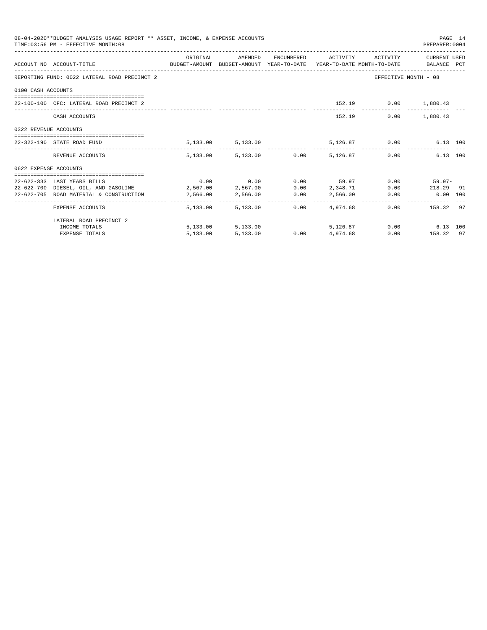|                       | 08-04-2020**BUDGET ANALYSIS USAGE REPORT ** ASSET, INCOME, & EXPENSE ACCOUNTS<br>TIME: 03:56 PM - EFFECTIVE MONTH: 08 |          |                        |                                                            |                          | PREPARER: 0004       | PAGE 14 |
|-----------------------|-----------------------------------------------------------------------------------------------------------------------|----------|------------------------|------------------------------------------------------------|--------------------------|----------------------|---------|
|                       |                                                                                                                       | ORIGINAL |                        | AMENDED ENCUMBERED ACTIVITY ACTIVITY CURRENTUSED           |                          |                      |         |
|                       | ACCOUNT NO ACCOUNT-TITLE CONTROL BUDGET-AMOUNT BUDGET-AMOUNT YEAR-TO-DATE YEAR-TO-DATE MONTH-TO-DATE BALANCE PCT      |          |                        |                                                            |                          |                      |         |
|                       | REPORTING FUND: 0022 LATERAL ROAD PRECINCT 2                                                                          |          |                        |                                                            |                          | EFFECTIVE MONTH - 08 |         |
| 0100 CASH ACCOUNTS    |                                                                                                                       |          |                        |                                                            |                          |                      |         |
|                       |                                                                                                                       |          |                        |                                                            |                          |                      |         |
|                       | 22-100-100 CFC: LATERAL ROAD PRECINCT 2                                                                               |          |                        | 152.19 0.00 1,880.43                                       |                          |                      |         |
|                       | CASH ACCOUNTS                                                                                                         |          |                        |                                                            | 152.19   0.00   1.880.43 |                      |         |
| 0322 REVENUE ACCOUNTS |                                                                                                                       |          |                        |                                                            |                          |                      |         |
|                       | 22-322-190 STATE ROAD FUND                                                                                            |          |                        | 5,133.00 5,133.00 5,126.87 0.00                            |                          | 6.13 100             |         |
|                       | REVENUE ACCOUNTS                                                                                                      |          |                        | $5,133.00$ $5,133.00$ $0.00$ $5,126.87$ $0.00$             |                          | 6.13 100             |         |
| 0622 EXPENSE ACCOUNTS |                                                                                                                       |          |                        |                                                            |                          |                      |         |
|                       | 22-622-333 LAST YEARS BILLS                                                                                           |          |                        | $0.00$ $0.00$ $0.00$ $59.97$ $0.00$ $59.97$ $0.00$ $59.97$ |                          |                      |         |
|                       | 22-622-700 DIESEL, OIL, AND GASOLINE 2,567.00 2,567.00 0.00 2,348.71                                                  |          |                        |                                                            |                          | $0.00$ 218.29 91     |         |
|                       | $22-622-705$ ROAD MATERIAL & CONSTRUCTION $2,566.00$ $2,566.00$ $0.00$ $2,566.00$ $0.00$                              |          |                        |                                                            |                          | 0.00 100             |         |
|                       | EXPENSE ACCOUNTS                                                                                                      |          | 5,133.00 5,133.00 0.00 | 4,974,68                                                   |                          | 0.00 158.32 97       |         |
|                       | LATERAL ROAD PRECINCT 2                                                                                               |          |                        |                                                            |                          |                      |         |
|                       | INCOME TOTALS                                                                                                         |          |                        | 5,133.00 5,133.00 5,126.87 0.00 6.13 100                   |                          |                      |         |
|                       | <b>EXPENSE TOTALS</b>                                                                                                 | 5,133.00 | 5,133.00               | $0.00$ 4,974.68                                            |                          | $0.00$ 158.32 97     |         |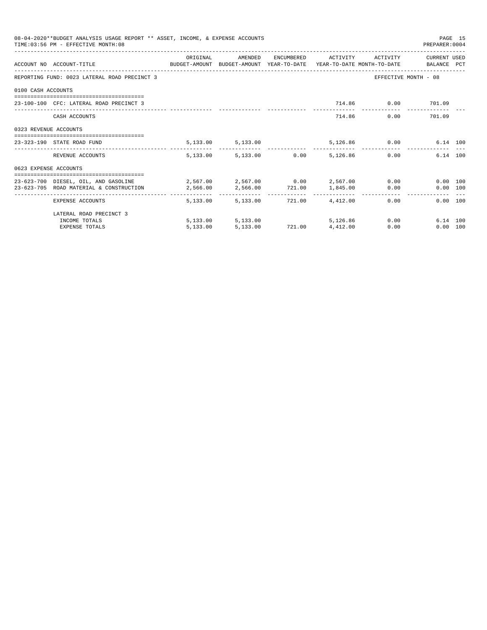|                       | 08-04-2020**BUDGET ANALYSIS USAGE REPORT ** ASSET, INCOME, & EXPENSE ACCOUNTS<br>TIME: 03:56 PM - EFFECTIVE MONTH: 08 |          |                                   |                          |                     |                    | PREPARER: 0004       | PAGE 15 |
|-----------------------|-----------------------------------------------------------------------------------------------------------------------|----------|-----------------------------------|--------------------------|---------------------|--------------------|----------------------|---------|
|                       |                                                                                                                       | ORIGINAL | AMENDED                           |                          | ENCUMBERED ACTIVITY | ACTIVITY           | CURRENT USED         |         |
|                       | ACCOUNT NO ACCOUNT-TITLE CONTROL SUDGET-AMOUNT BUDGET-AMOUNT YEAR-TO-DATE YEAR-TO-DATE MONTH-TO-DATE BALANCE PCT      |          |                                   |                          |                     |                    |                      |         |
|                       | REPORTING FUND: 0023 LATERAL ROAD PRECINCT 3                                                                          |          |                                   |                          |                     |                    | EFFECTIVE MONTH - 08 |         |
| 0100 CASH ACCOUNTS    |                                                                                                                       |          |                                   |                          |                     |                    |                      |         |
|                       | 23-100-100 CFC: LATERAL ROAD PRECINCT 3                                                                               |          |                                   |                          |                     | 714.86 0.00 701.09 |                      |         |
|                       | CASH ACCOUNTS                                                                                                         |          |                                   |                          |                     | 714.86             | 0.00 701.09          |         |
| 0323 REVENUE ACCOUNTS |                                                                                                                       |          |                                   |                          |                     |                    |                      |         |
|                       | 23-323-190 STATE ROAD FUND                                                                                            |          | 5, 133.00 5, 133.00               |                          |                     | 5,126.86 0.00      | 6.14 100             |         |
|                       | REVENUE ACCOUNTS                                                                                                      |          | 5,133.00 5,133.00 0.00            |                          | 5,126.86            |                    | 6.14 100<br>0.00     |         |
| 0623 EXPENSE ACCOUNTS |                                                                                                                       |          |                                   |                          |                     |                    |                      |         |
|                       | 23-623-700 DIESEL. OIL. AND GASOLINE $2.567.00$ $2.567.00$ $0.00$ $2.567.00$                                          |          |                                   |                          |                     |                    | 0.00 100             |         |
|                       | 23-623-705 ROAD MATERIAL & CONSTRUCTION 2,566.00                                                                      |          | 2,566.00 721.00 1,845.00          |                          |                     |                    | 0.00<br>0.00 100     |         |
|                       | ____________________________________<br>EXPENSE ACCOUNTS                                                              | -------- | 5,133.00 5,133.00 721.00 4,412.00 |                          |                     |                    | 0.00<br>0.00 100     |         |
|                       | LATERAL ROAD PRECINCT 3                                                                                               |          |                                   |                          |                     |                    |                      |         |
|                       | INCOME TOTALS                                                                                                         |          | 5,133.00 5,133.00                 |                          | 5,126,86            |                    | 0.00<br>6.14 100     |         |
|                       | <b>EXPENSE TOTALS</b>                                                                                                 | 5.133.00 |                                   | 5,133.00 721.00 4,412.00 |                     | 0.00               | 0.00 100             |         |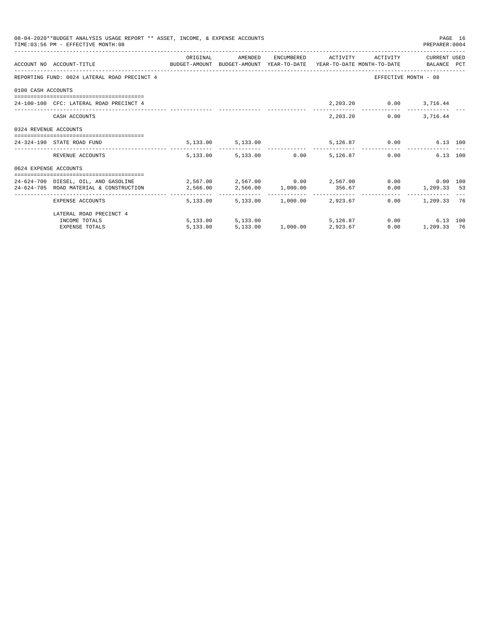|                       | 08-04-2020**BUDGET ANALYSIS USAGE REPORT ** ASSET, INCOME, & EXPENSE ACCOUNTS<br>TIME: 03:56 PM - EFFECTIVE MONTH: 08                                                                                            |          |                                     |  |                              | PREPARER: 0004       | PAGE 16 |
|-----------------------|------------------------------------------------------------------------------------------------------------------------------------------------------------------------------------------------------------------|----------|-------------------------------------|--|------------------------------|----------------------|---------|
|                       | ACCOUNT NO ACCOUNT-TITLE COMPUTE SUDGET-AMOUNT BUDGET-AMOUNT YEAR-TO-DATE YEAR-TO-DATE MONTH-TO-DATE BALANCE PCT                                                                                                 | ORIGINAL | AMENDED                             |  | ENCUMBERED ACTIVITY ACTIVITY | CURRENT USED         |         |
|                       | REPORTING FUND: 0024 LATERAL ROAD PRECINCT 4                                                                                                                                                                     |          |                                     |  |                              | EFFECTIVE MONTH - 08 |         |
| 0100 CASH ACCOUNTS    |                                                                                                                                                                                                                  |          |                                     |  |                              |                      |         |
|                       | 24-100-100 CFC: LATERAL ROAD PRECINCT 4                                                                                                                                                                          |          |                                     |  | 2, 203.20   0.00   3, 716.44 |                      |         |
|                       | CASH ACCOUNTS                                                                                                                                                                                                    |          |                                     |  | 2,203.20                     | $0.00$ 3,716.44      |         |
| 0324 REVENUE ACCOUNTS |                                                                                                                                                                                                                  |          |                                     |  |                              |                      |         |
|                       | 24-324-190 STATE ROAD FUND                                                                                                                                                                                       |          | 5, 133.00 5, 133.00                 |  | 5,126.87 0.00                | 6.13 100             |         |
|                       | REVENUE ACCOUNTS                                                                                                                                                                                                 |          | 5,133.00 5,133.00 0.00 5,126.87     |  |                              | 6.13 100<br>0.00     |         |
| 0624 EXPENSE ACCOUNTS |                                                                                                                                                                                                                  |          |                                     |  |                              |                      |         |
|                       | 24-624-700 DIESEL, OIL, AND GASOLINE $2,567.00$ $2,567.00$ $0.00$ $2,567.00$ $0.00$ $0.00$ $0.00$ $0.00$<br>24-624-705 ROAD MATERIAL & CONSTRUCTION $2,566.00$ $2,566.00$ $1,000.00$ $356.67$ 0.00 $1,209.33$ 53 |          |                                     |  |                              |                      |         |
|                       | EXPENSE ACCOUNTS                                                                                                                                                                                                 |          | 5,133.00 5,133.00 1,000.00 2,923.67 |  |                              | $0.00$ 1, 209.33 76  |         |
|                       | LATERAL ROAD PRECINCT 4                                                                                                                                                                                          |          |                                     |  |                              |                      |         |
|                       | INCOME TOTALS                                                                                                                                                                                                    |          | 5,133.00 5,133.00                   |  | 5,126.87 0.00                | 6.13 100             |         |
|                       | <b>EXPENSE TOTALS</b>                                                                                                                                                                                            | 5,133.00 | $5.133.00$ $1.000.00$ $2.923.67$    |  | 0.00                         | 1,209.33 76          |         |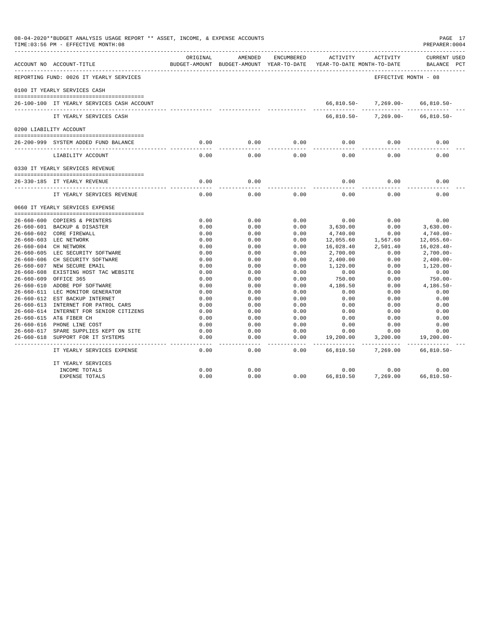| 08-04-2020**BUDGET ANALYSIS USAGE REPORT ** ASSET, INCOME, & EXPENSE ACCOUNTS<br>TIME: 03:56 PM - EFFECTIVE MONTH: 08 |                                                                    |                       | PAGE 17<br>PREPARER: 0004                           |              |                                        |                      |                                    |
|-----------------------------------------------------------------------------------------------------------------------|--------------------------------------------------------------------|-----------------------|-----------------------------------------------------|--------------|----------------------------------------|----------------------|------------------------------------|
|                                                                                                                       | ACCOUNT NO ACCOUNT-TITLE                                           | ORIGINAL              | AMENDED<br>BUDGET-AMOUNT BUDGET-AMOUNT YEAR-TO-DATE | ENCUMBERED   | ACTIVITY<br>YEAR-TO-DATE MONTH-TO-DATE | ACTIVITY             | <b>CURRENT USED</b><br>BALANCE PCT |
|                                                                                                                       | REPORTING FUND: 0026 IT YEARLY SERVICES                            |                       |                                                     |              |                                        | EFFECTIVE MONTH - 08 |                                    |
|                                                                                                                       | 0100 IT YEARLY SERVICES CASH                                       |                       |                                                     |              |                                        |                      |                                    |
|                                                                                                                       |                                                                    |                       |                                                     |              |                                        |                      |                                    |
|                                                                                                                       | 26-100-100 IT YEARLY SERVICES CASH ACCOUNT                         |                       |                                                     |              | 66,810.50-                             | 7,269.00-            | $66,810.50-$                       |
|                                                                                                                       | IT YEARLY SERVICES CASH                                            |                       |                                                     |              | $66,810.50 -$                          | $7,269.00 -$         | $66, 810.50 -$                     |
|                                                                                                                       | 0200 LIABILITY ACCOUNT                                             |                       |                                                     |              |                                        |                      |                                    |
|                                                                                                                       | 26-200-999 SYSTEM ADDED FUND BALANCE                               | 0.00                  | 0.00                                                | 0.00         | 0.00                                   | 0.00                 | 0.00                               |
|                                                                                                                       | LIABILITY ACCOUNT                                                  | 0.00                  | 0.00                                                | 0.00         | 0.00                                   | 0.00                 | 0.00                               |
|                                                                                                                       | 0330 IT YEARLY SERVICES REVENUE                                    |                       |                                                     |              |                                        |                      |                                    |
|                                                                                                                       | 26-330-185 IT YEARLY REVENUE                                       | 0.00                  | 0.00                                                |              | 0.00                                   | 0.00                 | 0.00                               |
|                                                                                                                       | ____________________________________<br>IT YEARLY SERVICES REVENUE | $\frac{1}{2}$<br>0.00 | $\frac{1}{2}$<br>0.00                               | 0.00         | 0.00                                   | 0.00                 | 0.00                               |
|                                                                                                                       | 0660 IT YEARLY SERVICES EXPENSE                                    |                       |                                                     |              |                                        |                      |                                    |
|                                                                                                                       |                                                                    |                       |                                                     |              |                                        |                      |                                    |
|                                                                                                                       | 26-660-600 COPIERS & PRINTERS<br>26-660-601 BACKUP & DISASTER      | 0.00<br>0.00          | 0.00<br>0.00                                        | 0.00<br>0.00 | 0.00<br>3,630.00                       | 0.00<br>0.00         | 0.00                               |
|                                                                                                                       | 26-660-602 CORE FIREWALL                                           | 0.00                  | 0.00                                                | 0.00         | 4,740.00                               | 0.00                 | $3,630.00 -$<br>$4,740.00 -$       |
|                                                                                                                       | 26-660-603 LEC NETWORK                                             | 0.00                  | 0.00                                                | 0.00         | 12,055.60                              | 1,567.60             | $12,055.60 -$                      |
|                                                                                                                       | 26-660-604 CH NETWORK                                              | 0.00                  | 0.00                                                | 0.00         | 16,028.40                              | 2,501.40             | $16,028.40-$                       |
|                                                                                                                       | 26-660-605 LEC SECURITY SOFTWARE                                   | 0.00                  | 0.00                                                | 0.00         | 2,700.00                               | 0.00                 | $2,700.00-$                        |
|                                                                                                                       | 26-660-606 CH SECURITY SOFTWARE                                    | 0.00                  | 0.00                                                | 0.00         | 2,400.00                               | 0.00                 | $2,400.00-$                        |
|                                                                                                                       | 26-660-607 NEW SECURE EMAIL                                        | 0.00                  | 0.00                                                | 0.00         | 1,120.00                               | 0.00                 | $1.120.00 -$                       |
|                                                                                                                       | 26-660-608 EXISTING HOST TAC WEBSITE                               | 0.00                  | 0.00                                                | 0.00         | 0.00                                   | 0.00                 | 0.00                               |
| $26 - 660 - 609$                                                                                                      | OFFICE 365                                                         | 0.00                  | 0.00                                                | 0.00         | 750.00                                 | 0.00                 | 750.00-                            |
|                                                                                                                       | 26-660-610 ADOBE PDF SOFTWARE                                      | 0.00                  | 0.00                                                | 0.00         | 4,186.50                               | 0.00                 | $4,186.50-$                        |
|                                                                                                                       | 26-660-611 LEC MONITOR GENERATOR                                   | 0.00                  | 0.00                                                | 0.00         | 0.00                                   | 0.00                 | 0.00                               |
|                                                                                                                       | 26-660-612 EST BACKUP INTERNET                                     | 0.00                  | 0.00                                                | 0.00         | 0.00                                   | 0.00                 | 0.00                               |
|                                                                                                                       | 26-660-613 INTERNET FOR PATROL CARS                                | 0.00                  | 0.00                                                | 0.00         | 0.00                                   | 0.00                 | 0.00                               |
|                                                                                                                       | 26-660-614 INTERNET FOR SENIOR CITIZENS                            | 0.00                  | 0.00                                                | 0.00         | 0.00                                   | 0.00                 | 0.00                               |
|                                                                                                                       | 26-660-615 AT& FIBER CH                                            | 0.00                  | 0.00                                                | 0.00         | 0.00                                   | 0.00                 | 0.00                               |
|                                                                                                                       | 26-660-616 PHONE LINE COST                                         | 0.00                  | 0.00                                                | 0.00         | 0.00                                   | 0.00                 | 0.00                               |
|                                                                                                                       | 26-660-617 SPARE SUPPLIES KEPT ON SITE                             | 0.00                  | 0.00                                                | 0.00         | 0.00                                   | 0.00                 | 0.00                               |
| 26-660-618                                                                                                            | SUPPORT FOR IT SYSTEMS                                             | 0.00                  | 0.00                                                | 0.00         | 19,200.00                              | 3,200.00             | $19, 200.00 -$                     |
|                                                                                                                       | IT YEARLY SERVICES EXPENSE                                         | 0.00                  | 0.00                                                | 0.00         | 66,810.50                              | 7,269.00             | $66,810.50 -$                      |
|                                                                                                                       | IT YEARLY SERVICES                                                 |                       |                                                     |              |                                        |                      |                                    |
|                                                                                                                       | INCOME TOTALS                                                      | 0.00                  | 0.00                                                |              | 0.00                                   | 0.00                 | 0.00                               |
|                                                                                                                       | <b>EXPENSE TOTALS</b>                                              | 0.00                  | 0.00                                                | 0.00         | 66,810.50                              | 7,269.00             | $66.810.50 -$                      |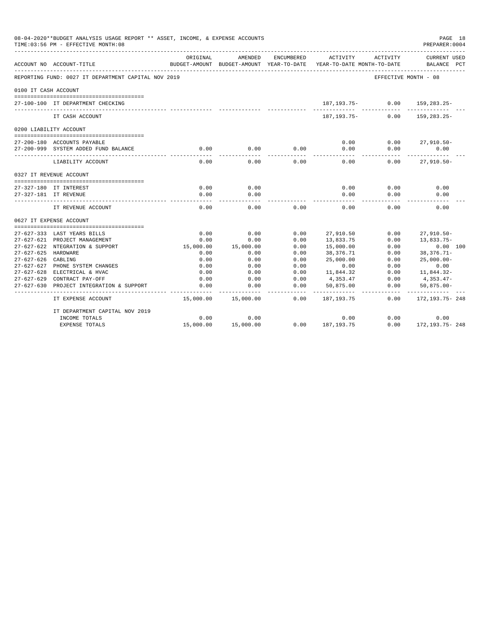|                      | 08-04-2020**BUDGET ANALYSIS USAGE REPORT ** ASSET, INCOME, & EXPENSE ACCOUNTS<br>TIME: 03:56 PM - EFFECTIVE MONTH: 08 |           |                                                     |              |                                        |          | PAGE 18<br>PREPARER: 0004          |  |
|----------------------|-----------------------------------------------------------------------------------------------------------------------|-----------|-----------------------------------------------------|--------------|----------------------------------------|----------|------------------------------------|--|
|                      | ACCOUNT NO ACCOUNT-TITLE                                                                                              | ORIGINAL  | AMENDED<br>BUDGET-AMOUNT BUDGET-AMOUNT YEAR-TO-DATE | ENCUMBERED   | ACTIVITY<br>YEAR-TO-DATE MONTH-TO-DATE | ACTIVITY | <b>CURRENT USED</b><br>BALANCE PCT |  |
|                      | REPORTING FUND: 0027 IT DEPARTMENT CAPITAL NOV 2019                                                                   |           |                                                     |              |                                        |          | EFFECTIVE MONTH - 08               |  |
| 0100 IT CASH ACCOUNT |                                                                                                                       |           |                                                     |              |                                        |          |                                    |  |
|                      | 27-100-100 IT DEPARTMENT CHECKING                                                                                     |           |                                                     |              | 187,193.75-                            | 0.00     | 159,283.25-                        |  |
|                      | IT CASH ACCOUNT                                                                                                       |           |                                                     |              | $187.193.75-$                          | 0.00     | 159, 283. 25-                      |  |
|                      | 0200 LIABILITY ACCOUNT                                                                                                |           |                                                     |              |                                        |          |                                    |  |
|                      |                                                                                                                       |           |                                                     |              |                                        |          |                                    |  |
|                      | 27-200-180 ACCOUNTS PAYABLE                                                                                           |           |                                                     |              | 0.00                                   | 0.00     | $27,910.50 -$                      |  |
|                      | 27-200-999 SYSTEM ADDED FUND BALANCE                                                                                  | 0.00      | 0.00                                                | 0.00         | 0.00                                   | 0.00     | 0.00                               |  |
|                      | LIABILITY ACCOUNT                                                                                                     | 0.00      | 0.00                                                | 0.00         | 0.00                                   | 0.00     | $27,910.50 -$                      |  |
|                      | 0327 IT REVENUE ACCOUNT                                                                                               |           |                                                     |              |                                        |          |                                    |  |
|                      |                                                                                                                       |           |                                                     |              |                                        |          |                                    |  |
|                      | 27-327-180 IT INTEREST                                                                                                | 0.00      | 0.00                                                |              | 0.00                                   | 0.00     | 0.00                               |  |
|                      | 27-327-181 IT REVENUE                                                                                                 | 0.00      | 0.00                                                |              | 0.00                                   | 0.00     | 0.00                               |  |
|                      | IT REVENUE ACCOUNT                                                                                                    | 0.00      | 0.00                                                | 0.00         | 0.00                                   | 0.00     | 0.00                               |  |
|                      | 0627 IT EXPENSE ACCOUNT                                                                                               |           |                                                     |              |                                        |          |                                    |  |
|                      |                                                                                                                       |           |                                                     |              |                                        |          |                                    |  |
|                      | 27-627-333 LAST YEARS BILLS                                                                                           | 0.00      | 0.00                                                | 0.00         | 27,910.50                              | 0.00     | $27,910.50 -$                      |  |
|                      | 27-627-621 PROJECT MANAGEMENT                                                                                         | 0.00      | 0.00                                                | 0.00         | 13,833.75                              | 0.00     | 13,833.75-                         |  |
|                      | 27-627-622 NTEGRATION & SUPPORT                                                                                       | 15,000.00 | 15,000.00                                           | 0.00         | 15,000.00                              | 0.00     | 0.00 100                           |  |
| 27-627-625 HARDWARE  |                                                                                                                       | 0.00      | 0.00                                                | 0.00         | 38,376.71                              | 0.00     | $38,376.71-$                       |  |
| 27-627-626 CABLING   |                                                                                                                       | 0.00      | 0.00                                                | 0.00         | 25,000.00                              | 0.00     | $25,000.00 -$                      |  |
|                      | 27-627-627 PHONE SYSTEM CHANGES<br>27-627-628 ELECTRICAL & HVAC                                                       | 0.00      | 0.00                                                | 0.00<br>0.00 | 0.00<br>11,844.32                      | 0.00     | 0.00                               |  |
|                      |                                                                                                                       | 0.00      | 0.00                                                |              |                                        | 0.00     | 11,844.32-                         |  |
|                      | 27-627-629 CONTRACT PAY-OFF                                                                                           | 0.00      | 0.00                                                | 0.00         | 4,353.47                               | 0.00     | 4,353.47-                          |  |
| $27 - 627 - 630$     | PROJECT INTEGRATION & SUPPORT                                                                                         | 0.00      | 0.00                                                | 0.00         | 50,875.00                              | 0.00     | $50,875.00 -$<br>----------        |  |
|                      | IT EXPENSE ACCOUNT                                                                                                    | 15,000.00 | 15,000.00                                           | 0.00         | 187, 193. 75                           | 0.00     | 172, 193. 75 - 248                 |  |
|                      | IT DEPARTMENT CAPITAL NOV 2019                                                                                        |           |                                                     |              |                                        |          |                                    |  |
|                      | INCOME TOTALS                                                                                                         | 0.00      | 0.00                                                |              | 0.00                                   | 0.00     | 0.00                               |  |
|                      | <b>EXPENSE TOTALS</b>                                                                                                 | 15,000.00 | 15,000.00                                           | 0.00         | 187, 193, 75                           | 0.00     | 172, 193. 75 - 248                 |  |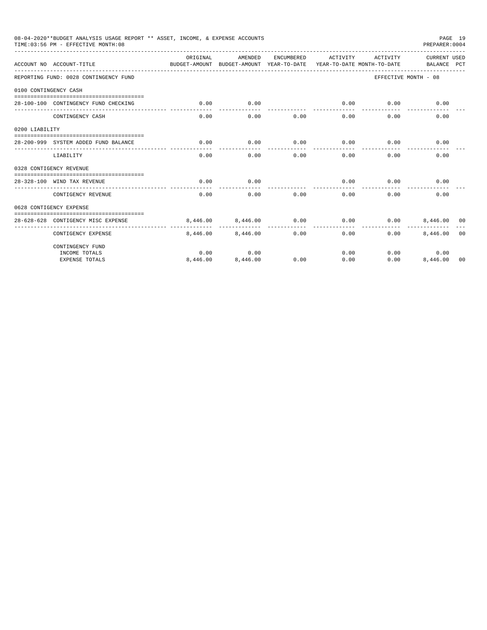|                       | 08-04-2020**BUDGET ANALYSIS USAGE REPORT ** ASSET, INCOME, & EXPENSE ACCOUNTS<br>TIME: 03:56 PM - EFFECTIVE MONTH: 08 |                                                                                 |          |            |                     |          | PREPARER: 0004              | PAGE 19        |
|-----------------------|-----------------------------------------------------------------------------------------------------------------------|---------------------------------------------------------------------------------|----------|------------|---------------------|----------|-----------------------------|----------------|
|                       | ACCOUNT NO ACCOUNT-TITLE                                                                                              | ORTGINAL<br>BUDGET-AMOUNT BUDGET-AMOUNT YEAR-TO-DATE YEAR-TO-DATE MONTH-TO-DATE | AMENDED  | ENCUMBERED | ACTIVITY            | ACTIVITY | CURRENT USED<br>BALANCE PCT |                |
|                       | REPORTING FUND: 0028 CONTINGENCY FUND                                                                                 |                                                                                 |          |            |                     |          | EFFECTIVE MONTH - 08        |                |
| 0100 CONTINGENCY CASH |                                                                                                                       |                                                                                 |          |            |                     |          |                             |                |
|                       | 28-100-100 CONTINGENCY FUND CHECKING                                                                                  | 0.00                                                                            | 0.00     |            | 0.00<br>----------- | 0.00     | 0.00                        |                |
|                       | CONTINGENCY CASH                                                                                                      | 0.00                                                                            | 0.00     | 0.00       | 0.00                | 0.00     | 0.00                        |                |
| 0200 LIABILITY        |                                                                                                                       |                                                                                 |          |            |                     |          |                             |                |
|                       | 28-200-999 SYSTEM ADDED FUND BALANCE                                                                                  | 0.00                                                                            | 0.00     | 0.00       | 0.00                | 0.00     | 0.00                        |                |
|                       | LIABILITY                                                                                                             | 0.00                                                                            | 0.00     | 0.00       | 0.00                | 0.00     | 0.00                        |                |
|                       | 0328 CONTIGENCY REVENUE                                                                                               |                                                                                 |          |            |                     |          |                             |                |
|                       | 28-328-100 WIND TAX REVENUE                                                                                           | 0.00                                                                            | 0.00     |            | 0.00                | 0.00     | 0.00                        |                |
|                       | CONTIGENCY REVENUE                                                                                                    | 0.00                                                                            | 0.00     | 0.00       | 0.00                | 0.00     | 0.00                        |                |
|                       | 0628 CONTIGENCY EXPENSE                                                                                               |                                                                                 |          |            |                     |          |                             |                |
|                       | 28-628-628 CONTIGENCY MISC EXPENSE                                                                                    | 8,446,00                                                                        | 8,446.00 | 0.00       | 0.00                | 0.00     | 8,446,00 00                 |                |
|                       | CONTIGENCY EXPENSE                                                                                                    | 8,446.00                                                                        | 8,446.00 | 0.00       | 0.00                | 0.00     | 8,446.00                    | 0 <sub>0</sub> |
|                       | CONTINGENCY FUND                                                                                                      |                                                                                 |          |            |                     |          |                             |                |
|                       | INCOME TOTALS                                                                                                         | 0.00                                                                            | 0.00     |            | 0.00                |          | 0.00<br>0.00                |                |
|                       | <b>EXPENSE TOTALS</b>                                                                                                 | 8,446.00                                                                        | 8,446.00 | 0.00       | 0.00                | 0.00     | 8,446.00                    | 00             |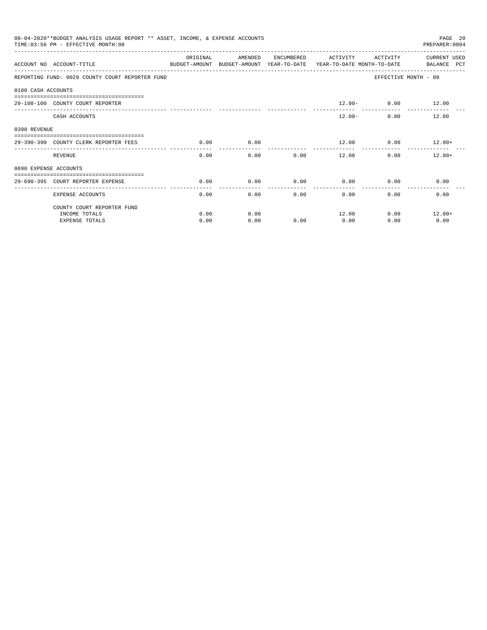|                       | 08-04-2020**BUDGET ANALYSIS USAGE REPORT ** ASSET, INCOME, & EXPENSE ACCOUNTS<br>TIME: 03:56 PM - EFFECTIVE MONTH: 08 |           |                                                     |            |              |                      | PAGE 20<br>PREPARER: 0004                                     |
|-----------------------|-----------------------------------------------------------------------------------------------------------------------|-----------|-----------------------------------------------------|------------|--------------|----------------------|---------------------------------------------------------------|
|                       | ACCOUNT NO ACCOUNT-TITLE                                                                                              | OR TGTNAL | AMENDED<br>BUDGET-AMOUNT BUDGET-AMOUNT YEAR-TO-DATE | ENCUMBERED | ACTIVITY     | ACTIVITY             | <b>CURRENT USED</b><br>YEAR-TO-DATE MONTH-TO-DATE BALANCE PCT |
|                       | REPORTING FUND: 0029 COUNTY COURT REPORTER FUND                                                                       |           |                                                     |            |              |                      | EFFECTIVE MONTH - 08                                          |
| 0100 CASH ACCOUNTS    |                                                                                                                       |           |                                                     |            |              |                      |                                                               |
|                       | 29-100-100 COUNTY COURT REPORTER                                                                                      |           |                                                     |            |              | $12.00 - 0.00$ 12.00 |                                                               |
|                       | CASH ACCOUNTS                                                                                                         |           |                                                     |            | $12.00 -$    |                      | 12.00<br>$0.00$ and $0.00$                                    |
| 0390 REVENUE          |                                                                                                                       |           |                                                     |            |              |                      |                                                               |
|                       | 29-390-390 COUNTY CLERK REPORTER FEES                                                                                 | 0.00      | 0.00                                                |            | 12.00        |                      | $0.00$ 12.00+                                                 |
|                       | <b>REVENUE</b>                                                                                                        | 0.00      | 0.00                                                | 0.00       | 12.00        |                      | 0.00<br>$12.00+$                                              |
| 0690 EXPENSE ACCOUNTS |                                                                                                                       |           |                                                     |            |              |                      |                                                               |
|                       | 29-690-395 COURT REPORTER EXPENSE                                                                                     | 0.00      | 0.00                                                | 0.00       | 0.00         | 0.00                 | 0.00                                                          |
|                       | <b>EXPENSE ACCOUNTS</b>                                                                                               | 0.00      | 0.00                                                |            | 0.00<br>0.00 | 0.00                 | 0.00                                                          |
|                       | COUNTY COURT REPORTER FUND                                                                                            |           |                                                     |            |              |                      |                                                               |
|                       | INCOME TOTALS                                                                                                         | 0.00      | 0.00                                                |            | 12.00        | 0.00                 | $12.00+$                                                      |
|                       | <b>EXPENSE TOTALS</b>                                                                                                 | 0.00      | 0.00                                                | 0.00       | 0.00         | 0.00                 | 0.00                                                          |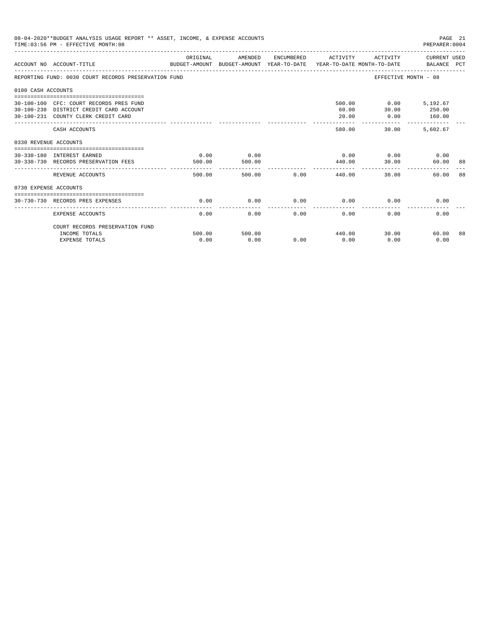| 08-04-2020**BUDGET ANALYSIS USAGE REPORT ** ASSET, INCOME, & EXPENSE ACCOUNTS<br>TIME: 03:56 PM - EFFECTIVE MONTH: 08 |                                                                                                                           |                |                | PAGE 21<br>PREPARER:0004 |                                   |                                            |                       |    |
|-----------------------------------------------------------------------------------------------------------------------|---------------------------------------------------------------------------------------------------------------------------|----------------|----------------|--------------------------|-----------------------------------|--------------------------------------------|-----------------------|----|
|                                                                                                                       | ACCOUNT NO ACCOUNT-TITLE COMPUTE SUDGET-AMOUNT BUDGET-AMOUNT VEAR-TO-DATE VEAR-TO-DATE MONTH-TO-DATE BALANCE PCT          | ORIGINAL       | AMENDED        |                          | ENCUMBERED ACTIVITY               |                                            | ACTIVITY CURRENT USED |    |
|                                                                                                                       | REPORTING FUND: 0030 COURT RECORDS PRESERVATION FUND                                                                      |                |                |                          |                                   | EFFECTIVE MONTH - 08                       |                       |    |
| 0100 CASH ACCOUNTS                                                                                                    |                                                                                                                           |                |                |                          |                                   |                                            |                       |    |
|                                                                                                                       | 30-100-100 CFC: COURT RECORDS PRES FUND<br>30-100-230 DISTRICT CREDIT CARD ACCOUNT<br>30-100-231 COUNTY CLERK CREDIT CARD |                |                |                          | 60.00<br>20.00                    | 500.00   0.00   5,192.67<br>30.00<br>0.00  | 250.00<br>160.00      |    |
|                                                                                                                       | CASH ACCOUNTS                                                                                                             |                |                |                          | 580.00                            | _________________________________<br>30.00 | 5,602.67              |    |
| 0330 REVENUE ACCOUNTS                                                                                                 |                                                                                                                           |                |                |                          |                                   |                                            |                       |    |
|                                                                                                                       | 30-330-180 INTEREST EARNED<br>30-330-730 RECORDS PRESERVATION FEES                                                        | 0.00<br>500.00 | 0.00<br>500.00 |                          | 440.00                            | $0.00$ $0.00$ $0.00$ $0.00$<br>30.00       | 60.00                 | 88 |
|                                                                                                                       | REVENUE ACCOUNTS                                                                                                          | 500.00         |                |                          | ___________<br>500.00 0.00 440.00 | 30.00                                      | 60.00                 | 88 |
| 0730 EXPENSE ACCOUNTS                                                                                                 |                                                                                                                           |                |                |                          |                                   |                                            |                       |    |
|                                                                                                                       | 30-730-730 RECORDS PRES EXPENSES                                                                                          | 0.00           | 0.00           | 0.00                     | 0.00                              | 0.00                                       | 0.00                  |    |
|                                                                                                                       | <b>EXPENSE ACCOUNTS</b>                                                                                                   | 0.00           | 0.00           | 0.00                     | 0.00                              | 0.00                                       | 0.00                  |    |
|                                                                                                                       | COURT RECORDS PRESERVATION FUND                                                                                           |                |                |                          |                                   |                                            |                       |    |
|                                                                                                                       | INCOME TOTALS<br><b>EXPENSE TOTALS</b>                                                                                    | 500.00<br>0.00 | 500.00<br>0.00 | 0.00                     | 440.00<br>0.00                    | 30.00<br>0.00                              | 60.00<br>0.00         | 88 |
|                                                                                                                       |                                                                                                                           |                |                |                          |                                   |                                            |                       |    |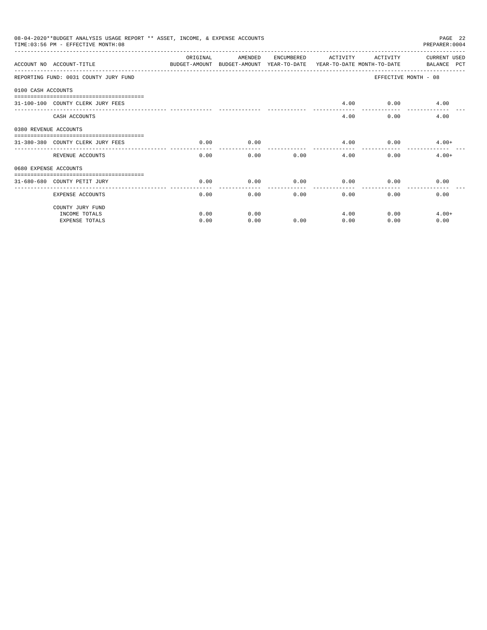|                       | 08-04-2020**BUDGET ANALYSIS USAGE REPORT ** ASSET, INCOME, & EXPENSE ACCOUNTS<br>TIME: 03:56 PM - EFFECTIVE MONTH: 08 |                    |                                                                                |            |          |              | PAGE 22<br>PREPARER: 0004   |
|-----------------------|-----------------------------------------------------------------------------------------------------------------------|--------------------|--------------------------------------------------------------------------------|------------|----------|--------------|-----------------------------|
|                       | ACCOUNT NO ACCOUNT-TITLE                                                                                              | ORIGINAL           | AMENDED<br>BUDGET-AMOUNT BUDGET-AMOUNT YEAR-TO-DATE YEAR-TO-DATE_MONTH-TO-DATE | ENCUMBERED | ACTIVITY | ACTIVITY     | CURRENT USED<br>BALANCE PCT |
|                       | REPORTING FUND: 0031 COUNTY JURY FUND                                                                                 |                    |                                                                                |            |          |              | EFFECTIVE MONTH - 08        |
| 0100 CASH ACCOUNTS    |                                                                                                                       |                    |                                                                                |            |          |              |                             |
|                       | 31-100-100 COUNTY CLERK JURY FEES                                                                                     |                    |                                                                                |            | 4.00     |              | $0.00$ 4.00                 |
|                       | CASH ACCOUNTS                                                                                                         |                    |                                                                                |            | 4.00     | 0.00         | 4.00                        |
| 0380 REVENUE ACCOUNTS |                                                                                                                       |                    |                                                                                |            |          |              |                             |
|                       | 31-380-380 COUNTY CLERK JURY FEES                                                                                     | 0.00               | 0.00                                                                           |            | 4.00     |              | $0.00$ 4.00+                |
|                       | REVENUE ACCOUNTS                                                                                                      | ----------<br>0.00 | 0.00                                                                           | 0.00       | 4.00     | 0.00         | $4.00+$                     |
| 0680 EXPENSE ACCOUNTS |                                                                                                                       |                    |                                                                                |            |          |              |                             |
|                       | 31-680-680 COUNTY PETIT JURY                                                                                          | 0.00               | 0.00                                                                           | 0.00       | 0.00     | 0.00         | 0.00                        |
|                       | <b>EXPENSE ACCOUNTS</b>                                                                                               | 0.00               | 0.00                                                                           |            | 0.00     | 0.00<br>0.00 | 0.00                        |
|                       | COUNTY JURY FUND                                                                                                      |                    |                                                                                |            |          |              |                             |
|                       | INCOME TOTALS                                                                                                         | 0.00               | 0.00                                                                           |            | 4.00     | 0.00         | $4.00+$                     |
|                       | <b>EXPENSE TOTALS</b>                                                                                                 | 0.00               | 0.00                                                                           | 0.00       | 0.00     | 0.00         | 0.00                        |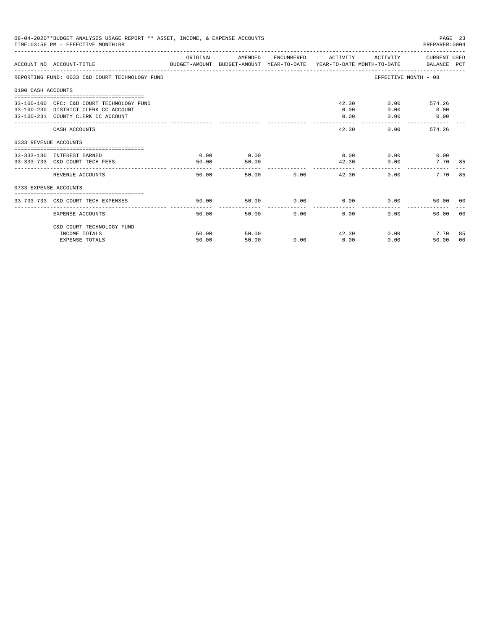| 08-04-2020**BUDGET ANALYSIS USAGE REPORT ** ASSET, INCOME, & EXPENSE ACCOUNTS<br>PAGE 23<br>TIME: 03:56 PM - EFFECTIVE MONTH: 08<br>PREPARER: 0004 |                                                                                                                         |                |                |            |                             |                              |                                             |
|----------------------------------------------------------------------------------------------------------------------------------------------------|-------------------------------------------------------------------------------------------------------------------------|----------------|----------------|------------|-----------------------------|------------------------------|---------------------------------------------|
|                                                                                                                                                    | ACCOUNT NO ACCOUNT-TITLE COMPUTER THE BUDGET-AMOUNT BUDGET-AMOUNT YEAR-TO-DATE YEAR-TO-DATE MONTH-TO-DATE BALANCE PCT   | ORIGINAL       | AMENDED        |            | ENCUMBERED ACTIVITY         |                              | ACTIVITY CURRENT USED                       |
|                                                                                                                                                    | REPORTING FUND: 0033 C&D COURT TECHNOLOGY FUND                                                                          |                |                |            |                             |                              | EFFECTIVE MONTH - 08                        |
| 0100 CASH ACCOUNTS                                                                                                                                 |                                                                                                                         |                |                |            |                             |                              |                                             |
|                                                                                                                                                    | 33-100-100 CFC: C&D COURT TECHNOLOGY FUND<br>33-100-230 DISTRICT CLERK CC ACCOUNT<br>33-100-231 COUNTY CLERK CC ACCOUNT |                |                |            | 0.00<br>0.00                | 42.30<br>0.00<br>0.00        | $0.00$ and $0.00$<br>574.26<br>0.00<br>0.00 |
|                                                                                                                                                    | CASH ACCOUNTS                                                                                                           |                |                |            | 42.30                       |                              | 0.00<br>574.26                              |
| 0333 REVENUE ACCOUNTS                                                                                                                              |                                                                                                                         |                |                |            |                             |                              |                                             |
|                                                                                                                                                    | 33-333-180 INTEREST EARNED<br>33-333-733 C&D COURT TECH FEES                                                            | 0.00<br>50.00  | 0.00<br>50.00  |            | --------------              | $0.00$ 0.00<br>42.30<br>0.00 | 0.00<br>7.70 85                             |
|                                                                                                                                                    | REVENUE ACCOUNTS                                                                                                        | 50.00          |                | 50.00 0.00 | 42.30                       | 0.00                         | 7.70 85                                     |
| 0733 EXPENSE ACCOUNTS                                                                                                                              |                                                                                                                         |                |                |            |                             |                              |                                             |
|                                                                                                                                                    | 33-733-733 C&D COURT TECH EXPENSES                                                                                      | 50.00          | 50.00          |            | $0.00$ $0.00$ $0.00$ $0.00$ |                              | 50.00 00                                    |
|                                                                                                                                                    | EXPENSE ACCOUNTS                                                                                                        | 50.00          |                | 50.00      | 0.00<br>0.00                |                              | 0.00<br>0 <sup>0</sup><br>50.00             |
|                                                                                                                                                    | C&D COURT TECHNOLOGY FUND                                                                                               |                |                |            |                             |                              |                                             |
|                                                                                                                                                    | INCOME TOTALS<br><b>EXPENSE TOTALS</b>                                                                                  | 50.00<br>50.00 | 50.00<br>50.00 | 0.00       | 0.00                        | 42.30<br>0.00                | 0.00<br>7.70<br>85<br>50.00<br>00           |
|                                                                                                                                                    |                                                                                                                         |                |                |            |                             |                              |                                             |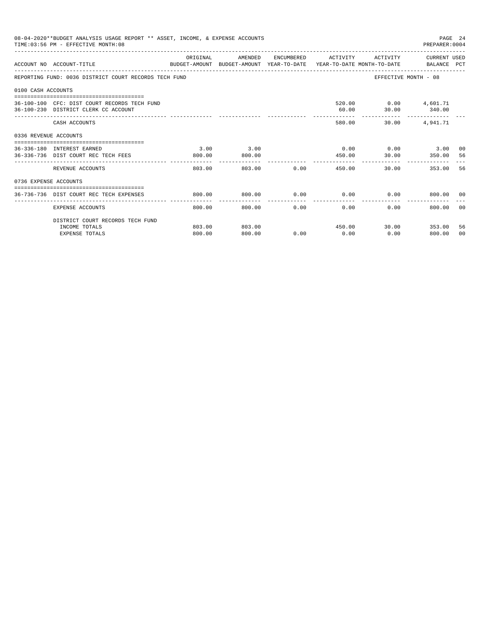| 08-04-2020**BUDGET ANALYSIS USAGE REPORT ** ASSET, INCOME, & EXPENSE ACCOUNTS<br>PAGE 24<br>TIME: 03:56 PM - EFFECTIVE MONTH: 08<br>PREPARER: 0004<br>AMENDED<br>ENCUMBERED<br>ACTIVITY CURRENT USED<br>ORIGINAL<br>ACTIVITY<br>BUDGET-AMOUNT BUDGET-AMOUNT YEAR-TO-DATE YEAR-TO-DATE MONTH-TO-DATE BALANCE PCT<br>ACCOUNT NO ACCOUNT-TITLE<br>REPORTING FUND: 0036 DISTRICT COURT RECORDS TECH FUND<br>EFFECTIVE MONTH - 08<br>0100 CASH ACCOUNTS<br>520.00   0.00   4,601.71<br>36-100-100 CFC: DIST COURT RECORDS TECH FUND<br>36-100-230 DISTRICT CLERK CC ACCOUNT<br>60.00<br>30.00 340.00<br>580.00<br>4,941.71<br>30.00<br>CASH ACCOUNTS<br>0336 REVENUE ACCOUNTS<br>3.00<br>3.00<br>$0.00$ $0.00$ $3.00$ $00$<br>36-336-180 INTEREST EARNED<br>30.00 350.00<br>36-336-736 DIST COURT REC TECH FEES<br>800.00<br>800.00<br>450.00<br>-56<br>-----------<br>-----------<br>------------<br>------------<br>803.00<br>0.00<br>353.00<br>-56<br>REVENUE ACCOUNTS<br>803.00<br>450.00<br>30.00<br>0736 EXPENSE ACCOUNTS<br>$0.00$ $0.00$ $0.00$ $0.00$ $0.00$ $0.00$ $0.00$<br>36-736-736 DIST COURT REC TECH EXPENSES<br>800.00<br>800.00 |        |        |           |                      |      |              |                |
|-----------------------------------------------------------------------------------------------------------------------------------------------------------------------------------------------------------------------------------------------------------------------------------------------------------------------------------------------------------------------------------------------------------------------------------------------------------------------------------------------------------------------------------------------------------------------------------------------------------------------------------------------------------------------------------------------------------------------------------------------------------------------------------------------------------------------------------------------------------------------------------------------------------------------------------------------------------------------------------------------------------------------------------------------------------------------------------------------------------------------------------------------|--------|--------|-----------|----------------------|------|--------------|----------------|
|                                                                                                                                                                                                                                                                                                                                                                                                                                                                                                                                                                                                                                                                                                                                                                                                                                                                                                                                                                                                                                                                                                                                               |        |        |           |                      |      |              |                |
|                                                                                                                                                                                                                                                                                                                                                                                                                                                                                                                                                                                                                                                                                                                                                                                                                                                                                                                                                                                                                                                                                                                                               |        |        |           |                      |      |              |                |
|                                                                                                                                                                                                                                                                                                                                                                                                                                                                                                                                                                                                                                                                                                                                                                                                                                                                                                                                                                                                                                                                                                                                               |        |        |           |                      |      |              |                |
|                                                                                                                                                                                                                                                                                                                                                                                                                                                                                                                                                                                                                                                                                                                                                                                                                                                                                                                                                                                                                                                                                                                                               |        |        |           |                      |      |              |                |
|                                                                                                                                                                                                                                                                                                                                                                                                                                                                                                                                                                                                                                                                                                                                                                                                                                                                                                                                                                                                                                                                                                                                               |        |        |           |                      |      |              |                |
|                                                                                                                                                                                                                                                                                                                                                                                                                                                                                                                                                                                                                                                                                                                                                                                                                                                                                                                                                                                                                                                                                                                                               |        |        |           |                      |      |              |                |
|                                                                                                                                                                                                                                                                                                                                                                                                                                                                                                                                                                                                                                                                                                                                                                                                                                                                                                                                                                                                                                                                                                                                               |        |        |           |                      |      |              |                |
|                                                                                                                                                                                                                                                                                                                                                                                                                                                                                                                                                                                                                                                                                                                                                                                                                                                                                                                                                                                                                                                                                                                                               |        |        |           |                      |      |              |                |
|                                                                                                                                                                                                                                                                                                                                                                                                                                                                                                                                                                                                                                                                                                                                                                                                                                                                                                                                                                                                                                                                                                                                               |        |        |           |                      |      |              |                |
|                                                                                                                                                                                                                                                                                                                                                                                                                                                                                                                                                                                                                                                                                                                                                                                                                                                                                                                                                                                                                                                                                                                                               |        |        |           |                      |      |              |                |
|                                                                                                                                                                                                                                                                                                                                                                                                                                                                                                                                                                                                                                                                                                                                                                                                                                                                                                                                                                                                                                                                                                                                               |        |        |           |                      |      |              |                |
| --------------------- ---------------<br><b>EXPENSE ACCOUNTS</b>                                                                                                                                                                                                                                                                                                                                                                                                                                                                                                                                                                                                                                                                                                                                                                                                                                                                                                                                                                                                                                                                              | 800.00 | 800.00 | .<br>0.00 | ------------<br>0.00 | 0.00 | 800.00       | 00             |
| DISTRICT COURT RECORDS TECH FUND                                                                                                                                                                                                                                                                                                                                                                                                                                                                                                                                                                                                                                                                                                                                                                                                                                                                                                                                                                                                                                                                                                              |        |        |           |                      |      |              |                |
| INCOME TOTALS                                                                                                                                                                                                                                                                                                                                                                                                                                                                                                                                                                                                                                                                                                                                                                                                                                                                                                                                                                                                                                                                                                                                 | 803.00 | 803.00 |           | 450.00               |      | 30.00 353.00 | 56             |
| <b>EXPENSE TOTALS</b>                                                                                                                                                                                                                                                                                                                                                                                                                                                                                                                                                                                                                                                                                                                                                                                                                                                                                                                                                                                                                                                                                                                         | 800.00 | 800.00 | 0.00      | 0.00                 | 0.00 | 800.00       | 0 <sup>0</sup> |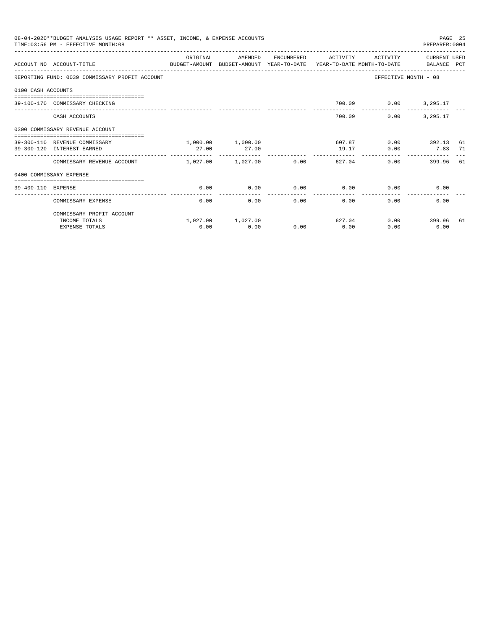|                    | 08-04-2020**BUDGET ANALYSIS USAGE REPORT ** ASSET, INCOME, & EXPENSE ACCOUNTS<br>TIME: 03:56 PM - EFFECTIVE MONTH: 08 |                       |                   |      |                          |          | PREPARER: 0004           | PAGE 25 |
|--------------------|-----------------------------------------------------------------------------------------------------------------------|-----------------------|-------------------|------|--------------------------|----------|--------------------------|---------|
|                    | ACCOUNT NO ACCOUNT-TITLE CONTROL SUDGET-AMOUNT BUDGET-AMOUNT YEAR-TO-DATE YEAR-TO-DATE MONTH-TO-DATE BALANCE PCT      | ORIGINAL              | AMENDED           |      | ENCUMBERED ACTIVITY      | ACTIVITY | CURRENT USED             |         |
|                    | REPORTING FUND: 0039 COMMISSARY PROFIT ACCOUNT                                                                        |                       |                   |      |                          |          | EFFECTIVE MONTH - 08     |         |
| 0100 CASH ACCOUNTS |                                                                                                                       |                       |                   |      |                          |          |                          |         |
|                    | 39-100-170 COMMISSARY CHECKING                                                                                        |                       |                   |      |                          |          | 700.09   0.00   3,295.17 |         |
|                    | CASH ACCOUNTS                                                                                                         |                       |                   |      | 700.09                   | 0.00     | 3,295.17                 |         |
|                    | 0300 COMMISSARY REVENUE ACCOUNT<br>-----------------------------------                                                |                       |                   |      |                          |          |                          |         |
|                    | 39-300-110 REVENUE COMMISSARY                                                                                         |                       | 1,000.00 1,000.00 |      | 607.87                   |          | $0.00$ 392.13 61         |         |
|                    | 39-300-120 INTEREST EARNED                                                                                            | 27.00                 | 27.00             |      | 19.17                    | 0.00     | 7.83 71                  |         |
|                    | COMMISSARY REVENUE ACCOUNT                                                                                            | $1.027.00$ $1.027.00$ |                   | 0.00 | --------------<br>627.04 |          | 0.00<br>399.96 61        |         |
|                    | 0400 COMMISSARY EXPENSE                                                                                               |                       |                   |      |                          |          |                          |         |
| 39-400-110 EXPENSE |                                                                                                                       | 0.00                  | 0.00              | 0.00 | 0.00                     | 0.00     | 0.00                     |         |
|                    | COMMISSARY EXPENSE                                                                                                    | 0.00                  | 0.00              | 0.00 | 0.00                     | 0.00     | 0.00                     |         |
|                    | COMMISSARY PROFIT ACCOUNT                                                                                             |                       |                   |      |                          |          |                          |         |
|                    | INCOME TOTALS                                                                                                         |                       | 1,027.00 1,027.00 |      | 627.04                   |          | $0.00$ 399.96            | 61      |
|                    | <b>EXPENSE TOTALS</b>                                                                                                 | 0.00                  | 0.00              | 0.00 | 0.00                     | 0.00     | 0.00                     |         |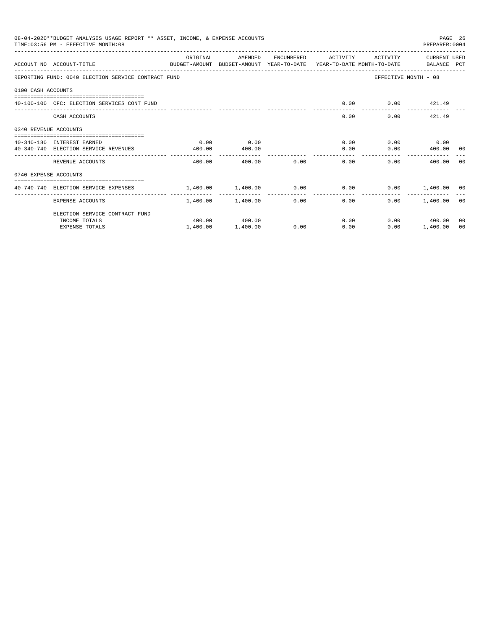|                       | 08-04-2020**BUDGET ANALYSIS USAGE REPORT ** ASSET, INCOME, & EXPENSE ACCOUNTS<br>TIME: 03:56 PM - EFFECTIVE MONTH: 08 |                                                                    |                   |      |                     |                      | PREPARER: 0004       | PAGE 26 |
|-----------------------|-----------------------------------------------------------------------------------------------------------------------|--------------------------------------------------------------------|-------------------|------|---------------------|----------------------|----------------------|---------|
|                       | ACCOUNT NO ACCOUNT-TITLE<br>BUDGET-AMOUNT BUDGET-AMOUNT YEAR-TO-DATE YEAR-TO-DATE MONTH-TO-DATE   BALANCE PCT         | ORIGINAL                                                           | AMENDED           |      | ENCUMBERED ACTIVITY | ACTIVITY             | CURRENT USED         |         |
|                       | REPORTING FUND: 0040 ELECTION SERVICE CONTRACT FUND                                                                   |                                                                    |                   |      |                     |                      | EFFECTIVE MONTH - 08 |         |
| 0100 CASH ACCOUNTS    |                                                                                                                       |                                                                    |                   |      |                     |                      |                      |         |
|                       | 40-100-100 CFC: ELECTION SERVICES CONT FUND                                                                           |                                                                    |                   |      | 0.00                |                      | $0.00$ $421.49$      |         |
|                       | CASH ACCOUNTS                                                                                                         |                                                                    |                   |      |                     | 0.00                 | $0.00$ $421.49$      |         |
| 0340 REVENUE ACCOUNTS |                                                                                                                       |                                                                    |                   |      |                     |                      |                      |         |
|                       | 40-340-180 INTEREST EARNED                                                                                            | 0.00                                                               | 0.00              |      |                     | $0.00$ $0.00$ $0.00$ |                      |         |
|                       | 40-340-740 ELECTION SERVICE REVENUES                                                                                  | 400.00                                                             | 400.00            |      |                     | 0.00                 | $0.00$ 400.00 00     |         |
|                       | REVENUE ACCOUNTS                                                                                                      | 400.00                                                             | 400.00            | 0.00 | 0.00                |                      | 0.00<br>400.00       | - 0.0   |
| 0740 EXPENSE ACCOUNTS |                                                                                                                       |                                                                    |                   |      |                     |                      |                      |         |
|                       | 40-740-740 ELECTION SERVICE EXPENSES                                                                                  | $1.400.00$ $1.400.00$ $0.00$ $0.00$ $0.00$ $0.00$ $1.400.00$ $0.0$ |                   |      |                     |                      |                      |         |
|                       | <b>EXPENSE ACCOUNTS</b>                                                                                               |                                                                    | 1,400.00 1,400.00 |      | $0.00$ and $0.00$   | 0.00                 | $0.00$ 1,400.00 00   |         |
|                       | ELECTION SERVICE CONTRACT FUND                                                                                        |                                                                    |                   |      |                     |                      |                      |         |
|                       | INCOME TOTALS                                                                                                         |                                                                    | 400.00 400.00     |      |                     | 0.00                 | $0.00$ 400.00        | 00      |
|                       | <b>EXPENSE TOTALS</b>                                                                                                 | 1,400.00                                                           | 1,400.00          | 0.00 | 0.00                | 0.00                 | 1,400.00             | 00      |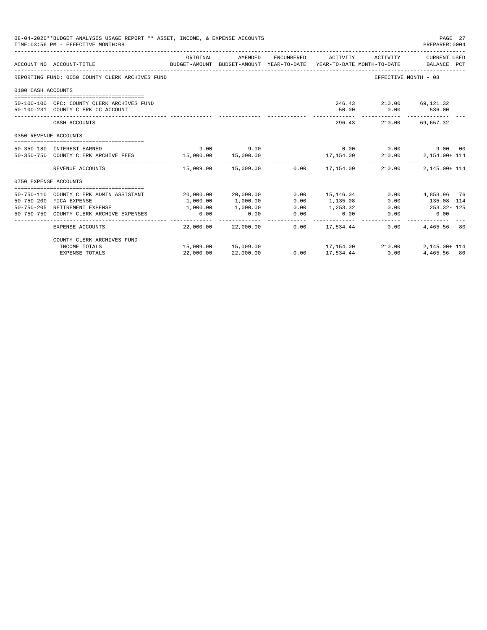|                       | 08-04-2020**BUDGET ANALYSIS USAGE REPORT ** ASSET, INCOME, & EXPENSE ACCOUNTS<br>TIME: 03:56 PM - EFFECTIVE MONTH: 08 |                        |                     |                      |                                       |                                              | PAGE 27<br>PREPARER: 0004 |
|-----------------------|-----------------------------------------------------------------------------------------------------------------------|------------------------|---------------------|----------------------|---------------------------------------|----------------------------------------------|---------------------------|
|                       |                                                                                                                       | ORIGINAL               | AMENDED             | ENCUMBERED           | ACTIVITY                              | ACTIVITY                                     | CURRENT USED              |
|                       | ACCOUNT NO ACCOUNT-TITLE<br>BUDGET-AMOUNT BUDGET-AMOUNT YEAR-TO-DATE YEAR-TO-DATE MONTH-TO-DATE BALANCE PCT           |                        |                     |                      |                                       |                                              |                           |
|                       | REPORTING FUND: 0050 COUNTY CLERK ARCHIVES FUND                                                                       |                        |                     |                      |                                       | EFFECTIVE MONTH - 08                         |                           |
| 0100 CASH ACCOUNTS    |                                                                                                                       |                        |                     |                      |                                       |                                              |                           |
|                       | 50-100-100 CFC: COUNTY CLERK ARCHIVES FUND                                                                            |                        |                     |                      |                                       | 246.43 210.00 69,121.32                      |                           |
|                       | 50-100-231 COUNTY CLERK CC ACCOUNT                                                                                    |                        |                     |                      | 50.00                                 | 0.00                                         | 536.00                    |
|                       | CASH ACCOUNTS                                                                                                         |                        |                     |                      | --------------                        | ------------ --------------<br>296.43 210.00 | 69,657.32                 |
| 0350 REVENUE ACCOUNTS |                                                                                                                       |                        |                     |                      |                                       |                                              |                           |
|                       | 50-350-180 INTEREST EARNED                                                                                            | 9.00                   | 9.00                |                      |                                       | $0.00$ 0.00                                  | 9.00 00                   |
|                       | 50-350-750 COUNTY CLERK ARCHIVE FEES 15,000.00                                                                        |                        | 15,000.00           |                      | 17,154.00                             | 210.00                                       | 2,154.00+ 114             |
|                       | REVENUE ACCOUNTS                                                                                                      |                        |                     |                      | 15,009.00  15,009.00  0.00  17,154.00 | 210.00                                       | 2,145.00+ 114             |
| 0750 EXPENSE ACCOUNTS |                                                                                                                       |                        |                     |                      |                                       |                                              |                           |
|                       | 50-750-110 COUNTY CLERK ADMIN ASSISTANT                                                                               |                        | 20,000.00 20,000.00 | 0.00                 | 15,146.04                             |                                              | 0.00 4,853.96 76          |
|                       | 50-750-200 FICA EXPENSE                                                                                               | 1,000.00               | 1,000.00            | 0.00                 | 1,135.08                              | 0.00                                         | 135.08-114                |
|                       | 50-750-205 RETIREMENT EXPENSE                                                                                         | 1,000.00               | 1,000.00            | 0.00                 | 1,253.32                              | 0.00                                         | 253.32-125                |
|                       | 50-750-750 COUNTY CLERK ARCHIVE EXPENSES                                                                              | 0.00<br>______________ | 0.00                | 0.00<br>------------ | 0.00<br>------------                  | 0.00                                         | 0.00                      |
|                       | EXPENSE ACCOUNTS                                                                                                      |                        | 22,000.00 22,000.00 |                      | $0.00$ 17,534.44                      | 0.00                                         | 4,465,56 80               |
|                       | COUNTY CLERK ARCHIVES FUND                                                                                            |                        |                     |                      |                                       |                                              |                           |
|                       | INCOME TOTALS                                                                                                         |                        | 15,009.00 15,009.00 |                      | 17, 154.00 210.00                     |                                              | $2.145.00 + 114$          |
|                       | <b>EXPENSE TOTALS</b>                                                                                                 | 22,000.00              | 22,000.00           |                      | $0.00$ 17,534.44                      | 0.00                                         | 4,465,56 80               |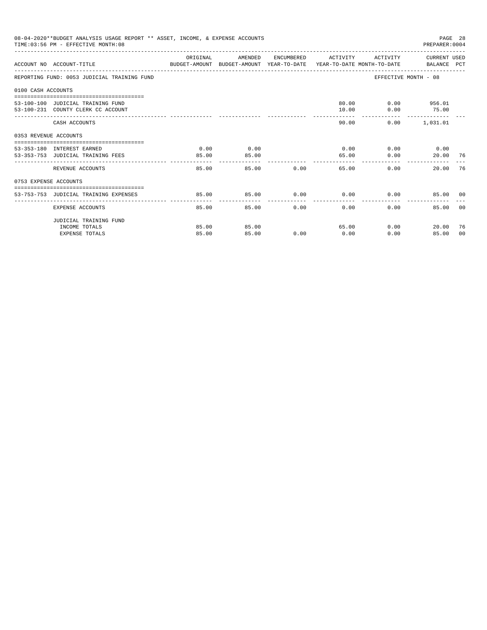|                       | 08-04-2020**BUDGET ANALYSIS USAGE REPORT ** ASSET, INCOME, & EXPENSE ACCOUNTS<br>TIME: 03:56 PM - EFFECTIVE MONTH: 08 |          |         |       |                     |          |                                                                                                                                                                                                                                                               |       |
|-----------------------|-----------------------------------------------------------------------------------------------------------------------|----------|---------|-------|---------------------|----------|---------------------------------------------------------------------------------------------------------------------------------------------------------------------------------------------------------------------------------------------------------------|-------|
|                       | ACCOUNT NO ACCOUNT-TITLE CONTROL PROTECT-AMOUNT BUDGET-AMOUNT YEAR-TO-DATE YEAR-TO-DATE MONTH-TO-DATE BALANCE PCT     | ORIGINAL | AMENDED |       | ENCUMBERED ACTIVITY | ACTIVITY |                                                                                                                                                                                                                                                               |       |
|                       | REPORTING FUND: 0053 JUDICIAL TRAINING FUND                                                                           |          |         |       |                     |          |                                                                                                                                                                                                                                                               |       |
| 0100 CASH ACCOUNTS    |                                                                                                                       |          |         |       |                     |          |                                                                                                                                                                                                                                                               |       |
|                       |                                                                                                                       |          |         |       |                     |          |                                                                                                                                                                                                                                                               |       |
|                       | 53-100-100 JUDICIAL TRAINING FUND                                                                                     |          |         |       | 80.00               |          |                                                                                                                                                                                                                                                               |       |
|                       | 53-100-231 COUNTY CLERK CC ACCOUNT                                                                                    |          |         |       | 10.00               | 0.00     | PAGE 28<br>PREPARER: 0004<br>CURRENT USED<br>EFFECTIVE MONTH - 08<br>$0.00$ 956.01<br>75.00<br>$0.00$ 1,031.01<br>$0.00$ $0.00$ $0.00$ $0.00$<br>20.00 76<br>0.00<br>20.00<br>$0.00$ $0.00$ $0.00$<br>85.00 00<br>$0.00 -$<br>85.00<br>0.00<br>20.00<br>85.00 |       |
|                       | CASH ACCOUNTS                                                                                                         |          |         |       | 90.00               |          |                                                                                                                                                                                                                                                               |       |
| 0353 REVENUE ACCOUNTS |                                                                                                                       |          |         |       |                     |          |                                                                                                                                                                                                                                                               |       |
|                       | 53-353-180 INTEREST EARNED                                                                                            | 0.00     | 0.00    |       |                     |          |                                                                                                                                                                                                                                                               |       |
|                       | 53-353-753 JUDICIAL TRAINING FEES                                                                                     | 85.00    | 85.00   |       | 65.00               | 0.00     |                                                                                                                                                                                                                                                               |       |
|                       |                                                                                                                       | -------  |         |       |                     |          |                                                                                                                                                                                                                                                               |       |
|                       | REVENUE ACCOUNTS                                                                                                      | 85.00    |         | 85.00 | 0.00                | 65.00    |                                                                                                                                                                                                                                                               | 76    |
| 0753 EXPENSE ACCOUNTS |                                                                                                                       |          |         |       |                     |          |                                                                                                                                                                                                                                                               |       |
|                       |                                                                                                                       |          |         |       |                     |          |                                                                                                                                                                                                                                                               |       |
|                       | 53-753-753 JUDICIAL TRAINING EXPENSES                                                                                 | 85.00    | 85.00   |       |                     |          |                                                                                                                                                                                                                                                               |       |
|                       | EXPENSE ACCOUNTS                                                                                                      | 85.00    | 85.00   | 0.00  | 0.00                |          |                                                                                                                                                                                                                                                               | - 0.0 |
|                       | JUDICIAL TRAINING FUND                                                                                                |          |         |       |                     |          |                                                                                                                                                                                                                                                               |       |
|                       | INCOME TOTALS                                                                                                         | 85.00    | 85.00   |       | 65.00               |          |                                                                                                                                                                                                                                                               | -76   |
|                       | <b>EXPENSE TOTALS</b>                                                                                                 | 85.00    | 85.00   | 0.00  | 0.00                | 0.00     |                                                                                                                                                                                                                                                               | 00    |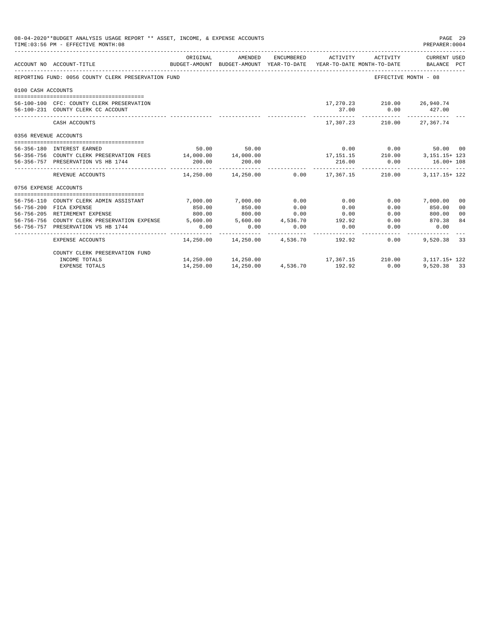|                       | 08-04-2020**BUDGET ANALYSIS USAGE REPORT ** ASSET, INCOME, & EXPENSE ACCOUNTS<br>TIME: 03:56 PM - EFFECTIVE MONTH: 08 |             |                                                     |          |                     |                            | PAGE 29<br>PREPARER: 0004                                                                       |
|-----------------------|-----------------------------------------------------------------------------------------------------------------------|-------------|-----------------------------------------------------|----------|---------------------|----------------------------|-------------------------------------------------------------------------------------------------|
|                       | ACCOUNT NO ACCOUNT-TITLE                                                                                              | ORIGINAL    | AMENDED                                             |          | ENCUMBERED ACTIVITY | ACTIVITY                   | CURRENT USED<br>BUDGET-AMOUNT BUDGET-AMOUNT YEAR-TO-DATE YEAR-TO-DATE MONTH-TO-DATE BALANCE PCT |
|                       | REPORTING FUND: 0056 COUNTY CLERK PRESERVATION FUND                                                                   |             |                                                     |          |                     |                            | EFFECTIVE MONTH - 08                                                                            |
| 0100 CASH ACCOUNTS    |                                                                                                                       |             |                                                     |          |                     |                            |                                                                                                 |
|                       |                                                                                                                       |             |                                                     |          |                     |                            |                                                                                                 |
|                       | 56-100-100 CFC: COUNTY CLERK PRESERVATION                                                                             |             |                                                     |          |                     | 17,270.23 210.00 26,940.74 |                                                                                                 |
|                       | 56-100-231 COUNTY CLERK CC ACCOUNT                                                                                    |             |                                                     |          | 37.00               |                            | $0.00$ 427.00                                                                                   |
|                       | CASH ACCOUNTS                                                                                                         |             |                                                     |          |                     | 17,307.23 210.00 27,367.74 |                                                                                                 |
| 0356 REVENUE ACCOUNTS |                                                                                                                       |             |                                                     |          |                     |                            |                                                                                                 |
|                       | 56-356-180 INTEREST EARNED                                                                                            |             | 50.00 50.00                                         |          |                     | $0.00$ 0.00                | 50.00 00                                                                                        |
|                       | 56-356-756 COUNTY CLERK PRESERVATION FEES 14,000.00 14,000.00                                                         |             |                                                     |          |                     |                            | $17,151.15$ $210.00$ $3,151.15+123$                                                             |
|                       | 56-356-757 PRESERVATION VS HB 1744                                                                                    | 200.00      | 200.00                                              |          | 216.00              |                            | $0.00$ $16.00+108$                                                                              |
|                       | REVENUE ACCOUNTS                                                                                                      | ----------- | $14,250.00$ $14,250.00$ $0.00$ $17,367.15$ $210.00$ |          | -----------         |                            | 3, 117. 15+ 122                                                                                 |
| 0756 EXPENSE ACCOUNTS |                                                                                                                       |             |                                                     |          |                     |                            |                                                                                                 |
|                       |                                                                                                                       |             |                                                     |          |                     |                            |                                                                                                 |
|                       | 56-756-110 COUNTY CLERK ADMIN ASSISTANT                                                                               | 7,000.00    | 7,000.00                                            | 0.00     | 0.00                |                            | $0.00$ 7,000.00<br>00                                                                           |
|                       | 56-756-200 FICA EXPENSE                                                                                               | 850.00      | 850.00                                              | 0.00     | 0.00                | 0.00                       | 850.00<br>0 <sub>0</sub>                                                                        |
|                       | 56-756-205 RETIREMENT EXPENSE                                                                                         | 800.00      | 800.00 0.00                                         |          | 0.00                | 0.00                       | 800.00<br>0 <sup>0</sup>                                                                        |
|                       | 56-756-756 COUNTY CLERK PRESERVATION EXPENSE 5.600.00 5.600.00 4.536.70 192.92                                        |             |                                                     |          |                     |                            | 84<br>0.00 870.38                                                                               |
|                       | 56-756-757 PRESERVATION VS HB 1744                                                                                    | 0.00        | 0.00                                                | 0.00     | 0.00                | -----------                | $0.00$ 0.00                                                                                     |
|                       | EXPENSE ACCOUNTS                                                                                                      |             | $14.250.00$ $14.250.00$ $4.536.70$ $192.92$         |          |                     | 0.00                       | 9,520,38 33                                                                                     |
|                       | COUNTY CLERK PRESERVATION FUND                                                                                        |             |                                                     |          |                     |                            |                                                                                                 |
|                       | INCOME TOTALS                                                                                                         |             | 14,250.00 14,250.00 17,367.15 210.00                |          |                     |                            | 3, 117, 15+ 122                                                                                 |
|                       | <b>EXPENSE TOTALS</b>                                                                                                 | 14,250.00   | 14,250.00                                           | 4,536.70 | 192.92              | 0.00                       | 9,520,38 33                                                                                     |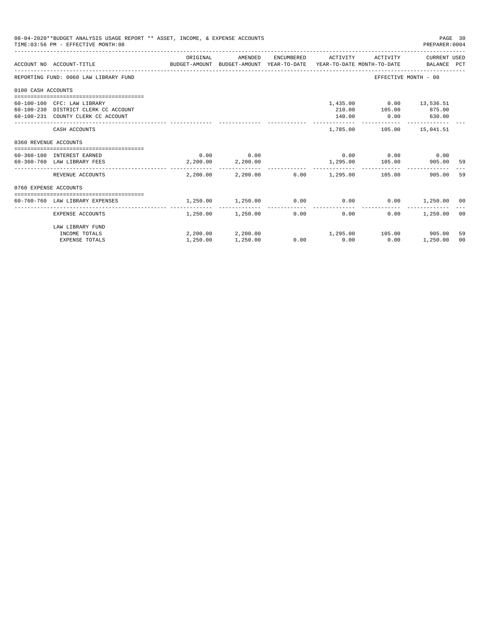|                       | 08-04-2020**BUDGET ANALYSIS USAGE REPORT ** ASSET, INCOME, & EXPENSE ACCOUNTS<br>TIME: 03:56 PM - EFFECTIVE MONTH: 08 |          |                                   |                                                    |                                 | PAGE 30<br>PREPARER: 0004 |                |
|-----------------------|-----------------------------------------------------------------------------------------------------------------------|----------|-----------------------------------|----------------------------------------------------|---------------------------------|---------------------------|----------------|
|                       | ACCOUNT NO ACCOUNT-TITLE COMPUTE THE SUDGET-AMOUNT BUDGET-AMOUNT VEAR-TO-DATE YEAR-TO-DATE MONTH-TO-DATE BALANCE PCT  | ORIGINAL | AMENDED                           | ENCUMBERED ACTIVITY                                |                                 | ACTIVITY CURRENT USED     |                |
|                       | REPORTING FUND: 0060 LAW LIBRARY FUND                                                                                 |          |                                   |                                                    | EFFECTIVE MONTH - 08            |                           |                |
| 0100 CASH ACCOUNTS    |                                                                                                                       |          |                                   |                                                    |                                 |                           |                |
|                       | 60-100-100 CFC: LAW LIBRARY                                                                                           |          |                                   |                                                    | 1,435.00   0.00   13,536.51     |                           |                |
|                       | 60-100-230 DISTRICT CLERK CC ACCOUNT                                                                                  |          |                                   |                                                    | 210.00    105.00    875.00      |                           |                |
|                       | 60-100-231 COUNTY CLERK CC ACCOUNT                                                                                    |          |                                   | 140.00 0.00 630.00                                 |                                 |                           |                |
|                       | CASH ACCOUNTS                                                                                                         |          |                                   |                                                    | 1,785.00    105.00    15,041.51 |                           |                |
| 0360 REVENUE ACCOUNTS |                                                                                                                       |          |                                   |                                                    |                                 |                           |                |
|                       | 60-360-180 INTEREST EARNED                                                                                            |          | $0.00$ 0.00                       |                                                    | $0.00$ $0.00$ $0.00$ $0.00$     |                           |                |
|                       | 60-360-760 LAW LIBRARY FEES                                                                                           |          | 2,200.00 2,200.00                 |                                                    | 1,295.00 105.00                 | 905.00                    | - 59           |
|                       | REVENUE ACCOUNTS                                                                                                      |          | _________________________________ | $2.200.00$ $2.200.00$ $0.00$ $1.295.00$ $105.00$   |                                 | 905.00                    | 59             |
| 0760 EXPENSE ACCOUNTS |                                                                                                                       |          |                                   |                                                    |                                 |                           |                |
|                       |                                                                                                                       |          |                                   |                                                    |                                 |                           |                |
|                       | 60-760-760 LAW LIBRARY EXPENSES                                                                                       | 1,250.00 | 1,250.00                          | $0.00$ $0.00$ $0.00$ $0.00$ $1,250.00$ $00$        |                                 |                           |                |
|                       | EXPENSE ACCOUNTS                                                                                                      |          | 1,250.00 1,250.00 0.00            | 0.00                                               | 0.00                            | 1,250.00                  | 0 <sup>0</sup> |
|                       | LAW LIBRARY FUND                                                                                                      |          |                                   |                                                    |                                 |                           |                |
|                       | INCOME TOTALS                                                                                                         |          |                                   | $2,200.00$ $2,200.00$ $1,295.00$ $105.00$ $905.00$ |                                 |                           | 59             |
|                       | <b>EXPENSE TOTALS</b>                                                                                                 | 1,250.00 | 1,250.00                          | $0.00$ 0.00                                        | 0.00                            | 1,250.00                  | 00             |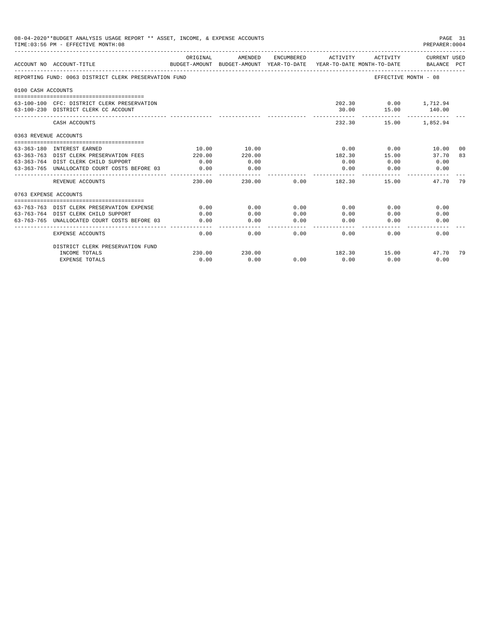|                       | 08-04-2020**BUDGET ANALYSIS USAGE REPORT ** ASSET, INCOME, & EXPENSE ACCOUNTS<br>TIME: 03:56 PM - EFFECTIVE MONTH: 08 |                           |                                       |              |                                        |                                   | PAGE 31<br>PREPARER: 0004          |     |
|-----------------------|-----------------------------------------------------------------------------------------------------------------------|---------------------------|---------------------------------------|--------------|----------------------------------------|-----------------------------------|------------------------------------|-----|
|                       | ACCOUNT NO ACCOUNT-TITLE                                                                                              | ORIGINAL<br>BUDGET-AMOUNT | AMENDED<br>BUDGET-AMOUNT YEAR-TO-DATE | ENCUMBERED   | ACTIVITY<br>YEAR-TO-DATE MONTH-TO-DATE | ACTIVITY                          | <b>CURRENT USED</b><br>BALANCE PCT |     |
|                       | REPORTING FUND: 0063 DISTRICT CLERK PRESERVATION FUND                                                                 |                           |                                       |              |                                        | EFFECTIVE MONTH - 08              |                                    |     |
| 0100 CASH ACCOUNTS    |                                                                                                                       |                           |                                       |              |                                        |                                   |                                    |     |
|                       | 63-100-100 CFC: DISTRICT CLERK PRESERVATION<br>63-100-230 DISTRICT CLERK CC ACCOUNT                                   |                           |                                       |              | 30.00                                  | 202.30   0.00   1,712.94<br>15.00 | 140.00                             |     |
|                       | CASH ACCOUNTS                                                                                                         |                           |                                       |              | 232.30                                 | 15.00                             | 1,852.94                           |     |
| 0363 REVENUE ACCOUNTS |                                                                                                                       |                           |                                       |              |                                        |                                   |                                    |     |
|                       | 63-363-180 INTEREST EARNED                                                                                            | 10.00                     | 10.00                                 |              | 0.00                                   | 0.00                              | 10.00                              | -00 |
|                       | 63-363-763 DIST CLERK PRESERVATION FEES                                                                               | 220.00                    | 220.00                                |              | 182.30                                 | 15.00                             | 37.70                              | 83  |
|                       | 63-363-764 DIST CLERK CHILD SUPPORT                                                                                   | 0.00                      | 0.00                                  |              | 0.00                                   | 0.00                              | 0.00                               |     |
|                       | 63-363-765 UNALLOCATED COURT COSTS BEFORE 03                                                                          | 0.00                      | 0.00                                  |              | 0.00                                   | 0.00                              | 0.00                               |     |
|                       | REVENUE ACCOUNTS                                                                                                      | 230.00                    | 230.00                                | 0.00         | 182.30                                 | 15.00                             | 47.70                              | 79  |
| 0763 EXPENSE ACCOUNTS |                                                                                                                       |                           |                                       |              |                                        |                                   |                                    |     |
|                       |                                                                                                                       |                           |                                       |              |                                        |                                   |                                    |     |
| $63 - 763 - 763$      | DIST CLERK PRESERVATION EXPENSE                                                                                       | 0.00                      | 0.00                                  | 0.00         | 0.00                                   | 0.00                              | 0.00                               |     |
|                       | 63-763-764 DIST CLERK CHILD SUPPORT<br>63-763-765 UNALLOCATED COURT COSTS BEFORE 03                                   | 0.00<br>0.00              | 0.00<br>0.00                          | 0.00<br>0.00 | 0.00<br>0.00                           | 0.00<br>0.00                      | 0.00<br>0.00                       |     |
|                       |                                                                                                                       |                           |                                       | $- - - - -$  |                                        |                                   |                                    |     |
|                       | <b>EXPENSE ACCOUNTS</b>                                                                                               | 0.00                      | 0.00                                  | 0.00         | 0.00                                   | 0.00                              | 0.00                               |     |
|                       | DISTRICT CLERK PRESERVATION FUND                                                                                      |                           |                                       |              |                                        |                                   |                                    |     |
|                       | INCOME TOTALS                                                                                                         | 230.00                    | 230.00                                |              | 182.30                                 | 15.00                             | 47.70                              | 79  |
|                       | <b>EXPENSE TOTALS</b>                                                                                                 | 0.00                      | 0.00                                  | 0.00         | 0.00                                   | 0.00                              | 0.00                               |     |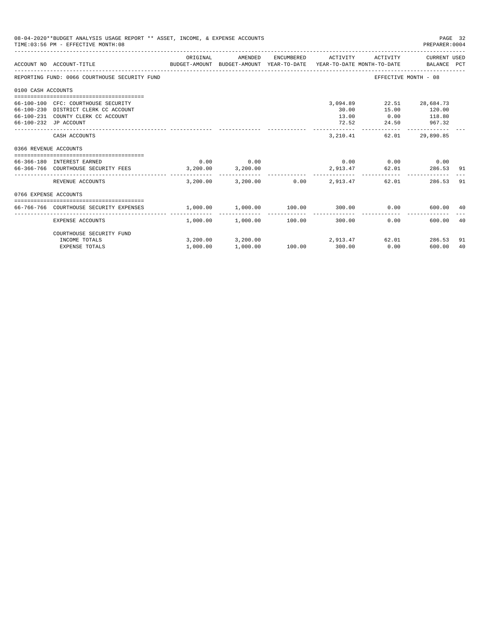|                       | 08-04-2020**BUDGET ANALYSIS USAGE REPORT ** ASSET, INCOME, & EXPENSE ACCOUNTS<br>TIME: 03:56 PM - EFFECTIVE MONTH: 08                      |                   |                                              |                        |                                     |                                      | PAGE 32<br>PREPARER: 0004                                                                       |          |
|-----------------------|--------------------------------------------------------------------------------------------------------------------------------------------|-------------------|----------------------------------------------|------------------------|-------------------------------------|--------------------------------------|-------------------------------------------------------------------------------------------------|----------|
|                       | ACCOUNT NO ACCOUNT-TITLE                                                                                                                   | ORIGINAL          | AMENDED                                      | ENCUMBERED             | ACTIVITY                            | ACTIVITY                             | CURRENT USED<br>BUDGET-AMOUNT BUDGET-AMOUNT YEAR-TO-DATE YEAR-TO-DATE MONTH-TO-DATE BALANCE PCT |          |
|                       | REPORTING FUND: 0066 COURTHOUSE SECURITY FUND                                                                                              |                   |                                              |                        |                                     |                                      | EFFECTIVE MONTH - 08                                                                            |          |
| 0100 CASH ACCOUNTS    |                                                                                                                                            |                   |                                              |                        |                                     |                                      |                                                                                                 |          |
|                       | 66-100-100 CFC: COURTHOUSE SECURITY<br>66-100-230 DISTRICT CLERK CC ACCOUNT<br>66-100-231 COUNTY CLERK CC ACCOUNT<br>66-100-232 JP ACCOUNT |                   |                                              |                        | 3,094.89<br>30.00<br>13.00<br>72.52 | 15.00<br>24.50                       | 22.51 28,684.73<br>120.00<br>$0.00$ 118.80<br>967.32                                            |          |
|                       | CASH ACCOUNTS                                                                                                                              |                   |                                              |                        | 3,210.41                            | 62.01                                | 29,890.85                                                                                       |          |
| 0366 REVENUE ACCOUNTS |                                                                                                                                            |                   |                                              |                        |                                     |                                      |                                                                                                 |          |
|                       | 66-366-180 INTEREST EARNED<br>66-366-766 COURTHOUSE SECURITY FEES 3,200.00 3,200.00                                                        | 0.00              | 0.00                                         |                        | 2,913.47                            | $0.00$ $0.00$ $0.00$ $0.00$<br>62.01 | 286.53                                                                                          | -91      |
|                       | REVENUE ACCOUNTS                                                                                                                           | 3,200,00          |                                              | 3,200.00 0.00 2,913.47 |                                     |                                      | 62.01<br>286.53                                                                                 | 91       |
| 0766 EXPENSE ACCOUNTS |                                                                                                                                            |                   |                                              |                        |                                     |                                      |                                                                                                 |          |
|                       | 66-766-766 COURTHOUSE SECURITY EXPENSES                                                                                                    | 1.000.00 1.000.00 |                                              | 100.00 300.00          |                                     | 0.00                                 | 600.00                                                                                          | 40       |
|                       | EXPENSE ACCOUNTS                                                                                                                           |                   | $1,000.00$ $1,000.00$ $100.00$               | --------------         | ---------------<br>300.00           | 0.00                                 | 600.00                                                                                          | 40       |
|                       | COURTHOUSE SECURITY FUND                                                                                                                   |                   |                                              |                        |                                     |                                      |                                                                                                 |          |
|                       | INCOME TOTALS<br><b>EXPENSE TOTALS</b>                                                                                                     | 1,000.00          | $3,200.00$ $3,200.00$ $2,913.47$<br>1,000.00 | 100.00 300.00          |                                     | 0.00                                 | 62.01<br>286.53<br>600.00                                                                       | 91<br>40 |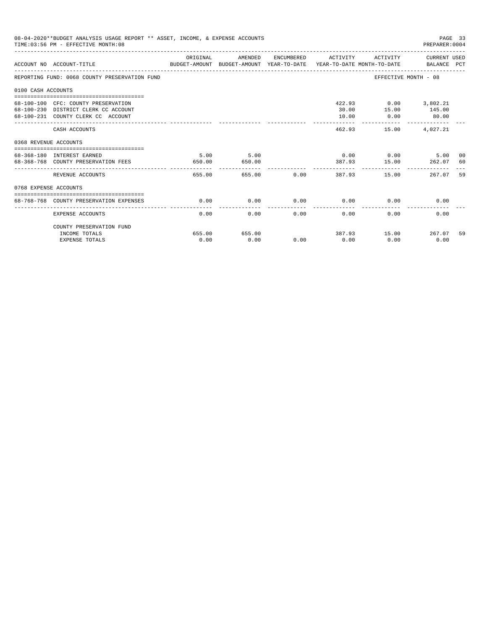| 08-04-2020**BUDGET ANALYSIS USAGE REPORT ** ASSET, INCOME, & EXPENSE ACCOUNTS<br>PAGE 33<br>TIME: 03:56 PM - EFFECTIVE MONTH: 08<br>PREPARER: 0004 |                                                                                                                        |                |                                 |             |                                  |                                                |                                             |          |
|----------------------------------------------------------------------------------------------------------------------------------------------------|------------------------------------------------------------------------------------------------------------------------|----------------|---------------------------------|-------------|----------------------------------|------------------------------------------------|---------------------------------------------|----------|
|                                                                                                                                                    | ACCOUNT NO ACCOUNT-TITLE COMPARENT AND BUDGET-AMOUNT BUDGET-AMOUNT YEAR-TO-DATE YEAR-TO-DATE MONTH-TO-DATE BALANCE PCT | ORIGINAL       | AMENDED                         |             | ENCUMBERED ACTIVITY              |                                                | ACTIVITY CURRENT USED                       |          |
|                                                                                                                                                    | REPORTING FUND: 0068 COUNTY PRESERVATION FUND                                                                          |                |                                 |             |                                  |                                                | EFFECTIVE MONTH - 08                        |          |
| 0100 CASH ACCOUNTS                                                                                                                                 |                                                                                                                        |                |                                 |             |                                  |                                                |                                             |          |
|                                                                                                                                                    | 68-100-100 CFC: COUNTY PRESERVATION<br>68-100-230 DISTRICT CLERK CC ACCOUNT<br>68-100-231 COUNTY CLERK CC ACCOUNT      |                |                                 |             | 30.00<br>10.00<br>______________ | 422.93 0.00 3,802.21<br>0.00<br>-------------- | 15.00 145.00<br>80.00<br>-------------      |          |
|                                                                                                                                                    | CASH ACCOUNTS                                                                                                          |                |                                 |             | 462.93                           |                                                | 15.00 4.027.21                              |          |
| 0368 REVENUE ACCOUNTS                                                                                                                              |                                                                                                                        |                |                                 |             |                                  |                                                |                                             |          |
|                                                                                                                                                    | 68-368-180 INTEREST EARNED<br>68-368-768 COUNTY PRESERVATION FEES                                                      | 5.00<br>650.00 | 5.00<br>650.00<br>------------- |             |                                  |                                                | $0.00$ $0.00$ $5.00$<br>387.93 15.00 262.07 | 00<br>60 |
|                                                                                                                                                    | REVENUE ACCOUNTS                                                                                                       | 655.00         |                                 | 655.00 0.00 |                                  | 387.93                                         | 267.07<br>15.00                             | 59       |
| 0768 EXPENSE ACCOUNTS                                                                                                                              |                                                                                                                        |                |                                 |             |                                  |                                                |                                             |          |
|                                                                                                                                                    | 68-768-768 COUNTY PRESERVATION EXPENSES                                                                                | 0.00           | 0.00                            |             | $0.00$ 0.00                      |                                                | 0.00<br>0.00                                |          |
|                                                                                                                                                    | <b>EXPENSE ACCOUNTS</b>                                                                                                | 0.00           | 0.00                            | 0.00        | 0.00                             | 0.00                                           | 0.00                                        |          |
|                                                                                                                                                    | COUNTY PRESERVATION FUND                                                                                               |                |                                 |             |                                  |                                                |                                             |          |
|                                                                                                                                                    | INCOME TOTALS                                                                                                          | 655.00         | 655.00                          |             |                                  |                                                | 387.93 15.00 267.07                         | 59       |
|                                                                                                                                                    | <b>EXPENSE TOTALS</b>                                                                                                  | 0.00           | 0.00                            | 0.00        | 0.00                             | 0.00                                           | 0.00                                        |          |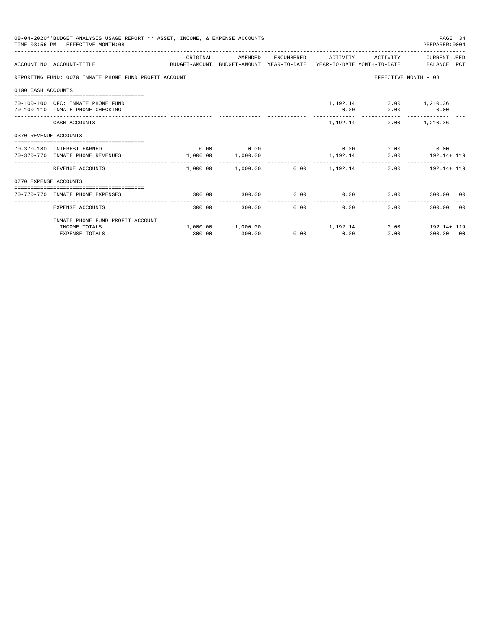| 08-04-2020**BUDGET ANALYSIS USAGE REPORT ** ASSET, INCOME, & EXPENSE ACCOUNTS<br>TIME: 03:56 PM - EFFECTIVE MONTH: 08 |                                                                                                                   |             |                                                          |      | PAGE 34<br>PREPARER: 0004 |                             |                                           |       |
|-----------------------------------------------------------------------------------------------------------------------|-------------------------------------------------------------------------------------------------------------------|-------------|----------------------------------------------------------|------|---------------------------|-----------------------------|-------------------------------------------|-------|
|                                                                                                                       | ACCOUNT NO ACCOUNT-TITLE CONTROL PROTECT-AMOUNT BUDGET-AMOUNT YEAR-TO-DATE YEAR-TO-DATE MONTH-TO-DATE BALANCE PCT | ORIGINAL    | AMENDED                                                  |      |                           |                             | ENCUMBERED ACTIVITY ACTIVITY CURRENT USED |       |
|                                                                                                                       | REPORTING FUND: 0070 INMATE PHONE FUND PROFIT ACCOUNT                                                             |             |                                                          |      |                           | EFFECTIVE MONTH - 08        |                                           |       |
| 0100 CASH ACCOUNTS                                                                                                    |                                                                                                                   |             |                                                          |      |                           |                             |                                           |       |
|                                                                                                                       | 70-100-100 CFC: INMATE PHONE FUND<br>70-100-110 INMATE PHONE CHECKING                                             |             |                                                          |      | 0.00                      | 1,192.14 0.00 4,210.36      | $0.00$ 0.00                               |       |
|                                                                                                                       | CASH ACCOUNTS                                                                                                     |             |                                                          |      |                           | 1, 192.14 0.00 4, 210.36    |                                           |       |
| 0370 REVENUE ACCOUNTS                                                                                                 |                                                                                                                   |             |                                                          |      |                           |                             |                                           |       |
|                                                                                                                       | 70-370-180 INTEREST EARNED<br>70-370-770 INMATE PHONE REVENUES                                                    | $0.00$ 0.00 | 1,000.00 1,000.00                                        |      |                           | $0.00$ 0.00 0.00 0.00       | 1, 192.14 0.00 192.14+ 119                |       |
|                                                                                                                       | REVENUE ACCOUNTS                                                                                                  | ---------   | -------------<br>$1,000.00$ $1,000.00$ $0.00$ $1,192.14$ |      | --------------            |                             | $0.00$ 192.14+ 119                        |       |
| 0770 EXPENSE ACCOUNTS                                                                                                 |                                                                                                                   |             |                                                          |      |                           |                             |                                           |       |
|                                                                                                                       | 70-770-770 INMATE PHONE EXPENSES                                                                                  | 300.00      | 300.00                                                   |      |                           | $0.00$ $0.00$ $0.00$ $0.00$ | 300.00 00                                 |       |
|                                                                                                                       | EXPENSE ACCOUNTS                                                                                                  | 300.00      | 300.00                                                   | 0.00 | -------------<br>0.00     |                             | 0.00<br>300.00                            | - 0.0 |
|                                                                                                                       | INMATE PHONE FUND PROFIT ACCOUNT                                                                                  |             |                                                          |      |                           |                             |                                           |       |
|                                                                                                                       | INCOME TOTALS<br><b>EXPENSE TOTALS</b>                                                                            | 300.00      | $1,000.00$ $1,000.00$ $1,192.14$<br>300.00               |      | $0.00$ 0.00               |                             | $0.00$ 192.14+ 119<br>0.00<br>300.00 00   |       |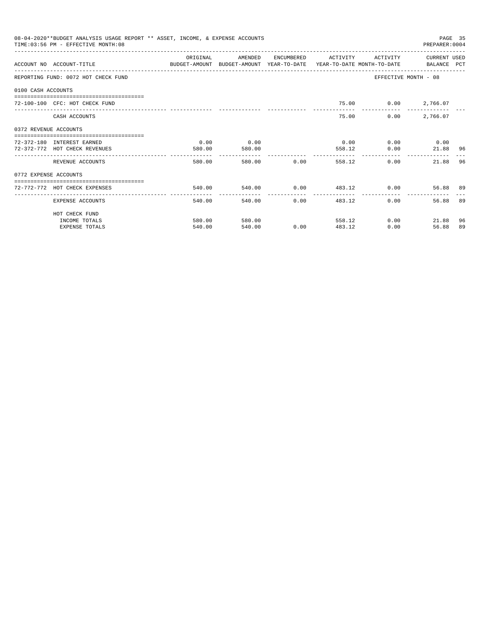|                       | 08-04-2020**BUDGET ANALYSIS USAGE REPORT ** ASSET, INCOME, & EXPENSE ACCOUNTS<br>TIME: 03:56 PM - EFFECTIVE MONTH: 08 |           |                          |                                |                             |                     | PREPARER: 0004       | PAGE 35 |
|-----------------------|-----------------------------------------------------------------------------------------------------------------------|-----------|--------------------------|--------------------------------|-----------------------------|---------------------|----------------------|---------|
|                       | ACCOUNT NO ACCOUNT-TITLE COMPUTER ANOUNT BUDGET-AMOUNT HEAR-TO-DATE YEAR-TO-DATE MONTH-TO-DATE BALANCE PCT            | OR TGTNAL | AMENDED                  | ENCUMBERED                     | <b>ACTIVITY</b>             | <b>ACTIVITY</b>     | CURRENT USED         |         |
|                       | REPORTING FUND: 0072 HOT CHECK FUND                                                                                   |           |                          |                                |                             |                     | EFFECTIVE MONTH - 08 |         |
| 0100 CASH ACCOUNTS    |                                                                                                                       |           |                          |                                |                             |                     |                      |         |
|                       | 72-100-100 CFC: HOT CHECK FUND                                                                                        |           |                          |                                |                             | 75.00 0.00 2,766.07 |                      |         |
|                       | CASH ACCOUNTS                                                                                                         |           |                          |                                | 75.00                       | 0.00                | 2,766.07             |         |
|                       |                                                                                                                       |           |                          |                                |                             |                     |                      |         |
| 0372 REVENUE ACCOUNTS | 72-372-180 INTEREST EARNED                                                                                            | 0.00      | 0.00                     |                                | 0.00                        |                     | $0.00$ 0.00          |         |
|                       | 72-372-772 HOT CHECK REVENUES                                                                                         | 580.00    | 580.00<br>-------------- |                                | 558.12                      | 0.00                | 21.88 96             |         |
|                       | REVENUE ACCOUNTS                                                                                                      | 580.00    |                          | 580.00 0.00                    | 558.12                      |                     | 0.00<br>21.88        | 96      |
| 0772 EXPENSE ACCOUNTS |                                                                                                                       |           |                          |                                |                             |                     |                      |         |
|                       | 72-772-772 HOT CHECK EXPENSES                                                                                         | 540.00    |                          |                                | $540.00$ 0.00 $483.12$ 0.00 |                     | 56.88 89             |         |
|                       | EXPENSE ACCOUNTS                                                                                                      | 540.00    | -------------            | ------------<br>0.00<br>540.00 | ---------------             | 483.12              | 0.00<br>56.88        | 89      |
|                       | HOT CHECK FUND                                                                                                        |           |                          |                                |                             |                     |                      |         |
|                       | INCOME TOTALS                                                                                                         | 580.00    | 580.00                   |                                | 558.12                      |                     | 0.00<br>21.88        | 96      |
|                       | <b>EXPENSE TOTALS</b>                                                                                                 | 540.00    | 540.00                   | 0.00                           | 483.12                      | 0.00                | 56.88                | 89      |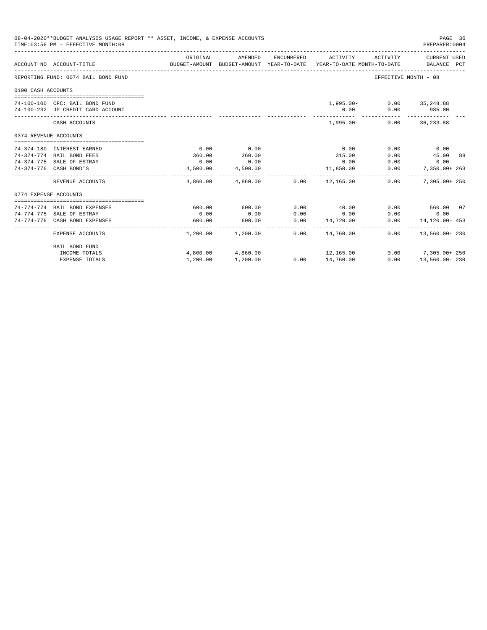|                       | 08-04-2020**BUDGET ANALYSIS USAGE REPORT ** ASSET, INCOME, & EXPENSE ACCOUNTS<br>TIME: 03:56 PM - EFFECTIVE MONTH: 08 |          |                          |            |                                                                                 |                          | PAGE 36<br>PREPARER: 0004   |  |
|-----------------------|-----------------------------------------------------------------------------------------------------------------------|----------|--------------------------|------------|---------------------------------------------------------------------------------|--------------------------|-----------------------------|--|
|                       | ACCOUNT NO ACCOUNT-TITLE                                                                                              | ORIGINAL | AMENDED                  | ENCUMBERED | ACTIVITY<br>BUDGET-AMOUNT BUDGET-AMOUNT YEAR-TO-DATE YEAR-TO-DATE MONTH-TO-DATE | ACTIVITY                 | CURRENT USED<br>BALANCE PCT |  |
|                       | REPORTING FUND: 0074 BAIL BOND FUND                                                                                   |          |                          |            |                                                                                 | EFFECTIVE MONTH - 08     |                             |  |
| 0100 CASH ACCOUNTS    |                                                                                                                       |          |                          |            |                                                                                 |                          |                             |  |
|                       |                                                                                                                       |          |                          |            |                                                                                 |                          |                             |  |
|                       | 74-100-100 CFC: BAIL BOND FUND                                                                                        |          |                          |            |                                                                                 | 1,995.00- 0.00 35,248.88 |                             |  |
|                       | 74-100-232 JP CREDIT CARD ACCOUNT                                                                                     |          |                          |            | 0.00                                                                            | 0.00                     | 985.00                      |  |
|                       | CASH ACCOUNTS                                                                                                         |          |                          |            | $1,995.00-$                                                                     |                          | $0.00$ 36,233.88            |  |
| 0374 REVENUE ACCOUNTS |                                                                                                                       |          |                          |            |                                                                                 |                          |                             |  |
|                       |                                                                                                                       |          |                          |            |                                                                                 |                          |                             |  |
|                       | 74-374-180 INTEREST EARNED                                                                                            | 0.00     | 0.00                     |            | 0.00                                                                            | 0.00                     | 0.00                        |  |
|                       | 74-374-774 BAIL BOND FEES                                                                                             | 360.00   | 360.00                   |            | 315.00                                                                          | 0.00                     | 45.00 88                    |  |
|                       | 74-374-775 SALE OF ESTRAY                                                                                             | 0.00     | 0.00                     |            | 0.00                                                                            | 0.00                     | 0.00                        |  |
|                       | 74-374-776 CASH BOND'S                                                                                                | 4,500.00 | 4,500.00                 |            | 11,850.00                                                                       | 0.00                     | 7,350.00+ 263               |  |
|                       | REVENUE ACCOUNTS                                                                                                      |          | --------------           |            | $4,860.00$ $4,860.00$ $0.00$ $12,165.00$                                        | 0.00                     | $7.305.00 + 250$            |  |
| 0774 EXPENSE ACCOUNTS |                                                                                                                       |          |                          |            |                                                                                 |                          |                             |  |
|                       |                                                                                                                       |          |                          |            |                                                                                 |                          |                             |  |
|                       | 74-774-774 BAIL BOND EXPENSES                                                                                         | 600.00   | 600.00                   | 0.00       | 40.00                                                                           |                          | $0.00$ 560.00 07            |  |
|                       | 74-774-775 SALE OF ESTRAY                                                                                             | 0.00     | 0.00                     | 0.00       | 0.00                                                                            | 0.00                     | 0.00                        |  |
|                       | 74-774-776 CASH BOND EXPENSES                                                                                         | 600.00   | 600.00<br>______________ | 0.00       | 14,720.00<br>______________________________                                     | 0.00                     | $14.120.00 - 453$           |  |
|                       | EXPENSE ACCOUNTS                                                                                                      |          | $1,200.00$ $1,200.00$    | 0.00       | 14,760.00                                                                       | 0.00                     | 13,560.00-230               |  |
|                       | BAIL BOND FUND                                                                                                        |          |                          |            |                                                                                 |                          |                             |  |
|                       | INCOME TOTALS                                                                                                         |          | 4,860.00 4,860.00        |            | 12,165.00                                                                       |                          | $0.00$ 7,305.00+ 250        |  |
|                       | <b>EXPENSE TOTALS</b>                                                                                                 | 1,200.00 | 1,200.00                 |            | $0.00$ 14,760.00                                                                | 0.00                     | 13,560.00-230               |  |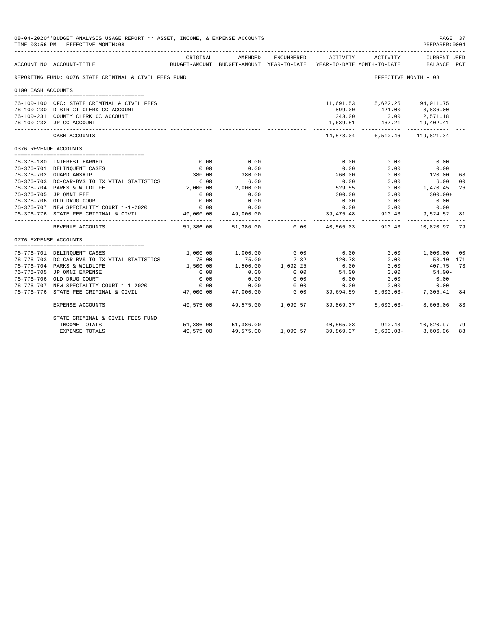|                       | 08-04-2020**BUDGET ANALYSIS USAGE REPORT ** ASSET, INCOME, & EXPENSE ACCOUNTS<br>TIME: 03:56 PM - EFFECTIVE MONTH: 08 |                   |                                                                                |                                     |                            |                            | PAGE 37<br>PREPARER: 0004          |    |
|-----------------------|-----------------------------------------------------------------------------------------------------------------------|-------------------|--------------------------------------------------------------------------------|-------------------------------------|----------------------------|----------------------------|------------------------------------|----|
|                       | ACCOUNT NO ACCOUNT-TITLE                                                                                              | ORIGINAL          | AMENDED<br>BUDGET-AMOUNT BUDGET-AMOUNT YEAR-TO-DATE YEAR-TO-DATE MONTH-TO-DATE | ENCUMBERED                          | ACTIVITY                   | ACTIVITY                   | <b>CURRENT USED</b><br>BALANCE PCT |    |
|                       | REPORTING FUND: 0076 STATE CRIMINAL & CIVIL FEES FUND                                                                 |                   |                                                                                |                                     |                            | EFFECTIVE MONTH - 08       |                                    |    |
| 0100 CASH ACCOUNTS    |                                                                                                                       |                   |                                                                                |                                     |                            |                            |                                    |    |
|                       | 76-100-100 CFC: STATE CRIMINAL & CIVIL FEES                                                                           |                   |                                                                                |                                     |                            | 11,691.53 5,622.25         | 94,011.75                          |    |
|                       | 76-100-230 DISTRICT CLERK CC ACCOUNT                                                                                  |                   |                                                                                |                                     | 899.00                     | 421.00 3,836.00            |                                    |    |
|                       | 76-100-231 COUNTY CLERK CC ACCOUNT                                                                                    |                   |                                                                                |                                     | 343.00                     | 0.00                       | 2,571.18                           |    |
|                       | 76-100-232 JP CC ACCOUNT                                                                                              |                   |                                                                                |                                     | 1,639.51                   | 467.21 19,402.41           |                                    |    |
|                       | CASH ACCOUNTS                                                                                                         |                   |                                                                                |                                     |                            | 14,573.04 6,510.46         | 119,821.34                         |    |
| 0376 REVENUE ACCOUNTS |                                                                                                                       |                   |                                                                                |                                     |                            |                            |                                    |    |
|                       | 76-376-180 INTEREST EARNED                                                                                            | 0.00              | 0.00                                                                           |                                     | 0.00                       | 0.00                       |                                    |    |
|                       | 76-376-701 DELINQUENT CASES                                                                                           | 0.00              | 0.00                                                                           |                                     | 0.00                       | 0.00                       | 0.00<br>0.00                       |    |
|                       | 76-376-702 GUARDIANSHIP                                                                                               | 380.00            | 380.00                                                                         |                                     | 260.00                     | 0.00                       | 120.00                             | 68 |
|                       | 76-376-703 DC-CAR-BVS TO TX VITAL STATISTICS                                                                          | 6.00              | 6.00                                                                           |                                     | 0.00                       | 0.00                       | 6.00                               | 00 |
|                       | 76-376-704 PARKS & WILDLIFE                                                                                           | 2,000.00          | 2,000.00                                                                       |                                     | 529.55                     | 0.00                       | 1,470.45                           | 26 |
|                       | 76-376-705 JP OMNI FEE                                                                                                | 0.00              | 0.00                                                                           |                                     | 300.00                     | 0.00                       | $300.00+$                          |    |
|                       | 76-376-706 OLD DRUG COURT                                                                                             | 0.00              | 0.00                                                                           |                                     | 0.00                       | 0.00                       | 0.00                               |    |
|                       | 76-376-707 NEW SPECIALITY COURT 1-1-2020                                                                              | 0.00              | 0.00                                                                           |                                     | 0.00                       | 0.00                       | 0.00                               |    |
|                       | 76-376-776 STATE FEE CRIMINAL & CIVIL                                                                                 | 49,000.00         | 49,000.00                                                                      |                                     | 39, 475. 48                | 910.43                     | 9,524.52                           | 81 |
|                       | REVENUE ACCOUNTS                                                                                                      | 51,386.00         | 51,386.00                                                                      | 0.00                                |                            | 40,565.03 910.43 10,820.97 |                                    | 79 |
| 0776 EXPENSE ACCOUNTS |                                                                                                                       |                   |                                                                                |                                     |                            |                            |                                    |    |
|                       |                                                                                                                       |                   |                                                                                |                                     | 0.00                       |                            |                                    |    |
|                       | 76-776-701 DELINQUENT CASES<br>76-776-703 DC-CAR-BVS TO TX VITAL STATISTICS                                           | 1,000.00<br>75.00 | 1,000.00<br>75.00                                                              | 0.00<br>7.32                        | 120.78                     | 0.00<br>0.00               | 1,000.00 00<br>$53.10 - 171$       |    |
|                       | 76-776-704 PARKS & WILDLIFE                                                                                           | 1,500.00          | 1,500.00                                                                       | 1,092.25                            | 0.00                       | 0.00                       | 407.75                             | 73 |
|                       | 76-776-705 JP OMNI EXPENSE                                                                                            | 0.00              | 0.00                                                                           | 0.00                                | 54.00                      | 0.00                       | $54.00 -$                          |    |
|                       | 76-776-706 OLD DRUG COURT                                                                                             | 0.00              | 0.00                                                                           | 0.00                                | 0.00                       | 0.00                       | 0.00                               |    |
|                       | 76-776-707 NEW SPECIALITY COURT 1-1-2020                                                                              | 0.00              | 0.00                                                                           | 0.00                                | 0.00                       | 0.00                       | 0.00                               |    |
| $76 - 776 - 776$      | STATE FEE CRIMINAL & CIVIL                                                                                            | 47,000.00         | 47,000.00                                                                      | 0.00                                | 39,694.59                  | $5,600.03 -$               | 7,305.41                           | 84 |
|                       | EXPENSE ACCOUNTS                                                                                                      | 49,575.00         | ___________                                                                    | ----------- -<br>49,575.00 1,099.57 | -------------<br>39,869.37 | $5,600.03 -$               | 8,606.06                           | 83 |
|                       | STATE CRIMINAL & CIVIL FEES FUND                                                                                      |                   |                                                                                |                                     |                            |                            |                                    |    |
|                       | INCOME TOTALS                                                                                                         |                   | 51,386.00 51,386.00                                                            |                                     |                            | 40,565.03 910.43 10,820.97 |                                    | 79 |
|                       | <b>EXPENSE TOTALS</b>                                                                                                 | 49,575.00         | 49,575.00                                                                      | 1,099.57                            | 39,869.37                  | $5.600.03 -$               | 8,606.06                           | 83 |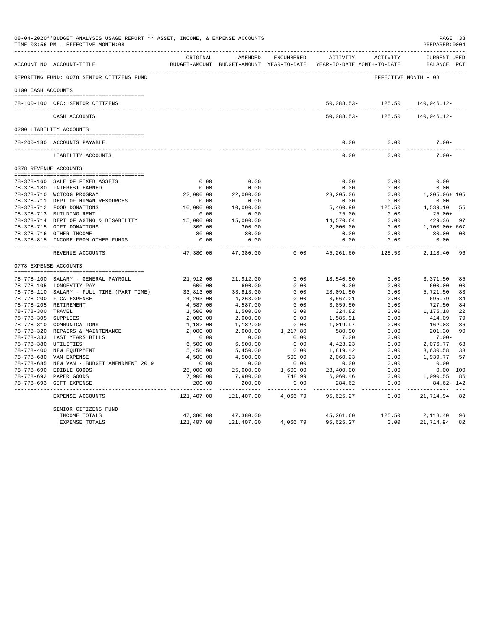|                     | 08-04-2020**BUDGET ANALYSIS USAGE REPORT ** ASSET, INCOME, & EXPENSE ACCOUNTS<br>TIME: 03:56 PM - EFFECTIVE MONTH: 08 |                         |                                                     |                       |                                               |                      | PAGE 38<br>PREPARER: 0004          |                |
|---------------------|-----------------------------------------------------------------------------------------------------------------------|-------------------------|-----------------------------------------------------|-----------------------|-----------------------------------------------|----------------------|------------------------------------|----------------|
|                     | ACCOUNT NO ACCOUNT-TITLE                                                                                              | ORIGINAL                | AMENDED<br>BUDGET-AMOUNT BUDGET-AMOUNT YEAR-TO-DATE | ENCUMBERED            | <b>ACTIVITY</b><br>YEAR-TO-DATE MONTH-TO-DATE | ACTIVITY             | <b>CURRENT USED</b><br>BALANCE PCT |                |
|                     | REPORTING FUND: 0078 SENIOR CITIZENS FUND                                                                             |                         |                                                     |                       |                                               | EFFECTIVE MONTH - 08 |                                    |                |
| 0100 CASH ACCOUNTS  |                                                                                                                       |                         |                                                     |                       |                                               |                      |                                    |                |
|                     |                                                                                                                       |                         |                                                     |                       |                                               |                      |                                    |                |
|                     | 78-100-100 CFC: SENIOR CITIZENS                                                                                       |                         |                                                     |                       |                                               | 50,088.53- 125.50    | 140,046.12-<br>-----------         |                |
|                     | CASH ACCOUNTS                                                                                                         |                         |                                                     |                       | $50,088.53-$                                  | 125.50               | 140,046.12-                        |                |
|                     | 0200 LIABILITY ACCOUNTS                                                                                               |                         |                                                     |                       |                                               |                      |                                    |                |
|                     | 78-200-180 ACCOUNTS PAYABLE                                                                                           |                         |                                                     |                       | 0.00                                          | 0.00                 | $7.00 -$                           |                |
|                     | ---------------------------<br>LIABILITY ACCOUNTS                                                                     |                         |                                                     |                       | $- - - -$<br>0.00                             | 0.00                 | $7.00 -$                           |                |
|                     | 0378 REVENUE ACCOUNTS                                                                                                 |                         |                                                     |                       |                                               |                      |                                    |                |
|                     | 78-378-160 SALE OF FIXED ASSETS                                                                                       | 0.00                    | 0.00                                                |                       | 0.00                                          | 0.00                 | 0.00                               |                |
|                     | 78-378-180 INTEREST EARNED                                                                                            | 0.00                    | 0.00                                                |                       | 0.00                                          | 0.00                 | 0.00                               |                |
|                     | 78-378-710 WCTCOG PROGRAM                                                                                             | 22,000.00               | 22,000.00                                           |                       | 23, 205.06                                    | 0.00                 | 1,205.06+ 105                      |                |
|                     | 78-378-711 DEPT OF HUMAN RESOURCES                                                                                    | 0.00                    | 0.00                                                |                       | 0.00                                          | 0.00                 | 0.00                               |                |
|                     | 78-378-712 FOOD DONATIONS                                                                                             | 10,000.00               | 10,000.00                                           |                       | 5,460.90                                      | 125.50               | 4,539.10                           | 55             |
|                     | 78-378-713 BUILDING RENT                                                                                              | 0.00                    | 0.00                                                |                       | 25.00                                         | 0.00                 | $25.00+$                           |                |
|                     | 78-378-714 DEPT OF AGING & DISABILITY                                                                                 | 15,000.00               | 15,000.00                                           |                       | 14,570.64                                     | 0.00                 | 429.36                             | 97             |
|                     | 78-378-715 GIFT DONATIONS                                                                                             | 300.00                  | 300.00                                              |                       | 2,000.00                                      | 0.00                 | 1,700.00+ 667                      |                |
|                     | 78-378-716 OTHER INCOME                                                                                               | 80.00                   | 80.00                                               |                       | 0.00                                          | 0.00                 | 80.00                              | 00             |
|                     | 78-378-815 INCOME FROM OTHER FUNDS                                                                                    | 0.00<br>-----------     | 0.00<br>$- - - - - -$                               |                       | 0.00                                          | 0.00<br>.            | 0.00<br>---------                  |                |
|                     | REVENUE ACCOUNTS                                                                                                      | 47,380.00               | 47,380.00                                           | 0.00                  | 45,261.60                                     | 125.50               | 2,118.40                           | 96             |
|                     | 0778 EXPENSE ACCOUNTS                                                                                                 |                         |                                                     |                       |                                               |                      |                                    |                |
|                     |                                                                                                                       |                         |                                                     |                       |                                               |                      |                                    |                |
|                     | 78-778-100 SALARY - GENERAL PAYROLL                                                                                   | 21,912.00               | 21,912.00                                           | 0.00                  | 18,540.50                                     | 0.00                 | 3,371.50                           | 85             |
|                     | 78-778-105 LONGEVITY PAY                                                                                              | 600.00                  | 600.00                                              | 0.00                  | 0.00                                          | 0.00                 | 600.00                             | 0 <sub>0</sub> |
|                     | 78-778-110 SALARY - FULL TIME (PART TIME)                                                                             | 33,813.00               | 33,813.00                                           | 0.00                  | 28,091.50                                     | 0.00                 | 5,721.50                           | 83             |
|                     | 78-778-200 FICA EXPENSE                                                                                               | 4,263.00                | 4,263.00                                            | 0.00                  | 3,567.21                                      | 0.00                 | 695.79<br>727.50                   | 84             |
| 78-778-300 TRAVEL   | 78-778-205 RETIREMENT                                                                                                 | 4,587.00<br>1,500.00    | 4,587.00<br>1,500.00                                | 0.00<br>0.00          | 3,859.50<br>324.82                            | 0.00<br>0.00         | 1,175.18                           | 84<br>22       |
| 78-778-305 SUPPLIES |                                                                                                                       | 2,000.00                | 2,000.00                                            | 0.00                  | 1,585.91                                      | 0.00                 | 414.09                             | 79             |
|                     | 78-778-310 COMMUNICATIONS                                                                                             | 1,182.00                | 1,182.00                                            | 0.00                  | 1,019.97                                      | 0.00                 | 162.03                             | 86             |
|                     | 78-778-320 REPAIRS & MAINTENANCE                                                                                      | 2,000.00                | 2,000.00                                            | 1,217.80              | 580.90                                        | 0.00                 | 201.30                             | 90             |
|                     | 78-778-333 LAST YEARS BILLS                                                                                           | 0.00                    | 0.00                                                | 0.00                  | 7.00                                          | 0.00                 | $7.00 -$                           |                |
|                     | 78-778-380 UTILITIES                                                                                                  | 6,500.00                | 6,500.00                                            | 0.00                  | 4,423.23                                      | 0.00                 | 2,076.77                           | 68             |
|                     | 78-778-400 NEW EQUIPMENT                                                                                              | 5,450.00                | 5,450.00                                            | 0.00                  | 1,819.42                                      | 0.00                 | 3,630.58                           | 33             |
|                     | 78-778-680 VAN EXPENSE                                                                                                | 4,500.00                | 4,500.00                                            | 500.00                | 2,060.23                                      | 0.00                 | 1,939.77                           | 57             |
|                     | 78-778-685 NEW VAN - BUDGET AMENDMENT 2019                                                                            | 0.00                    | 0.00                                                | 0.00                  | 0.00                                          | 0.00                 | 0.00                               |                |
|                     | 78-778-690 EDIBLE GOODS                                                                                               | 25,000.00               | 25,000.00                                           | 1,600.00              | 23,400.00                                     | 0.00                 | 0.00 100                           |                |
|                     | 78-778-692 PAPER GOODS                                                                                                | 7,900.00                | 7,900.00                                            | 748.99                | 6,060.46                                      | 0.00                 | 1,090.55                           | 86             |
|                     | 78-778-693 GIFT EXPENSE                                                                                               | 200.00<br>------------- | 200.00<br>--------------                            | 0.00<br>------------- | 284.62<br>-------------                       | 0.00<br>------------ | $84.62 - 142$<br>.                 |                |
|                     | EXPENSE ACCOUNTS                                                                                                      | 121,407.00              | 121,407.00                                          | 4,066.79              | 95,625.27                                     | 0.00                 | 21,714.94                          | 82             |
|                     | SENIOR CITIZENS FUND                                                                                                  |                         |                                                     |                       |                                               |                      |                                    |                |
|                     | INCOME TOTALS                                                                                                         | 47,380.00               | 47,380.00                                           |                       | 45,261.60                                     | 125.50               | 2,118.40                           | 96             |
|                     | <b>EXPENSE TOTALS</b>                                                                                                 | 121,407.00              | 121,407.00                                          | 4,066.79              | 95,625.27                                     | 0.00                 | 21,714.94                          | 82             |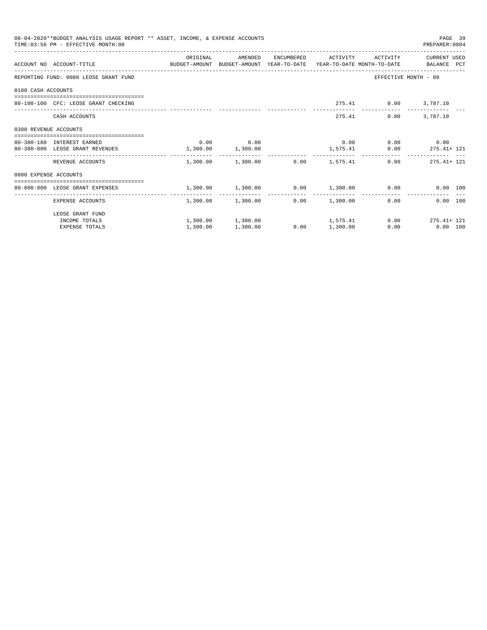|                       | 08-04-2020**BUDGET ANALYSIS USAGE REPORT ** ASSET, INCOME, & EXPENSE ACCOUNTS<br>TIME: 03:56 PM - EFFECTIVE MONTH: 08 |                       |                                                |      |                     |                      | PAGE 39<br>PREPARER: 0004 |  |
|-----------------------|-----------------------------------------------------------------------------------------------------------------------|-----------------------|------------------------------------------------|------|---------------------|----------------------|---------------------------|--|
|                       | ACCOUNT NO ACCOUNT-TITLE COMPUTE BUDGET-AMOUNT BUDGET-AMOUNT YEAR-TO-DATE YEAR-TO-DATE MONTH-TO-DATE BALANCE PCT      | ORIGINAL              | AMENDED                                        |      | ENCUMBERED ACTIVITY |                      | ACTIVITY CURRENT USED     |  |
|                       | REPORTING FUND: 0080 LEOSE GRANT FUND                                                                                 |                       |                                                |      |                     |                      | EFFECTIVE MONTH - 08      |  |
| 0100 CASH ACCOUNTS    |                                                                                                                       |                       |                                                |      |                     |                      |                           |  |
|                       | 80-100-100 CFC: LEOSE GRANT CHECKING                                                                                  |                       |                                                |      |                     | 275.41 0.00 3,787.10 |                           |  |
|                       | CASH ACCOUNTS                                                                                                         |                       |                                                |      |                     | 275.41               | $0.00$ 3,787.10           |  |
| 0380 REVENUE ACCOUNTS |                                                                                                                       |                       |                                                |      |                     |                      |                           |  |
|                       | 80-380-180 INTEREST EARNED                                                                                            |                       | $0.00$ 0.00                                    |      |                     |                      | $0.00$ 0.00 0.00          |  |
|                       | 80-380-800 LEOSE GRANT REVENUES                                                                                       | $1,300.00$ $1,300.00$ |                                                |      |                     |                      | 1,575.41 0.00 275.41+ 121 |  |
|                       | REVENUE ACCOUNTS                                                                                                      |                       | $1.300.00$ $1.300.00$ $0.00$ $1.575.41$        |      |                     |                      | $0.00$ 275.41+121         |  |
| 0800 EXPENSE ACCOUNTS |                                                                                                                       |                       |                                                |      |                     |                      |                           |  |
|                       | --------------------------------------<br>80-800-800 LEOSE GRANT EXPENSES                                             |                       | $1,300.00$ $1,300.00$ $0.00$ $1,300.00$ $0.00$ |      |                     |                      | 0.00 100                  |  |
|                       | EXPENSE ACCOUNTS                                                                                                      |                       | 1,300.00 1,300.00                              |      | $0.00$ 1,300.00     |                      | 0.00<br>$0.00$ 100        |  |
|                       | LEOSE GRANT FUND                                                                                                      |                       |                                                |      |                     |                      |                           |  |
|                       | INCOME TOTALS                                                                                                         |                       | $1,300.00$ $1,300.00$ $1,575.41$               |      |                     |                      | $0.00$ 275.41+ 121        |  |
|                       | <b>EXPENSE TOTALS</b>                                                                                                 | 1,300.00              | 1,300.00                                       | 0.00 | 1,300.00            | 0.00                 | $0.00$ 100                |  |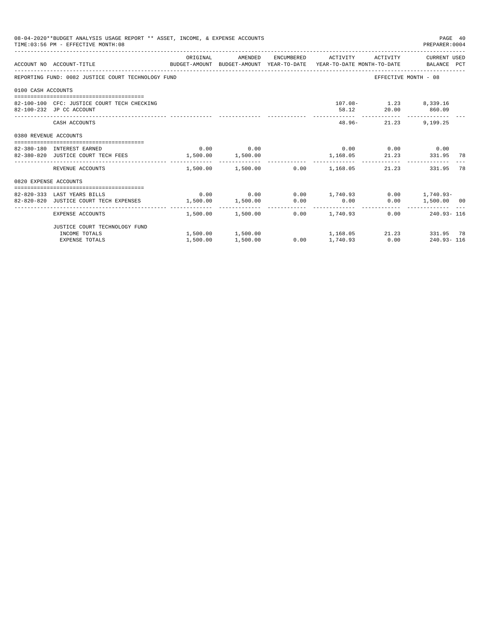|                       | 08-04-2020**BUDGET ANALYSIS USAGE REPORT ** ASSET, INCOME, & EXPENSE ACCOUNTS<br>TIME: 03:56 PM - EFFECTIVE MONTH: 08  |          |             |                                                                                                 |                                             | PAGE 40<br>PREPARER: 0004 |    |
|-----------------------|------------------------------------------------------------------------------------------------------------------------|----------|-------------|-------------------------------------------------------------------------------------------------|---------------------------------------------|---------------------------|----|
|                       | ACCOUNT NO ACCOUNT-TITLE COMMONICATION BUDGET-AMOUNT BUDGET-AMOUNT YEAR-TO-DATE YEAR-TO-DATE MONTH-TO-DATE BALANCE PCT | ORIGINAL |             | AMENDED ENCUMBERED ACTIVITY ACTIVITY CURRENT_USED                                               |                                             |                           |    |
|                       | REPORTING FUND: 0082 JUSTICE COURT TECHNOLOGY FUND                                                                     |          |             |                                                                                                 | EFFECTIVE MONTH - 08                        |                           |    |
| 0100 CASH ACCOUNTS    |                                                                                                                        |          |             |                                                                                                 |                                             |                           |    |
|                       | 82-100-100 CFC: JUSTICE COURT TECH CHECKING<br>82-100-232 JP CC ACCOUNT                                                |          |             |                                                                                                 | 107.08- 1.23 8,339.16<br>58.12 20.00 860.09 |                           |    |
|                       | CASH ACCOUNTS                                                                                                          |          |             | $48.96-$                                                                                        | _______________________________             | 21.23 9,199.25            |    |
| 0380 REVENUE ACCOUNTS |                                                                                                                        |          |             |                                                                                                 |                                             |                           |    |
|                       | 82-380-180 INTEREST EARNED                                                                                             |          | $0.00$ 0.00 |                                                                                                 | $0.00$ $0.00$ $0.00$ $0.00$                 |                           |    |
|                       | 82-380-820 JUSTICE COURT TECH FEES 1,500.00 1,500.00                                                                   |          |             | 1, 168.05 21.23 331.95 78                                                                       |                                             |                           |    |
|                       | REVENUE ACCOUNTS                                                                                                       |          |             | $1.500.00$ $1.500.00$ $0.00$ $1.168.05$                                                         | 21.23                                       | 331.95                    | 78 |
| 0820 EXPENSE ACCOUNTS |                                                                                                                        |          |             |                                                                                                 |                                             |                           |    |
|                       |                                                                                                                        |          |             |                                                                                                 |                                             |                           |    |
|                       | 82-820-333 LAST YEARS BILLS<br>82-820-820 JUSTICE COURT TECH EXPENSES                                                  |          |             | $0.00$ $0.00$ $0.00$ $1,740.93$ $0.00$ $1,740.93$ $0.00$<br>$1,500.00$ $1,500.00$ $0.00$ $0.00$ |                                             | $0.00$ 1,500.00 00        |    |
|                       |                                                                                                                        |          |             |                                                                                                 |                                             |                           |    |
|                       | EXPENSE ACCOUNTS                                                                                                       |          |             | $1,500.00$ $1,500.00$ $0.00$ $1,740.93$                                                         |                                             | $0.00$ 240.93-116         |    |
|                       | JUSTICE COURT TECHNOLOGY FUND                                                                                          |          |             |                                                                                                 |                                             |                           |    |
|                       | INCOME TOTALS                                                                                                          |          |             | $1,500.00$ $1,500.00$ $1,168.05$ $21.23$ $331.95$ 78                                            |                                             |                           |    |
|                       | <b>EXPENSE TOTALS</b>                                                                                                  | 1,500.00 | 1,500.00    | $0.00$ 1,740.93 0.00 240.93-116                                                                 |                                             |                           |    |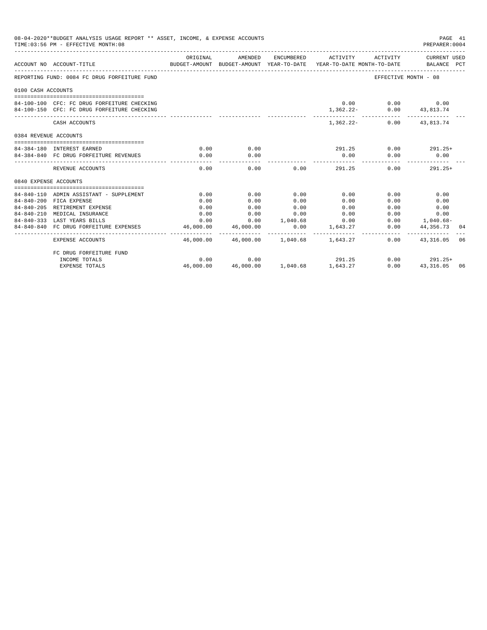|                       | 08-04-2020**BUDGET ANALYSIS USAGE REPORT ** ASSET, INCOME, & EXPENSE ACCOUNTS<br>TIME: 03:56 PM - EFFECTIVE MONTH: 08 |                          |                                          |                      |                             |                                                                                                                              | PAGE 41<br>PREPARER: 0004                              |    |
|-----------------------|-----------------------------------------------------------------------------------------------------------------------|--------------------------|------------------------------------------|----------------------|-----------------------------|------------------------------------------------------------------------------------------------------------------------------|--------------------------------------------------------|----|
|                       | ACCOUNT NO ACCOUNT-TITLE                                                                                              | ORIGINAL                 | AMENDED                                  |                      |                             | ENCUMBERED ACTIVITY ACTIVITY CURRENT USED<br>BUDGET-AMOUNT BUDGET-AMOUNT YEAR-TO-DATE YEAR-TO-DATE MONTH-TO-DATE BALANCE PCT |                                                        |    |
|                       | REPORTING FUND: 0084 FC DRUG FORFEITURE FUND                                                                          |                          |                                          |                      |                             | EFFECTIVE MONTH - 08                                                                                                         |                                                        |    |
| 0100 CASH ACCOUNTS    |                                                                                                                       |                          |                                          |                      |                             |                                                                                                                              |                                                        |    |
|                       |                                                                                                                       |                          |                                          |                      |                             |                                                                                                                              |                                                        |    |
|                       | 84-100-100 CFC: FC DRUG FORFEITURE CHECKING                                                                           |                          |                                          |                      |                             | $0.00$ $0.00$ $0.00$                                                                                                         |                                                        |    |
|                       | 84-100-150 CFC: FC DRUG FORFEITURE CHECKING                                                                           |                          |                                          |                      |                             | 1,362.22- 0.00 43,813.74                                                                                                     |                                                        |    |
|                       | CASH ACCOUNTS                                                                                                         |                          |                                          |                      |                             | $1.362.22 - 0.00$ $43.813.74$                                                                                                |                                                        |    |
| 0384 REVENUE ACCOUNTS |                                                                                                                       |                          |                                          |                      |                             |                                                                                                                              |                                                        |    |
|                       |                                                                                                                       |                          |                                          |                      |                             |                                                                                                                              |                                                        |    |
|                       | 84-384-180 INTEREST EARNED                                                                                            | 0.00                     | 0.00                                     |                      |                             | $291.25$ 0.00 $291.25+$                                                                                                      |                                                        |    |
|                       | 84-384-840 FC DRUG FORFEITURE REVENUES                                                                                | 0.00                     | 0.00                                     |                      | 0.00                        | 0.00                                                                                                                         | 0.00                                                   |    |
|                       | REVENUE ACCOUNTS                                                                                                      | 0.00                     | 0.00                                     |                      | 0.00<br>291.25              | 0.00                                                                                                                         | $291.25+$                                              |    |
| 0840 EXPENSE ACCOUNTS |                                                                                                                       |                          |                                          |                      |                             |                                                                                                                              |                                                        |    |
|                       |                                                                                                                       |                          |                                          |                      |                             |                                                                                                                              |                                                        |    |
|                       | 84-840-110 ADMIN ASSISTANT - SUPPLEMENT                                                                               | 0.00                     | 0.00                                     | 0.00                 | 0.00                        | 0.00                                                                                                                         | 0.00                                                   |    |
|                       | 84-840-200 FICA EXPENSE                                                                                               | 0.00                     | 0.00                                     | 0.00                 | 0.00                        | 0.00                                                                                                                         | 0.00                                                   |    |
|                       | 84-840-205 RETIREMENT EXPENSE                                                                                         | 0.00                     | 0.00                                     | 0.00                 | 0.00                        | 0.00                                                                                                                         | 0.00                                                   |    |
|                       | 84-840-210 MEDICAL INSURANCE                                                                                          | 0.00                     | 0.00                                     | 0.00                 | 0.00                        | $0.00$ and $0.00$                                                                                                            | 0.00                                                   |    |
|                       | 84-840-333 LAST YEARS BILLS                                                                                           |                          | $0.00$ $0.00$ $1.040.68$ $0.00$          |                      |                             |                                                                                                                              | $0.00$ 1,040.68-                                       |    |
|                       | 84-840-840 FC DRUG FORFEITURE EXPENSES                                                                                | 46,000.00<br>----------- | 46,000.00<br>____________                | 0.00<br>------------ | 1,643.27<br>------------    |                                                                                                                              | $0.00$ $44,356.73$ 04<br>_____________________________ |    |
|                       | EXPENSE ACCOUNTS                                                                                                      |                          | 46,000.00  46,000.00  1,040.68  1,643.27 |                      |                             |                                                                                                                              | $0.00$ $43.316.05$                                     | 06 |
|                       | FC DRUG FORFEITURE FUND                                                                                               |                          |                                          |                      |                             |                                                                                                                              |                                                        |    |
|                       | INCOME TOTALS                                                                                                         | 0.00                     | 0.00                                     |                      | 291.25                      |                                                                                                                              | $0.00$ 291.25+                                         |    |
|                       | <b>EXPENSE TOTALS</b>                                                                                                 | 46,000.00                |                                          |                      | 46,000.00 1,040.68 1,643.27 | 0.00                                                                                                                         | 43, 316.05 06                                          |    |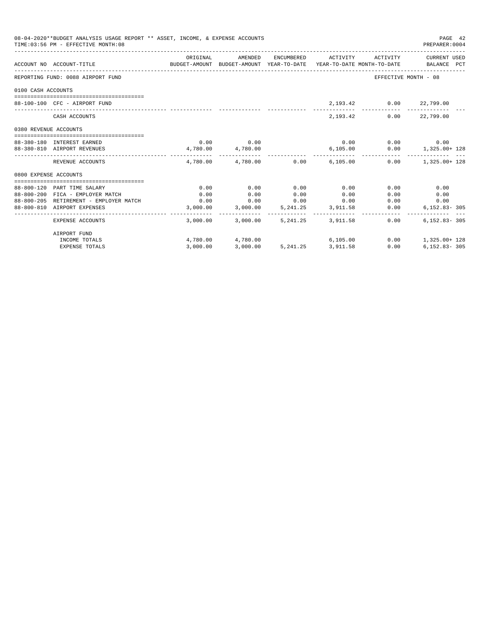|                       | 08-04-2020**BUDGET ANALYSIS USAGE REPORT ** ASSET, INCOME, & EXPENSE ACCOUNTS<br>TIME: 03:56 PM - EFFECTIVE MONTH: 08 |                                                                                             |                   |            |                                 |                             | PAGE 42<br>PREPARER: 0004                 |
|-----------------------|-----------------------------------------------------------------------------------------------------------------------|---------------------------------------------------------------------------------------------|-------------------|------------|---------------------------------|-----------------------------|-------------------------------------------|
|                       | ACCOUNT NO ACCOUNT-TITLE                                                                                              | ORIGINAL<br>BUDGET-AMOUNT BUDGET-AMOUNT YEAR-TO-DATE YEAR-TO-DATE MONTH-TO-DATE BALANCE PCT | AMENDED           |            |                                 |                             | ENCUMBERED ACTIVITY ACTIVITY CURRENT USED |
|                       | REPORTING FUND: 0088 AIRPORT FUND                                                                                     |                                                                                             |                   |            |                                 | EFFECTIVE MONTH - 08        |                                           |
| 0100 CASH ACCOUNTS    |                                                                                                                       |                                                                                             |                   |            |                                 |                             |                                           |
|                       | 88-100-100 CFC - AIRPORT FUND                                                                                         |                                                                                             |                   |            |                                 | 2,193.42 0.00 22,799.00     |                                           |
|                       | CASH ACCOUNTS                                                                                                         |                                                                                             |                   |            | 2, 193, 42                      |                             | $0.00$ 22,799.00                          |
| 0380 REVENUE ACCOUNTS |                                                                                                                       |                                                                                             |                   |            |                                 |                             |                                           |
|                       | 88-380-180 INTEREST EARNED                                                                                            |                                                                                             | $0.00$ 0.00       |            |                                 | $0.00$ $0.00$ $0.00$ $0.00$ |                                           |
|                       | 88-380-810 AIRPORT REVENUES                                                                                           | $4,780.00$ $4,780.00$                                                                       |                   |            |                                 |                             | $6,105.00$ $0.00$ $1,325.00+128$          |
|                       | REVENUE ACCOUNTS                                                                                                      |                                                                                             |                   |            | 4.780.00 4.780.00 0.00 6.105.00 |                             | $0.00$ 1.325.00+ 128                      |
| 0800 EXPENSE ACCOUNTS |                                                                                                                       |                                                                                             |                   |            |                                 |                             |                                           |
|                       |                                                                                                                       |                                                                                             |                   |            |                                 |                             |                                           |
|                       | 88-800-120 PART TIME SALARY                                                                                           | 0.00                                                                                        | 0.00              | 0.00       | 0.00                            | 0.00                        | 0.00                                      |
|                       | 88-800-200 FICA - EMPLOYER MATCH                                                                                      | 0.00                                                                                        | 0.00              | 0.00       | 0.00                            | 0.00                        | 0.00                                      |
|                       | 88-800-205 RETIREMENT - EMPLOYER MATCH 0.00                                                                           |                                                                                             | 3,000.00 3,000.00 |            | $0.00$ $0.00$ $0.00$ $0.00$     |                             | 0.00<br>0.00                              |
|                       | 88-800-810 AIRPORT EXPENSES                                                                                           |                                                                                             |                   |            | 5, 241.25 3, 911.58             | 0.00                        | $6, 152.83 - 305$                         |
|                       | EXPENSE ACCOUNTS                                                                                                      |                                                                                             | 3,000.00 3,000.00 | 5, 241, 25 | 3,911.58                        | $0.00 -$                    | $6.152.83 - 305$                          |
|                       | AIRPORT FUND                                                                                                          |                                                                                             |                   |            |                                 |                             |                                           |
|                       | INCOME TOTALS                                                                                                         |                                                                                             | 4,780.00 4,780.00 |            | 6,105.00                        |                             | $0.00$ 1,325.00+ 128                      |
|                       | <b>EXPENSE TOTALS</b>                                                                                                 | 3,000.00                                                                                    |                   |            | 3,000.00 5,241.25 3,911.58      | 0.00                        | $6.152.83 - 305$                          |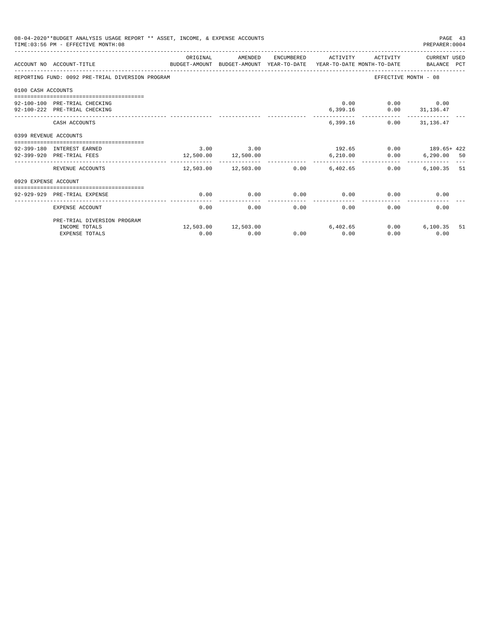|                       | 08-04-2020**BUDGET ANALYSIS USAGE REPORT ** ASSET, INCOME, & EXPENSE ACCOUNTS<br>TIME: 03:56 PM - EFFECTIVE MONTH: 08 |          |                                                   |      |                     |                                                | PAGE 43<br>PREPARER: 0004 |    |
|-----------------------|-----------------------------------------------------------------------------------------------------------------------|----------|---------------------------------------------------|------|---------------------|------------------------------------------------|---------------------------|----|
|                       | BUDGET-AMOUNT BUDGET-AMOUNT YEAR-TO-DATE YEAR-TO-DATE MONTH-TO-DATE BALANCE PCT<br>ACCOUNT NO ACCOUNT-TITLE           | ORIGINAL | AMENDED                                           |      | ENCUMBERED ACTIVITY |                                                | ACTIVITY CURRENT USED     |    |
|                       | REPORTING FUND: 0092 PRE-TRIAL DIVERSION PROGRAM                                                                      |          |                                                   |      |                     |                                                | EFFECTIVE MONTH - 08      |    |
| 0100 CASH ACCOUNTS    |                                                                                                                       |          |                                                   |      |                     |                                                |                           |    |
|                       |                                                                                                                       |          |                                                   |      |                     |                                                |                           |    |
|                       | 92-100-100 PRE-TRIAL CHECKING                                                                                         |          |                                                   |      |                     | $0.00$ $0.00$ $0.00$ $0.00$                    |                           |    |
|                       | 92-100-222 PRE-TRIAL CHECKING                                                                                         |          |                                                   |      | ----------          | $6,399.16$ $0.00$ $31,136.47$<br>------------- | --------------            |    |
|                       | CASH ACCOUNTS                                                                                                         |          |                                                   |      |                     | 6.399.16                                       | $0.00$ $31.136.47$        |    |
| 0399 REVENUE ACCOUNTS |                                                                                                                       |          |                                                   |      |                     |                                                |                           |    |
|                       |                                                                                                                       |          |                                                   |      |                     |                                                |                           |    |
|                       | 92-399-180 INTEREST EARNED<br>92-399-920 PRE-TRIAL FEES                                                               |          | $3.00$ $3.00$                                     |      |                     | $192.65$ 0.00 $189.65 + 422$                   |                           |    |
|                       |                                                                                                                       |          | 12,500.00 12,500.00<br>__________________________ |      | -----------         | 6,210.00 0.00                                  | $6,290.00$ 50             |    |
|                       | REVENUE ACCOUNTS                                                                                                      |          | $12,503.00$ $12,503.00$ $0.00$ $6,402.65$         |      |                     | 0.00                                           | $6.100.35$ 51             |    |
| 0929 EXPENSE ACCOUNT  |                                                                                                                       |          |                                                   |      |                     |                                                |                           |    |
|                       |                                                                                                                       |          |                                                   |      |                     |                                                |                           |    |
|                       | 92-929-929 PRE-TRIAL EXPENSE                                                                                          | 0.00     | 0.00                                              | 0.00 | 0.00                | 0.00                                           | 0.00                      |    |
|                       | EXPENSE ACCOUNT                                                                                                       | 0.00     | 0.00                                              | 0.00 | 0.00                | 0.00                                           | 0.00                      |    |
|                       | PRE-TRIAL DIVERSION PROGRAM                                                                                           |          |                                                   |      |                     |                                                |                           |    |
|                       | INCOME TOTALS                                                                                                         |          | 12,503.00 12,503.00                               |      | 6,402.65            | 0.00                                           | 6,100.35                  | 51 |
|                       | <b>EXPENSE TOTALS</b>                                                                                                 | 0.00     | 0.00                                              | 0.00 | 0.00                | 0.00                                           | 0.00                      |    |